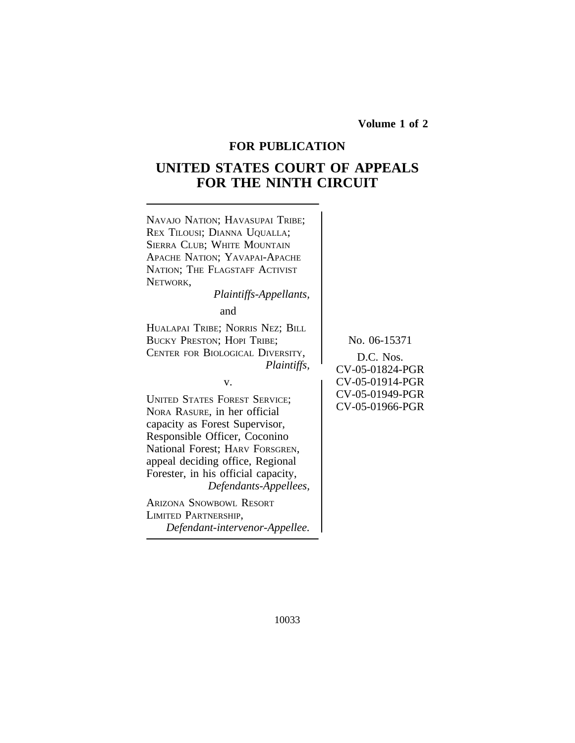**Volume 1 of 2**

# **FOR PUBLICATION**

# **UNITED STATES COURT OF APPEALS FOR THE NINTH CIRCUIT**

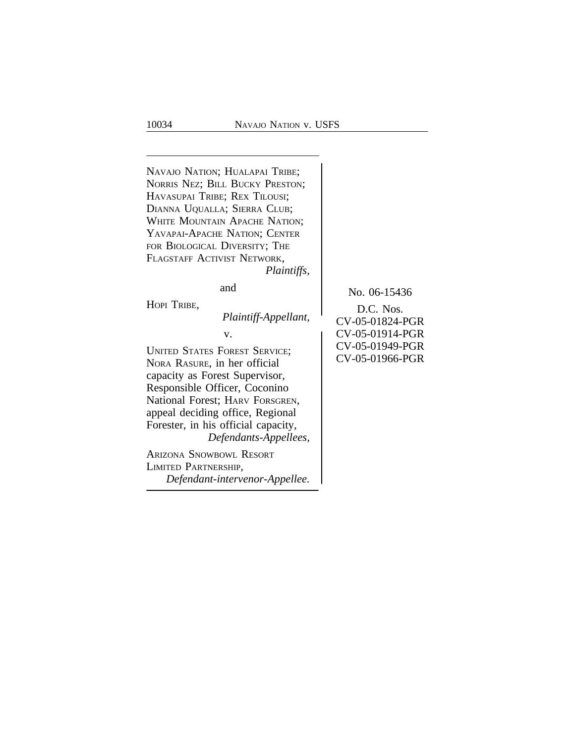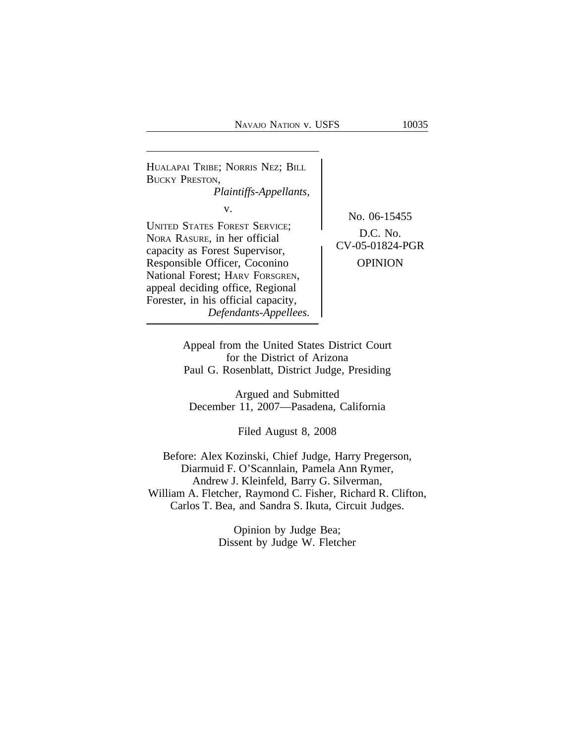<sup>H</sup>UALAPAI TRIBE; NORRIS NEZ; BILL BUCKY PRESTON, *Plaintiffs-Appellants,* v. UNITED STATES FOREST SERVICE; D.C. No.<br>
Nora Rasure, in her official<br>
capacity as Forest Supervisor, CV-05-01824-PGR Responsible Officer, Coconino | OPINION National Forest; HARV FORSGREN, appeal deciding office, Regional

Forester, in his official capacity,

No. 06-15455

Appeal from the United States District Court for the District of Arizona Paul G. Rosenblatt, District Judge, Presiding

*Defendants-Appellees.*

Argued and Submitted December 11, 2007—Pasadena, California

Filed August 8, 2008

Before: Alex Kozinski, Chief Judge, Harry Pregerson, Diarmuid F. O'Scannlain, Pamela Ann Rymer, Andrew J. Kleinfeld, Barry G. Silverman, William A. Fletcher, Raymond C. Fisher, Richard R. Clifton, Carlos T. Bea, and Sandra S. Ikuta, Circuit Judges.

> Opinion by Judge Bea; Dissent by Judge W. Fletcher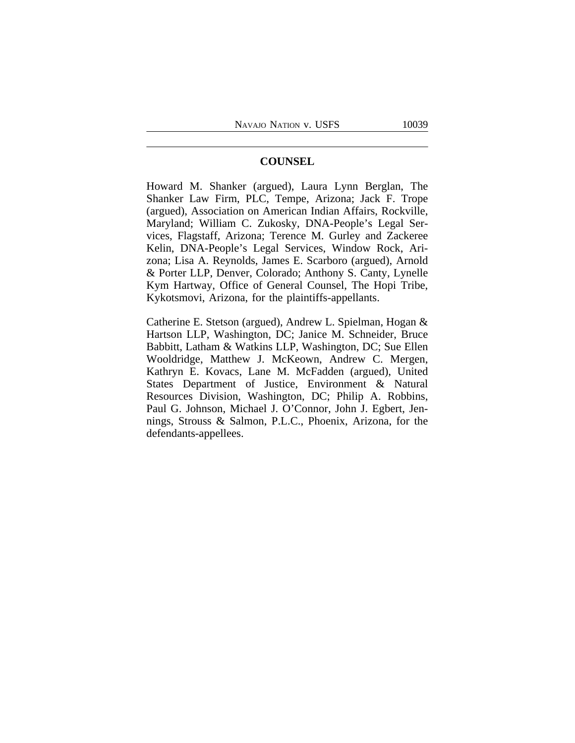#### **COUNSEL**

Howard M. Shanker (argued), Laura Lynn Berglan, The Shanker Law Firm, PLC, Tempe, Arizona; Jack F. Trope (argued), Association on American Indian Affairs, Rockville, Maryland; William C. Zukosky, DNA-People's Legal Services, Flagstaff, Arizona; Terence M. Gurley and Zackeree Kelin, DNA-People's Legal Services, Window Rock, Arizona; Lisa A. Reynolds, James E. Scarboro (argued), Arnold & Porter LLP, Denver, Colorado; Anthony S. Canty, Lynelle Kym Hartway, Office of General Counsel, The Hopi Tribe, Kykotsmovi, Arizona, for the plaintiffs-appellants.

Catherine E. Stetson (argued), Andrew L. Spielman, Hogan & Hartson LLP, Washington, DC; Janice M. Schneider, Bruce Babbitt, Latham & Watkins LLP, Washington, DC; Sue Ellen Wooldridge, Matthew J. McKeown, Andrew C. Mergen, Kathryn E. Kovacs, Lane M. McFadden (argued), United States Department of Justice, Environment & Natural Resources Division, Washington, DC; Philip A. Robbins, Paul G. Johnson, Michael J. O'Connor, John J. Egbert, Jennings, Strouss & Salmon, P.L.C., Phoenix, Arizona, for the defendants-appellees.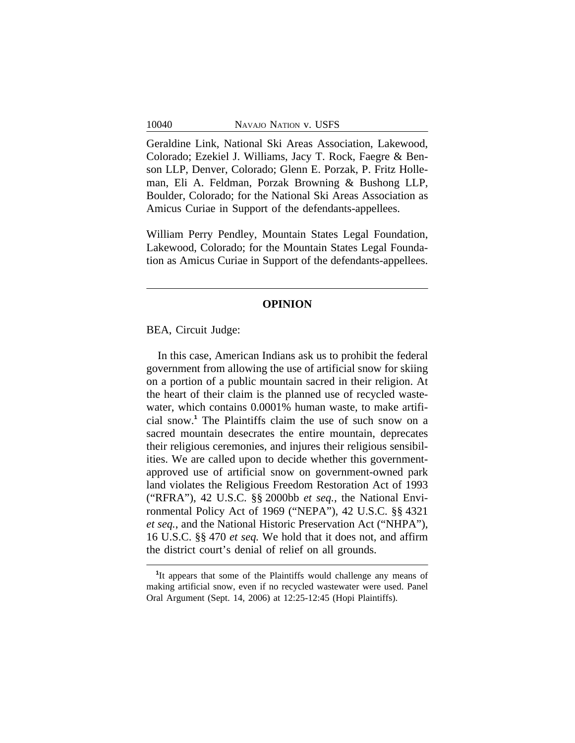Geraldine Link, National Ski Areas Association, Lakewood, Colorado; Ezekiel J. Williams, Jacy T. Rock, Faegre & Benson LLP, Denver, Colorado; Glenn E. Porzak, P. Fritz Holleman, Eli A. Feldman, Porzak Browning & Bushong LLP, Boulder, Colorado; for the National Ski Areas Association as Amicus Curiae in Support of the defendants-appellees.

William Perry Pendley, Mountain States Legal Foundation, Lakewood, Colorado; for the Mountain States Legal Foundation as Amicus Curiae in Support of the defendants-appellees.

#### **OPINION**

BEA, Circuit Judge:

In this case, American Indians ask us to prohibit the federal government from allowing the use of artificial snow for skiing on a portion of a public mountain sacred in their religion. At the heart of their claim is the planned use of recycled wastewater, which contains 0.0001% human waste, to make artificial snow.**<sup>1</sup>** The Plaintiffs claim the use of such snow on a sacred mountain desecrates the entire mountain, deprecates their religious ceremonies, and injures their religious sensibilities. We are called upon to decide whether this governmentapproved use of artificial snow on government-owned park land violates the Religious Freedom Restoration Act of 1993 ("RFRA"), 42 U.S.C. §§ 2000bb *et seq.*, the National Environmental Policy Act of 1969 ("NEPA"), 42 U.S.C. §§ 4321 *et seq.*, and the National Historic Preservation Act ("NHPA"), 16 U.S.C. §§ 470 *et seq.* We hold that it does not, and affirm the district court's denial of relief on all grounds.

<sup>&</sup>lt;sup>1</sup>It appears that some of the Plaintiffs would challenge any means of making artificial snow, even if no recycled wastewater were used. Panel Oral Argument (Sept. 14, 2006) at 12:25-12:45 (Hopi Plaintiffs).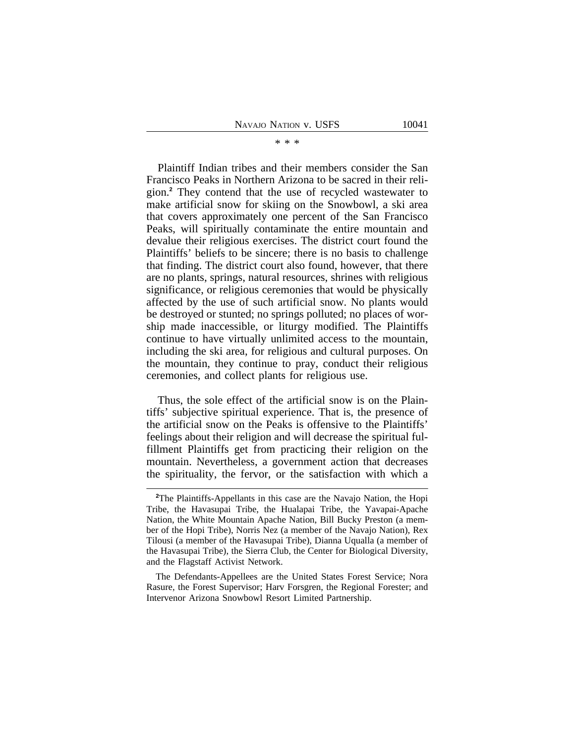#### \* \* \*

Plaintiff Indian tribes and their members consider the San Francisco Peaks in Northern Arizona to be sacred in their religion.**<sup>2</sup>** They contend that the use of recycled wastewater to make artificial snow for skiing on the Snowbowl, a ski area that covers approximately one percent of the San Francisco Peaks, will spiritually contaminate the entire mountain and devalue their religious exercises. The district court found the Plaintiffs' beliefs to be sincere; there is no basis to challenge that finding. The district court also found, however, that there are no plants, springs, natural resources, shrines with religious significance, or religious ceremonies that would be physically affected by the use of such artificial snow. No plants would be destroyed or stunted; no springs polluted; no places of worship made inaccessible, or liturgy modified. The Plaintiffs continue to have virtually unlimited access to the mountain, including the ski area, for religious and cultural purposes. On the mountain, they continue to pray, conduct their religious ceremonies, and collect plants for religious use.

Thus, the sole effect of the artificial snow is on the Plaintiffs' subjective spiritual experience. That is, the presence of the artificial snow on the Peaks is offensive to the Plaintiffs' feelings about their religion and will decrease the spiritual fulfillment Plaintiffs get from practicing their religion on the mountain. Nevertheless, a government action that decreases the spirituality, the fervor, or the satisfaction with which a

**<sup>2</sup>**The Plaintiffs-Appellants in this case are the Navajo Nation, the Hopi Tribe, the Havasupai Tribe, the Hualapai Tribe, the Yavapai-Apache Nation, the White Mountain Apache Nation, Bill Bucky Preston (a member of the Hopi Tribe), Norris Nez (a member of the Navajo Nation), Rex Tilousi (a member of the Havasupai Tribe), Dianna Uqualla (a member of the Havasupai Tribe), the Sierra Club, the Center for Biological Diversity, and the Flagstaff Activist Network.

The Defendants-Appellees are the United States Forest Service; Nora Rasure, the Forest Supervisor; Harv Forsgren, the Regional Forester; and Intervenor Arizona Snowbowl Resort Limited Partnership.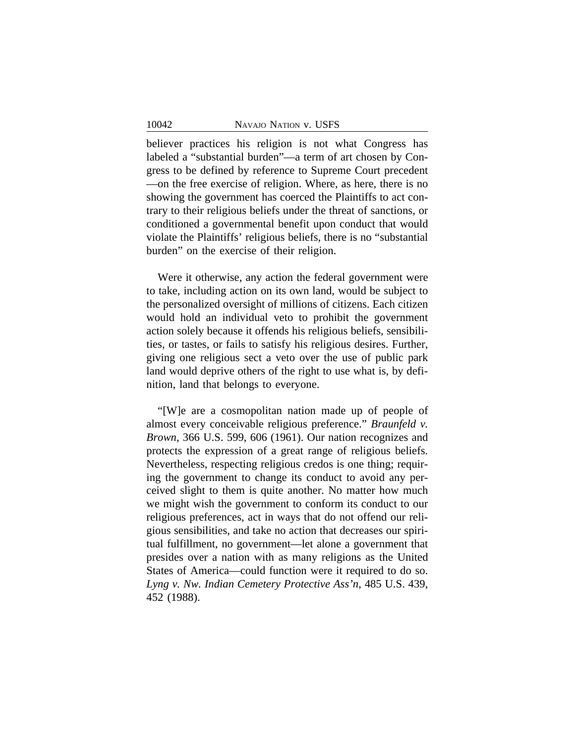believer practices his religion is not what Congress has labeled a "substantial burden"—a term of art chosen by Congress to be defined by reference to Supreme Court precedent —on the free exercise of religion. Where, as here, there is no showing the government has coerced the Plaintiffs to act contrary to their religious beliefs under the threat of sanctions, or conditioned a governmental benefit upon conduct that would violate the Plaintiffs' religious beliefs, there is no "substantial burden" on the exercise of their religion.

Were it otherwise, any action the federal government were to take, including action on its own land, would be subject to the personalized oversight of millions of citizens. Each citizen would hold an individual veto to prohibit the government action solely because it offends his religious beliefs, sensibilities, or tastes, or fails to satisfy his religious desires. Further, giving one religious sect a veto over the use of public park land would deprive others of the right to use what is, by definition, land that belongs to everyone.

"[W]e are a cosmopolitan nation made up of people of almost every conceivable religious preference." *Braunfeld v. Brown*, 366 U.S. 599, 606 (1961). Our nation recognizes and protects the expression of a great range of religious beliefs. Nevertheless, respecting religious credos is one thing; requiring the government to change its conduct to avoid any perceived slight to them is quite another. No matter how much we might wish the government to conform its conduct to our religious preferences, act in ways that do not offend our religious sensibilities, and take no action that decreases our spiritual fulfillment, no government—let alone a government that presides over a nation with as many religions as the United States of America—could function were it required to do so. *Lyng v. Nw. Indian Cemetery Protective Ass'n*, 485 U.S. 439, 452 (1988).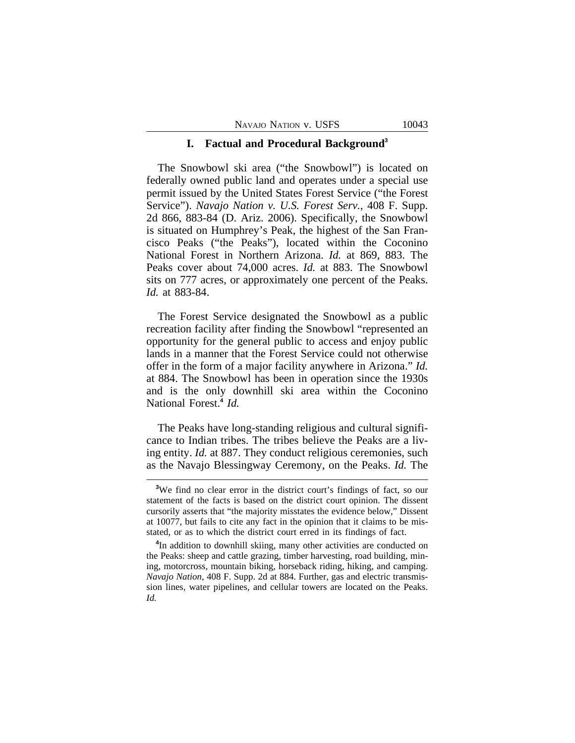#### **I. Factual and Procedural Background<sup>3</sup>**

The Snowbowl ski area ("the Snowbowl") is located on federally owned public land and operates under a special use permit issued by the United States Forest Service ("the Forest Service"). *Navajo Nation v. U.S. Forest Serv.*, 408 F. Supp. 2d 866, 883-84 (D. Ariz. 2006). Specifically, the Snowbowl is situated on Humphrey's Peak, the highest of the San Francisco Peaks ("the Peaks"), located within the Coconino National Forest in Northern Arizona. *Id.* at 869, 883. The Peaks cover about 74,000 acres. *Id.* at 883. The Snowbowl sits on 777 acres, or approximately one percent of the Peaks. *Id.* at 883-84.

The Forest Service designated the Snowbowl as a public recreation facility after finding the Snowbowl "represented an opportunity for the general public to access and enjoy public lands in a manner that the Forest Service could not otherwise offer in the form of a major facility anywhere in Arizona." *Id.* at 884. The Snowbowl has been in operation since the 1930s and is the only downhill ski area within the Coconino National Forest.**<sup>4</sup>** *Id.*

The Peaks have long-standing religious and cultural significance to Indian tribes. The tribes believe the Peaks are a living entity. *Id.* at 887. They conduct religious ceremonies, such as the Navajo Blessingway Ceremony, on the Peaks. *Id.* The

<sup>&</sup>lt;sup>3</sup>We find no clear error in the district court's findings of fact, so our statement of the facts is based on the district court opinion. The dissent cursorily asserts that "the majority misstates the evidence below," Dissent at 10077, but fails to cite any fact in the opinion that it claims to be misstated, or as to which the district court erred in its findings of fact.

**<sup>4</sup>** In addition to downhill skiing, many other activities are conducted on the Peaks: sheep and cattle grazing, timber harvesting, road building, mining, motorcross, mountain biking, horseback riding, hiking, and camping. *Navajo Nation*, 408 F. Supp. 2d at 884. Further, gas and electric transmission lines, water pipelines, and cellular towers are located on the Peaks. *Id.*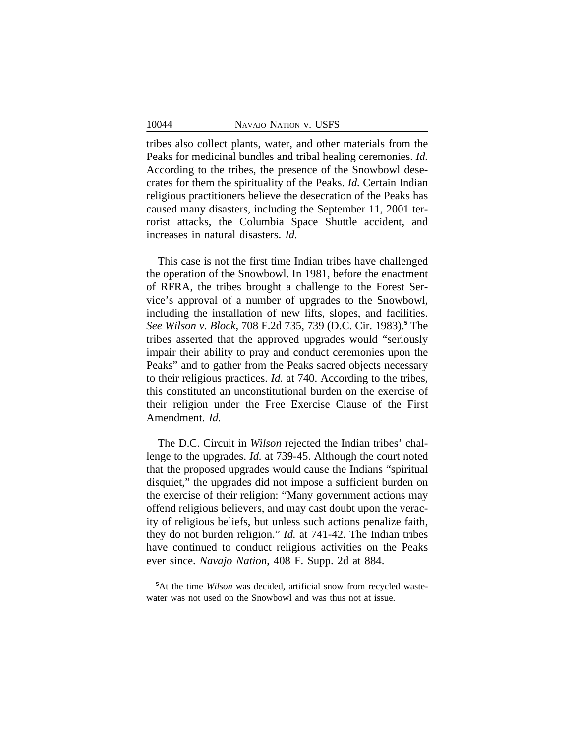tribes also collect plants, water, and other materials from the Peaks for medicinal bundles and tribal healing ceremonies. *Id.* According to the tribes, the presence of the Snowbowl desecrates for them the spirituality of the Peaks. *Id.* Certain Indian religious practitioners believe the desecration of the Peaks has caused many disasters, including the September 11, 2001 terrorist attacks, the Columbia Space Shuttle accident, and increases in natural disasters. *Id.*

This case is not the first time Indian tribes have challenged the operation of the Snowbowl. In 1981, before the enactment of RFRA, the tribes brought a challenge to the Forest Service's approval of a number of upgrades to the Snowbowl, including the installation of new lifts, slopes, and facilities. *See Wilson v. Block*, 708 F.2d 735, 739 (D.C. Cir. 1983).**<sup>5</sup>** The tribes asserted that the approved upgrades would "seriously impair their ability to pray and conduct ceremonies upon the Peaks" and to gather from the Peaks sacred objects necessary to their religious practices. *Id.* at 740. According to the tribes, this constituted an unconstitutional burden on the exercise of their religion under the Free Exercise Clause of the First Amendment. *Id.*

The D.C. Circuit in *Wilson* rejected the Indian tribes' challenge to the upgrades. *Id.* at 739-45. Although the court noted that the proposed upgrades would cause the Indians "spiritual disquiet," the upgrades did not impose a sufficient burden on the exercise of their religion: "Many government actions may offend religious believers, and may cast doubt upon the veracity of religious beliefs, but unless such actions penalize faith, they do not burden religion." *Id.* at 741-42. The Indian tribes have continued to conduct religious activities on the Peaks ever since. *Navajo Nation*, 408 F. Supp. 2d at 884.

**<sup>5</sup>**At the time *Wilson* was decided, artificial snow from recycled wastewater was not used on the Snowbowl and was thus not at issue.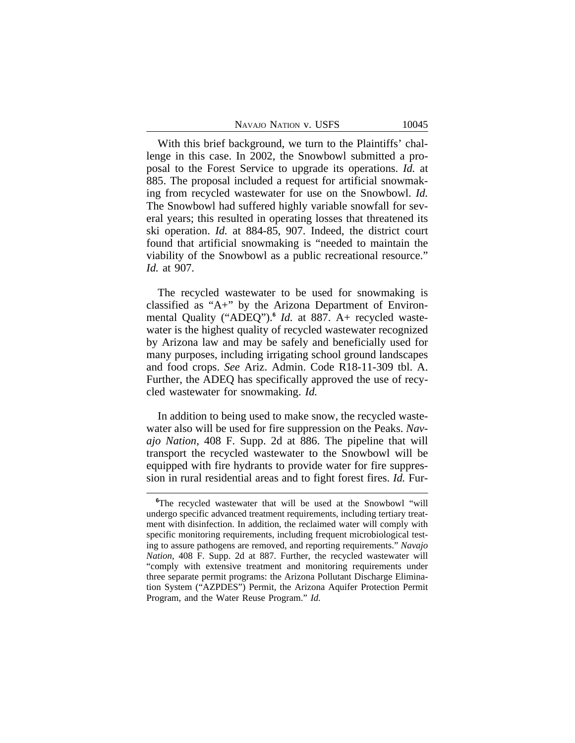|  | Navajo Nation v. USFS |  |  |  |
|--|-----------------------|--|--|--|
|--|-----------------------|--|--|--|

With this brief background, we turn to the Plaintiffs' challenge in this case. In 2002, the Snowbowl submitted a proposal to the Forest Service to upgrade its operations. *Id.* at 885. The proposal included a request for artificial snowmaking from recycled wastewater for use on the Snowbowl. *Id.* The Snowbowl had suffered highly variable snowfall for several years; this resulted in operating losses that threatened its ski operation. *Id.* at 884-85, 907. Indeed, the district court found that artificial snowmaking is "needed to maintain the viability of the Snowbowl as a public recreational resource." *Id.* at 907.

The recycled wastewater to be used for snowmaking is classified as "A+" by the Arizona Department of Environmental Quality ("ADEQ").**<sup>6</sup>** *Id.* at 887. A+ recycled wastewater is the highest quality of recycled wastewater recognized by Arizona law and may be safely and beneficially used for many purposes, including irrigating school ground landscapes and food crops. *See* Ariz. Admin. Code R18-11-309 tbl. A. Further, the ADEQ has specifically approved the use of recycled wastewater for snowmaking. *Id.*

In addition to being used to make snow, the recycled wastewater also will be used for fire suppression on the Peaks. *Navajo Nation*, 408 F. Supp. 2d at 886. The pipeline that will transport the recycled wastewater to the Snowbowl will be equipped with fire hydrants to provide water for fire suppression in rural residential areas and to fight forest fires. *Id.* Fur-

**<sup>6</sup>**The recycled wastewater that will be used at the Snowbowl "will undergo specific advanced treatment requirements, including tertiary treatment with disinfection. In addition, the reclaimed water will comply with specific monitoring requirements, including frequent microbiological testing to assure pathogens are removed, and reporting requirements." *Navajo Nation*, 408 F. Supp. 2d at 887. Further, the recycled wastewater will "comply with extensive treatment and monitoring requirements under three separate permit programs: the Arizona Pollutant Discharge Elimination System ("AZPDES") Permit, the Arizona Aquifer Protection Permit Program, and the Water Reuse Program." *Id.*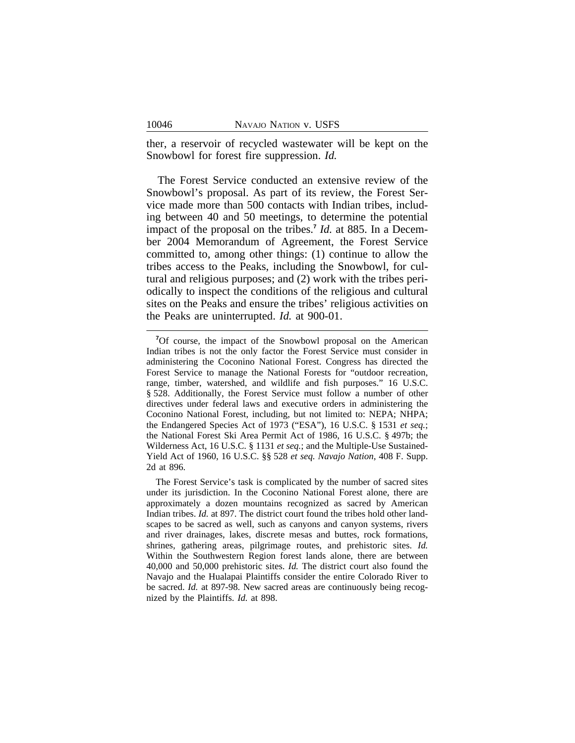ther, a reservoir of recycled wastewater will be kept on the Snowbowl for forest fire suppression. *Id.*

The Forest Service conducted an extensive review of the Snowbowl's proposal. As part of its review, the Forest Service made more than 500 contacts with Indian tribes, including between 40 and 50 meetings, to determine the potential impact of the proposal on the tribes.**<sup>7</sup>** *Id.* at 885. In a December 2004 Memorandum of Agreement, the Forest Service committed to, among other things: (1) continue to allow the tribes access to the Peaks, including the Snowbowl, for cultural and religious purposes; and (2) work with the tribes periodically to inspect the conditions of the religious and cultural sites on the Peaks and ensure the tribes' religious activities on the Peaks are uninterrupted. *Id.* at 900-01.

**<sup>7</sup>**Of course, the impact of the Snowbowl proposal on the American Indian tribes is not the only factor the Forest Service must consider in administering the Coconino National Forest. Congress has directed the Forest Service to manage the National Forests for "outdoor recreation, range, timber, watershed, and wildlife and fish purposes." 16 U.S.C. § 528. Additionally, the Forest Service must follow a number of other directives under federal laws and executive orders in administering the Coconino National Forest, including, but not limited to: NEPA; NHPA; the Endangered Species Act of 1973 ("ESA"), 16 U.S.C. § 1531 *et seq.*; the National Forest Ski Area Permit Act of 1986, 16 U.S.C. § 497b; the Wilderness Act, 16 U.S.C. § 1131 *et seq.*; and the Multiple-Use Sustained-Yield Act of 1960, 16 U.S.C. §§ 528 *et seq. Navajo Nation*, 408 F. Supp. 2d at 896.

The Forest Service's task is complicated by the number of sacred sites under its jurisdiction. In the Coconino National Forest alone, there are approximately a dozen mountains recognized as sacred by American Indian tribes. *Id.* at 897. The district court found the tribes hold other landscapes to be sacred as well, such as canyons and canyon systems, rivers and river drainages, lakes, discrete mesas and buttes, rock formations, shrines, gathering areas, pilgrimage routes, and prehistoric sites. *Id.* Within the Southwestern Region forest lands alone, there are between 40,000 and 50,000 prehistoric sites. *Id.* The district court also found the Navajo and the Hualapai Plaintiffs consider the entire Colorado River to be sacred. *Id.* at 897-98. New sacred areas are continuously being recognized by the Plaintiffs. *Id.* at 898.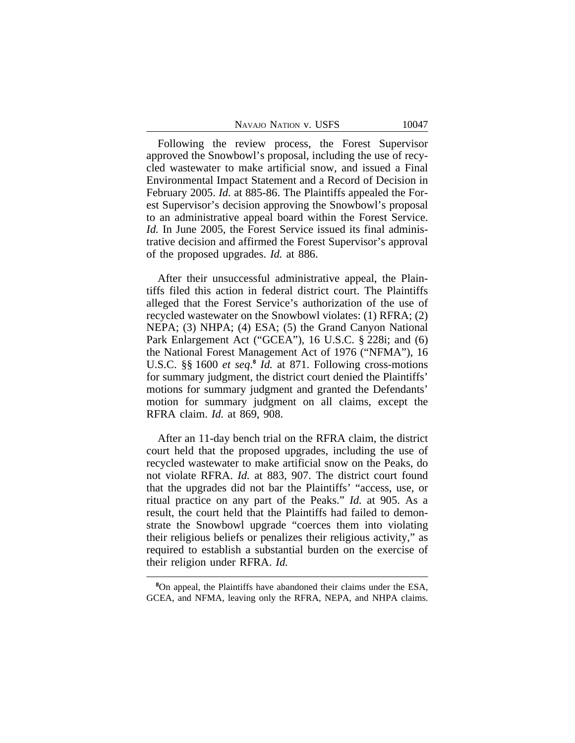|  | NAVAJO NATION V. USFS |  |  |
|--|-----------------------|--|--|
|--|-----------------------|--|--|

Following the review process, the Forest Supervisor approved the Snowbowl's proposal, including the use of recycled wastewater to make artificial snow, and issued a Final Environmental Impact Statement and a Record of Decision in February 2005. *Id.* at 885-86. The Plaintiffs appealed the Forest Supervisor's decision approving the Snowbowl's proposal to an administrative appeal board within the Forest Service. *Id.* In June 2005, the Forest Service issued its final administrative decision and affirmed the Forest Supervisor's approval of the proposed upgrades. *Id.* at 886.

After their unsuccessful administrative appeal, the Plaintiffs filed this action in federal district court. The Plaintiffs alleged that the Forest Service's authorization of the use of recycled wastewater on the Snowbowl violates: (1) RFRA; (2) NEPA; (3) NHPA; (4) ESA; (5) the Grand Canyon National Park Enlargement Act ("GCEA"), 16 U.S.C. § 228i; and (6) the National Forest Management Act of 1976 ("NFMA"), 16 U.S.C. §§ 1600 *et seq.*<sup>8</sup> *Id.* at 871. Following cross-motions for summary judgment, the district court denied the Plaintiffs' motions for summary judgment and granted the Defendants' motion for summary judgment on all claims, except the RFRA claim. *Id.* at 869, 908.

After an 11-day bench trial on the RFRA claim, the district court held that the proposed upgrades, including the use of recycled wastewater to make artificial snow on the Peaks, do not violate RFRA. *Id.* at 883, 907. The district court found that the upgrades did not bar the Plaintiffs' "access, use, or ritual practice on any part of the Peaks." *Id.* at 905. As a result, the court held that the Plaintiffs had failed to demonstrate the Snowbowl upgrade "coerces them into violating their religious beliefs or penalizes their religious activity," as required to establish a substantial burden on the exercise of their religion under RFRA. *Id.*

**<sup>8</sup>**On appeal, the Plaintiffs have abandoned their claims under the ESA, GCEA, and NFMA, leaving only the RFRA, NEPA, and NHPA claims.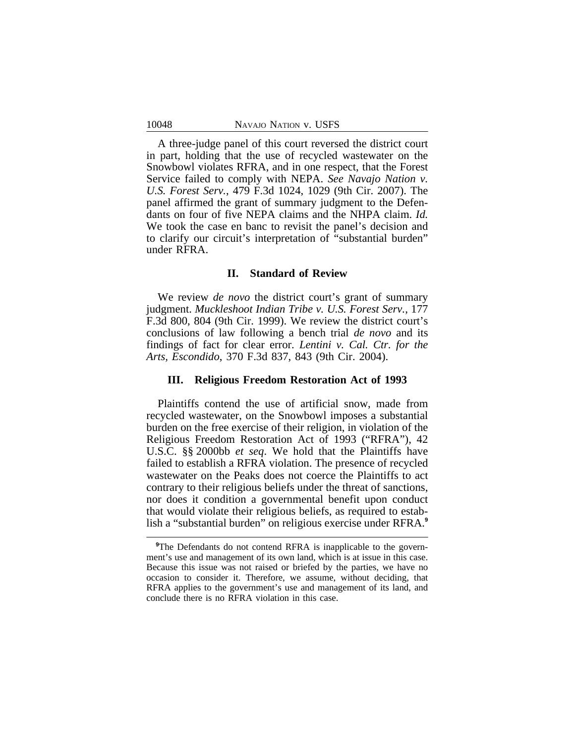A three-judge panel of this court reversed the district court in part, holding that the use of recycled wastewater on the Snowbowl violates RFRA, and in one respect, that the Forest Service failed to comply with NEPA. *See Navajo Nation v. U.S. Forest Serv.*, 479 F.3d 1024, 1029 (9th Cir. 2007). The panel affirmed the grant of summary judgment to the Defendants on four of five NEPA claims and the NHPA claim. *Id.* We took the case en banc to revisit the panel's decision and to clarify our circuit's interpretation of "substantial burden" under RFRA.

#### **II. Standard of Review**

We review *de novo* the district court's grant of summary judgment. *Muckleshoot Indian Tribe v. U.S. Forest Serv.*, 177 F.3d 800, 804 (9th Cir. 1999). We review the district court's conclusions of law following a bench trial *de novo* and its findings of fact for clear error. *Lentini v. Cal. Ctr. for the Arts, Escondido*, 370 F.3d 837, 843 (9th Cir. 2004).

#### **III. Religious Freedom Restoration Act of 1993**

Plaintiffs contend the use of artificial snow, made from recycled wastewater, on the Snowbowl imposes a substantial burden on the free exercise of their religion, in violation of the Religious Freedom Restoration Act of 1993 ("RFRA"), 42 U.S.C. §§ 2000bb *et seq*. We hold that the Plaintiffs have failed to establish a RFRA violation. The presence of recycled wastewater on the Peaks does not coerce the Plaintiffs to act contrary to their religious beliefs under the threat of sanctions, nor does it condition a governmental benefit upon conduct that would violate their religious beliefs, as required to establish a "substantial burden" on religious exercise under RFRA.**<sup>9</sup>**

<sup>&</sup>lt;sup>9</sup>The Defendants do not contend RFRA is inapplicable to the government's use and management of its own land, which is at issue in this case. Because this issue was not raised or briefed by the parties, we have no occasion to consider it. Therefore, we assume, without deciding, that RFRA applies to the government's use and management of its land, and conclude there is no RFRA violation in this case.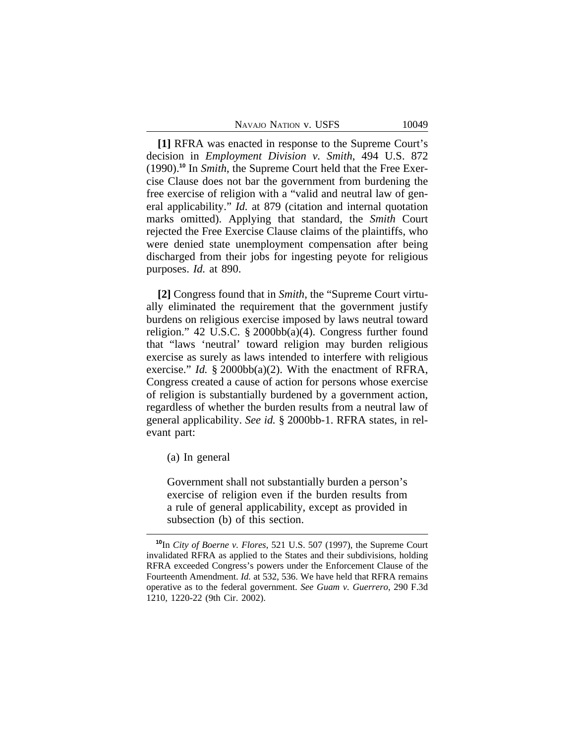| Navajo Nation v. USFS |  |  |
|-----------------------|--|--|
|-----------------------|--|--|

**[1]** RFRA was enacted in response to the Supreme Court's decision in *Employment Division v. Smith*, 494 U.S. 872 (1990).**10** In *Smith*, the Supreme Court held that the Free Exercise Clause does not bar the government from burdening the free exercise of religion with a "valid and neutral law of general applicability." *Id.* at 879 (citation and internal quotation marks omitted). Applying that standard, the *Smith* Court rejected the Free Exercise Clause claims of the plaintiffs, who were denied state unemployment compensation after being discharged from their jobs for ingesting peyote for religious purposes. *Id.* at 890.

**[2]** Congress found that in *Smith*, the "Supreme Court virtually eliminated the requirement that the government justify burdens on religious exercise imposed by laws neutral toward religion." 42 U.S.C. § 2000bb(a)(4). Congress further found that "laws 'neutral' toward religion may burden religious exercise as surely as laws intended to interfere with religious exercise." *Id.* § 2000bb(a)(2). With the enactment of RFRA, Congress created a cause of action for persons whose exercise of religion is substantially burdened by a government action, regardless of whether the burden results from a neutral law of general applicability. *See id.* § 2000bb-1. RFRA states, in relevant part:

(a) In general

Government shall not substantially burden a person's exercise of religion even if the burden results from a rule of general applicability, except as provided in subsection (b) of this section.

**<sup>10</sup>**In *City of Boerne v. Flores*, 521 U.S. 507 (1997), the Supreme Court invalidated RFRA as applied to the States and their subdivisions, holding RFRA exceeded Congress's powers under the Enforcement Clause of the Fourteenth Amendment. *Id.* at 532, 536. We have held that RFRA remains operative as to the federal government. *See Guam v. Guerrero*, 290 F.3d 1210, 1220-22 (9th Cir. 2002).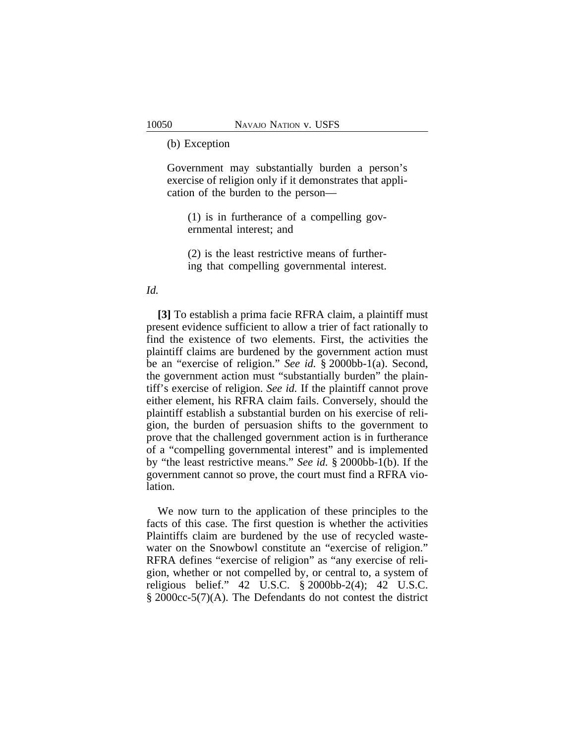#### (b) Exception

Government may substantially burden a person's exercise of religion only if it demonstrates that application of the burden to the person—

(1) is in furtherance of a compelling governmental interest; and

(2) is the least restrictive means of furthering that compelling governmental interest.

### *Id.*

**[3]** To establish a prima facie RFRA claim, a plaintiff must present evidence sufficient to allow a trier of fact rationally to find the existence of two elements. First, the activities the plaintiff claims are burdened by the government action must be an "exercise of religion." *See id.* § 2000bb-1(a). Second, the government action must "substantially burden" the plaintiff's exercise of religion. *See id.* If the plaintiff cannot prove either element, his RFRA claim fails. Conversely, should the plaintiff establish a substantial burden on his exercise of religion, the burden of persuasion shifts to the government to prove that the challenged government action is in furtherance of a "compelling governmental interest" and is implemented by "the least restrictive means." *See id.* § 2000bb-1(b). If the government cannot so prove, the court must find a RFRA violation.

We now turn to the application of these principles to the facts of this case. The first question is whether the activities Plaintiffs claim are burdened by the use of recycled wastewater on the Snowbowl constitute an "exercise of religion." RFRA defines "exercise of religion" as "any exercise of religion, whether or not compelled by, or central to, a system of religious belief." 42 U.S.C. § 2000bb-2(4); 42 U.S.C. § 2000cc-5(7)(A). The Defendants do not contest the district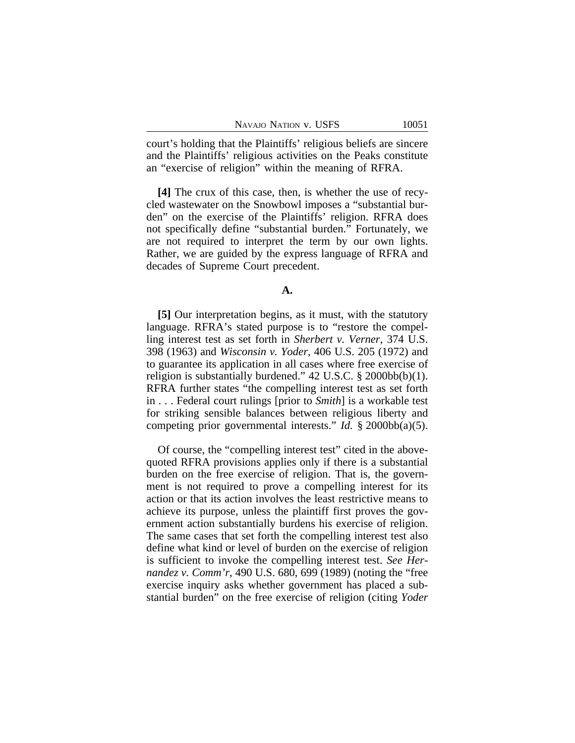court's holding that the Plaintiffs' religious beliefs are sincere and the Plaintiffs' religious activities on the Peaks constitute an "exercise of religion" within the meaning of RFRA.

**[4]** The crux of this case, then, is whether the use of recycled wastewater on the Snowbowl imposes a "substantial burden" on the exercise of the Plaintiffs' religion. RFRA does not specifically define "substantial burden." Fortunately, we are not required to interpret the term by our own lights. Rather, we are guided by the express language of RFRA and decades of Supreme Court precedent.

**[5]** Our interpretation begins, as it must, with the statutory language. RFRA's stated purpose is to "restore the compelling interest test as set forth in *Sherbert v. Verner*, 374 U.S. 398 (1963) and *Wisconsin v. Yoder*, 406 U.S. 205 (1972) and to guarantee its application in all cases where free exercise of religion is substantially burdened." 42 U.S.C. § 2000bb(b)(1). RFRA further states "the compelling interest test as set forth in . . . Federal court rulings [prior to *Smith*] is a workable test for striking sensible balances between religious liberty and competing prior governmental interests." *Id.* § 2000bb(a)(5).

Of course, the "compelling interest test" cited in the abovequoted RFRA provisions applies only if there is a substantial burden on the free exercise of religion. That is, the government is not required to prove a compelling interest for its action or that its action involves the least restrictive means to achieve its purpose, unless the plaintiff first proves the government action substantially burdens his exercise of religion. The same cases that set forth the compelling interest test also define what kind or level of burden on the exercise of religion is sufficient to invoke the compelling interest test. *See Hernandez v. Comm'r*, 490 U.S. 680, 699 (1989) (noting the "free exercise inquiry asks whether government has placed a substantial burden" on the free exercise of religion (citing *Yoder*

**A.**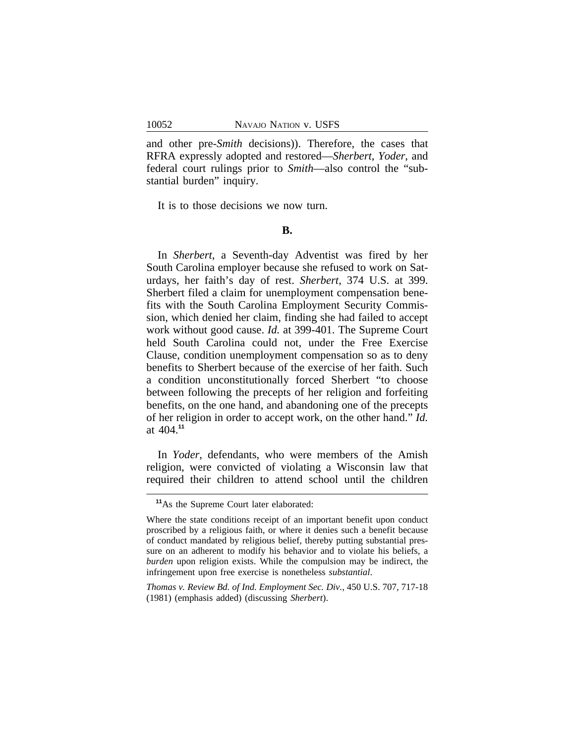and other pre-*Smith* decisions)). Therefore, the cases that RFRA expressly adopted and restored—*Sherbert*, *Yoder*, and federal court rulings prior to *Smith*—also control the "substantial burden" inquiry.

It is to those decisions we now turn.

#### **B.**

In *Sherbert*, a Seventh-day Adventist was fired by her South Carolina employer because she refused to work on Saturdays, her faith's day of rest. *Sherbert*, 374 U.S. at 399. Sherbert filed a claim for unemployment compensation benefits with the South Carolina Employment Security Commission, which denied her claim, finding she had failed to accept work without good cause. *Id.* at 399-401. The Supreme Court held South Carolina could not, under the Free Exercise Clause, condition unemployment compensation so as to deny benefits to Sherbert because of the exercise of her faith. Such a condition unconstitutionally forced Sherbert "to choose between following the precepts of her religion and forfeiting benefits, on the one hand, and abandoning one of the precepts of her religion in order to accept work, on the other hand." *Id.* at 404.**<sup>11</sup>**

In *Yoder*, defendants, who were members of the Amish religion, were convicted of violating a Wisconsin law that required their children to attend school until the children

**<sup>11</sup>**As the Supreme Court later elaborated:

Where the state conditions receipt of an important benefit upon conduct proscribed by a religious faith, or where it denies such a benefit because of conduct mandated by religious belief, thereby putting substantial pressure on an adherent to modify his behavior and to violate his beliefs, a *burden* upon religion exists. While the compulsion may be indirect, the infringement upon free exercise is nonetheless *substantial*.

*Thomas v. Review Bd. of Ind. Employment Sec. Div.*, 450 U.S. 707, 717-18 (1981) (emphasis added) (discussing *Sherbert*).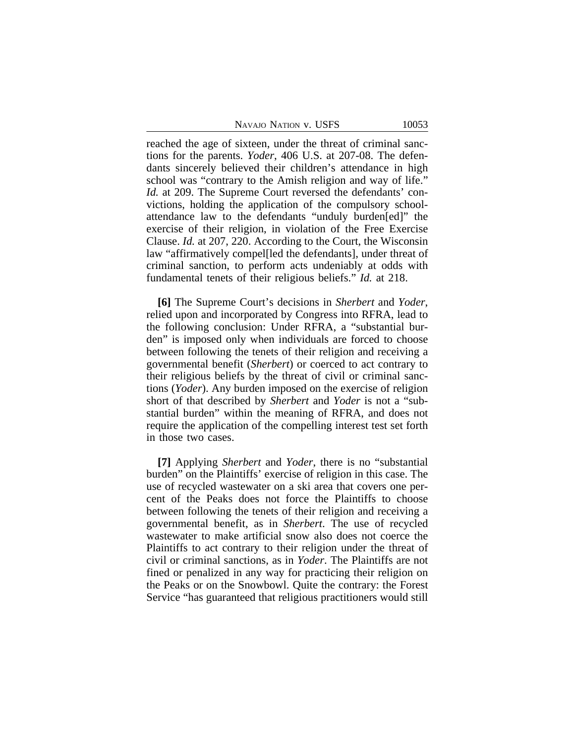NAVAJO NATION V. USFS 10053

reached the age of sixteen, under the threat of criminal sanctions for the parents. *Yoder*, 406 U.S. at 207-08. The defendants sincerely believed their children's attendance in high school was "contrary to the Amish religion and way of life." *Id.* at 209. The Supreme Court reversed the defendants' convictions, holding the application of the compulsory schoolattendance law to the defendants "unduly burden[ed]" the exercise of their religion, in violation of the Free Exercise Clause. *Id.* at 207, 220. According to the Court, the Wisconsin law "affirmatively compel[led the defendants], under threat of criminal sanction, to perform acts undeniably at odds with fundamental tenets of their religious beliefs." *Id.* at 218.

**[6]** The Supreme Court's decisions in *Sherbert* and *Yoder*, relied upon and incorporated by Congress into RFRA, lead to the following conclusion: Under RFRA, a "substantial burden" is imposed only when individuals are forced to choose between following the tenets of their religion and receiving a governmental benefit (*Sherbert*) or coerced to act contrary to their religious beliefs by the threat of civil or criminal sanctions (*Yoder*). Any burden imposed on the exercise of religion short of that described by *Sherbert* and *Yoder* is not a "substantial burden" within the meaning of RFRA, and does not require the application of the compelling interest test set forth in those two cases.

**[7]** Applying *Sherbert* and *Yoder*, there is no "substantial burden" on the Plaintiffs' exercise of religion in this case. The use of recycled wastewater on a ski area that covers one percent of the Peaks does not force the Plaintiffs to choose between following the tenets of their religion and receiving a governmental benefit, as in *Sherbert*. The use of recycled wastewater to make artificial snow also does not coerce the Plaintiffs to act contrary to their religion under the threat of civil or criminal sanctions, as in *Yoder*. The Plaintiffs are not fined or penalized in any way for practicing their religion on the Peaks or on the Snowbowl. Quite the contrary: the Forest Service "has guaranteed that religious practitioners would still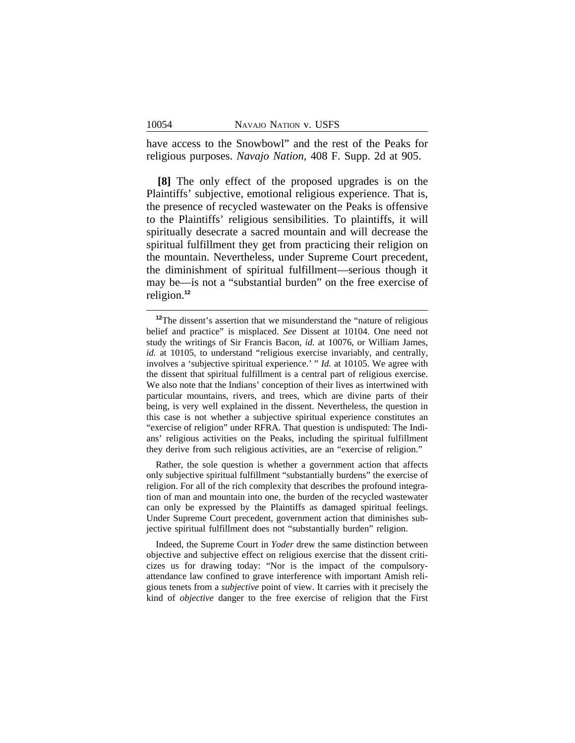have access to the Snowbowl" and the rest of the Peaks for religious purposes. *Navajo Nation*, 408 F. Supp. 2d at 905.

**[8]** The only effect of the proposed upgrades is on the Plaintiffs' subjective, emotional religious experience. That is, the presence of recycled wastewater on the Peaks is offensive to the Plaintiffs' religious sensibilities. To plaintiffs, it will spiritually desecrate a sacred mountain and will decrease the spiritual fulfillment they get from practicing their religion on the mountain. Nevertheless, under Supreme Court precedent, the diminishment of spiritual fulfillment—serious though it may be—is not a "substantial burden" on the free exercise of religion.**<sup>12</sup>**

Rather, the sole question is whether a government action that affects only subjective spiritual fulfillment "substantially burdens" the exercise of religion. For all of the rich complexity that describes the profound integration of man and mountain into one, the burden of the recycled wastewater can only be expressed by the Plaintiffs as damaged spiritual feelings. Under Supreme Court precedent, government action that diminishes subjective spiritual fulfillment does not "substantially burden" religion.

Indeed, the Supreme Court in *Yoder* drew the same distinction between objective and subjective effect on religious exercise that the dissent criticizes us for drawing today: "Nor is the impact of the compulsoryattendance law confined to grave interference with important Amish religious tenets from a *subjective* point of view. It carries with it precisely the kind of *objective* danger to the free exercise of religion that the First

**<sup>12</sup>**The dissent's assertion that we misunderstand the "nature of religious belief and practice" is misplaced. *See* Dissent at 10104. One need not study the writings of Sir Francis Bacon, *id.* at 10076, or William James, *id.* at 10105, to understand "religious exercise invariably, and centrally, involves a 'subjective spiritual experience.' " *Id.* at 10105. We agree with the dissent that spiritual fulfillment is a central part of religious exercise. We also note that the Indians' conception of their lives as intertwined with particular mountains, rivers, and trees, which are divine parts of their being, is very well explained in the dissent. Nevertheless, the question in this case is not whether a subjective spiritual experience constitutes an "exercise of religion" under RFRA. That question is undisputed: The Indians' religious activities on the Peaks, including the spiritual fulfillment they derive from such religious activities, are an "exercise of religion."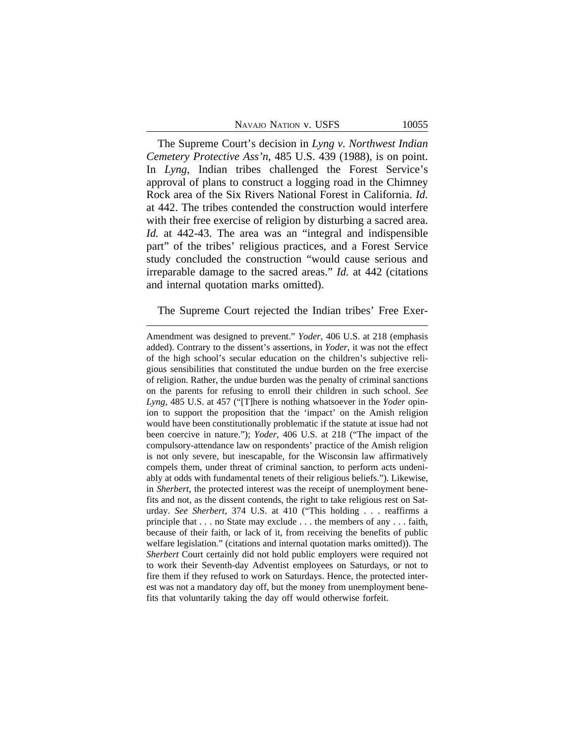NAVAJO NATION V. USFS 10055

The Supreme Court's decision in *Lyng v. Northwest Indian Cemetery Protective Ass'n*, 485 U.S. 439 (1988), is on point. In *Lyng*, Indian tribes challenged the Forest Service's approval of plans to construct a logging road in the Chimney Rock area of the Six Rivers National Forest in California. *Id.* at 442. The tribes contended the construction would interfere with their free exercise of religion by disturbing a sacred area. *Id.* at 442-43. The area was an "integral and indispensible part" of the tribes' religious practices, and a Forest Service study concluded the construction "would cause serious and irreparable damage to the sacred areas." *Id.* at 442 (citations and internal quotation marks omitted).

The Supreme Court rejected the Indian tribes' Free Exer-

Amendment was designed to prevent." *Yoder*, 406 U.S. at 218 (emphasis added). Contrary to the dissent's assertions, in *Yoder*, it was not the effect of the high school's secular education on the children's subjective religious sensibilities that constituted the undue burden on the free exercise of religion. Rather, the undue burden was the penalty of criminal sanctions on the parents for refusing to enroll their children in such school. *See Lyng*, 485 U.S. at 457 ("[T]here is nothing whatsoever in the *Yoder* opinion to support the proposition that the 'impact' on the Amish religion would have been constitutionally problematic if the statute at issue had not been coercive in nature."); *Yoder*, 406 U.S. at 218 ("The impact of the compulsory-attendance law on respondents' practice of the Amish religion is not only severe, but inescapable, for the Wisconsin law affirmatively compels them, under threat of criminal sanction, to perform acts undeniably at odds with fundamental tenets of their religious beliefs."). Likewise, in *Sherbert*, the protected interest was the receipt of unemployment benefits and not, as the dissent contends, the right to take religious rest on Saturday. *See Sherbert*, 374 U.S. at 410 ("This holding . . . reaffirms a principle that . . . no State may exclude . . . the members of any . . . faith, because of their faith, or lack of it, from receiving the benefits of public welfare legislation." (citations and internal quotation marks omitted)). The *Sherbert* Court certainly did not hold public employers were required not to work their Seventh-day Adventist employees on Saturdays, or not to fire them if they refused to work on Saturdays. Hence, the protected interest was not a mandatory day off, but the money from unemployment benefits that voluntarily taking the day off would otherwise forfeit.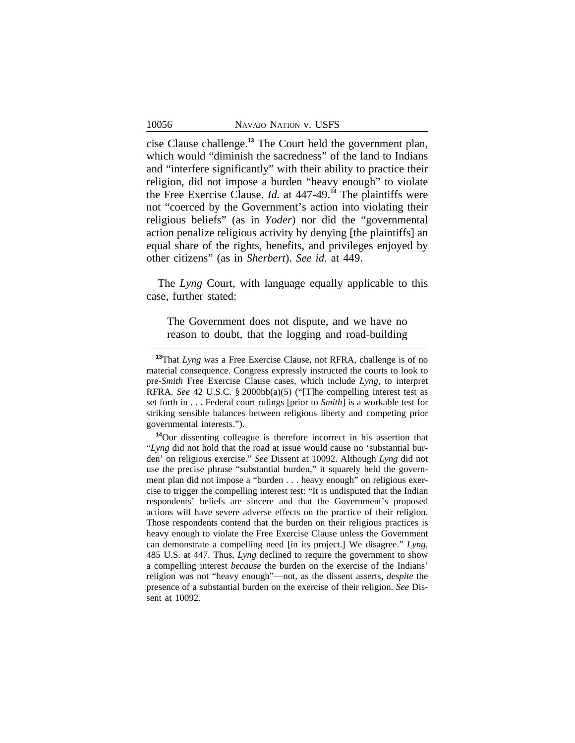cise Clause challenge.**<sup>13</sup>** The Court held the government plan, which would "diminish the sacredness" of the land to Indians and "interfere significantly" with their ability to practice their religion, did not impose a burden "heavy enough" to violate the Free Exercise Clause. *Id.* at 447-49.**<sup>14</sup>** The plaintiffs were not "coerced by the Government's action into violating their religious beliefs" (as in *Yoder*) nor did the "governmental action penalize religious activity by denying [the plaintiffs] an equal share of the rights, benefits, and privileges enjoyed by other citizens" (as in *Sherbert*). *See id.* at 449.

The *Lyng* Court, with language equally applicable to this case, further stated:

The Government does not dispute, and we have no reason to doubt, that the logging and road-building

**<sup>13</sup>**That *Lyng* was a Free Exercise Clause, not RFRA, challenge is of no material consequence. Congress expressly instructed the courts to look to pre-*Smith* Free Exercise Clause cases, which include *Lyng*, to interpret RFRA. *See* 42 U.S.C. § 2000bb(a)(5) ("[T]he compelling interest test as set forth in . . . Federal court rulings [prior to *Smith*] is a workable test for striking sensible balances between religious liberty and competing prior governmental interests.").

**<sup>14</sup>**Our dissenting colleague is therefore incorrect in his assertion that "*Lyng* did not hold that the road at issue would cause no 'substantial burden' on religious exercise." *See* Dissent at 10092. Although *Lyng* did not use the precise phrase "substantial burden," it squarely held the government plan did not impose a "burden . . . heavy enough" on religious exercise to trigger the compelling interest test: "It is undisputed that the Indian respondents' beliefs are sincere and that the Government's proposed actions will have severe adverse effects on the practice of their religion. Those respondents contend that the burden on their religious practices is heavy enough to violate the Free Exercise Clause unless the Government can demonstrate a compelling need [in its project.] We disagree." *Lyng*, 485 U.S. at 447. Thus, *Lyng* declined to require the government to show a compelling interest *because* the burden on the exercise of the Indians' religion was not "heavy enough"—not, as the dissent asserts, *despite* the presence of a substantial burden on the exercise of their religion. *See* Dissent at 10092.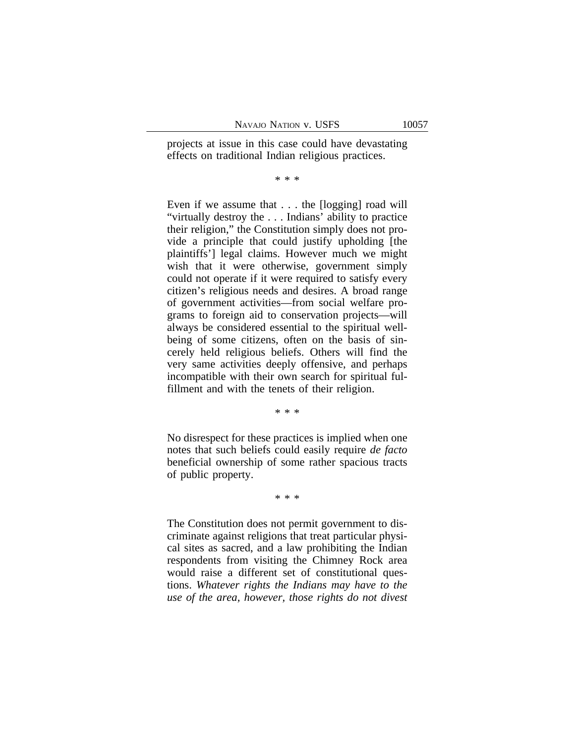projects at issue in this case could have devastating effects on traditional Indian religious practices.

\* \* \*

Even if we assume that . . . the [logging] road will "virtually destroy the . . . Indians' ability to practice their religion," the Constitution simply does not provide a principle that could justify upholding [the plaintiffs'] legal claims. However much we might wish that it were otherwise, government simply could not operate if it were required to satisfy every citizen's religious needs and desires. A broad range of government activities—from social welfare programs to foreign aid to conservation projects—will always be considered essential to the spiritual wellbeing of some citizens, often on the basis of sincerely held religious beliefs. Others will find the very same activities deeply offensive, and perhaps incompatible with their own search for spiritual fulfillment and with the tenets of their religion.

\* \* \*

No disrespect for these practices is implied when one notes that such beliefs could easily require *de facto* beneficial ownership of some rather spacious tracts of public property.

\* \* \*

The Constitution does not permit government to discriminate against religions that treat particular physical sites as sacred, and a law prohibiting the Indian respondents from visiting the Chimney Rock area would raise a different set of constitutional questions. *Whatever rights the Indians may have to the use of the area, however, those rights do not divest*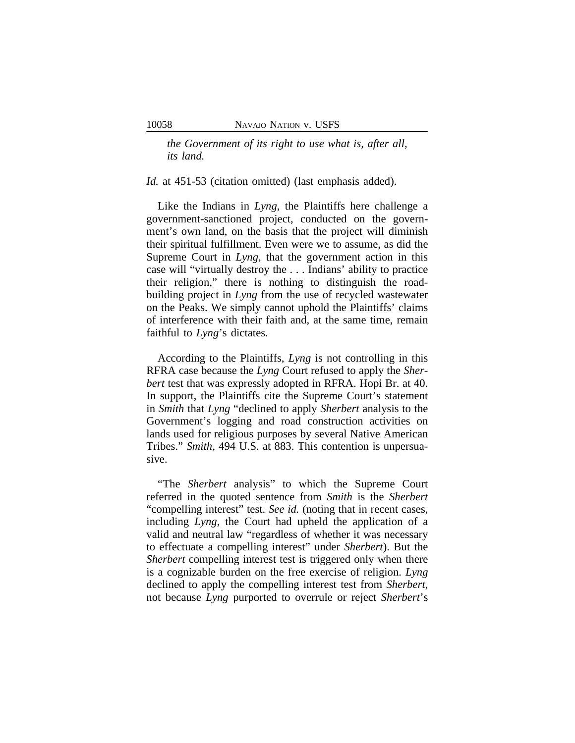*the Government of its right to use what is, after all, its land.* 

*Id.* at 451-53 (citation omitted) (last emphasis added).

Like the Indians in *Lyng*, the Plaintiffs here challenge a government-sanctioned project, conducted on the government's own land, on the basis that the project will diminish their spiritual fulfillment. Even were we to assume, as did the Supreme Court in *Lyng*, that the government action in this case will "virtually destroy the . . . Indians' ability to practice their religion," there is nothing to distinguish the roadbuilding project in *Lyng* from the use of recycled wastewater on the Peaks. We simply cannot uphold the Plaintiffs' claims of interference with their faith and, at the same time, remain faithful to *Lyng*'s dictates.

According to the Plaintiffs, *Lyng* is not controlling in this RFRA case because the *Lyng* Court refused to apply the *Sherbert* test that was expressly adopted in RFRA. Hopi Br. at 40. In support, the Plaintiffs cite the Supreme Court's statement in *Smith* that *Lyng* "declined to apply *Sherbert* analysis to the Government's logging and road construction activities on lands used for religious purposes by several Native American Tribes." *Smith*, 494 U.S. at 883. This contention is unpersuasive.

"The *Sherbert* analysis" to which the Supreme Court referred in the quoted sentence from *Smith* is the *Sherbert* "compelling interest" test. *See id.* (noting that in recent cases, including *Lyng*, the Court had upheld the application of a valid and neutral law "regardless of whether it was necessary to effectuate a compelling interest" under *Sherbert*). But the *Sherbert* compelling interest test is triggered only when there is a cognizable burden on the free exercise of religion. *Lyng* declined to apply the compelling interest test from *Sherbert*, not because *Lyng* purported to overrule or reject *Sherbert*'s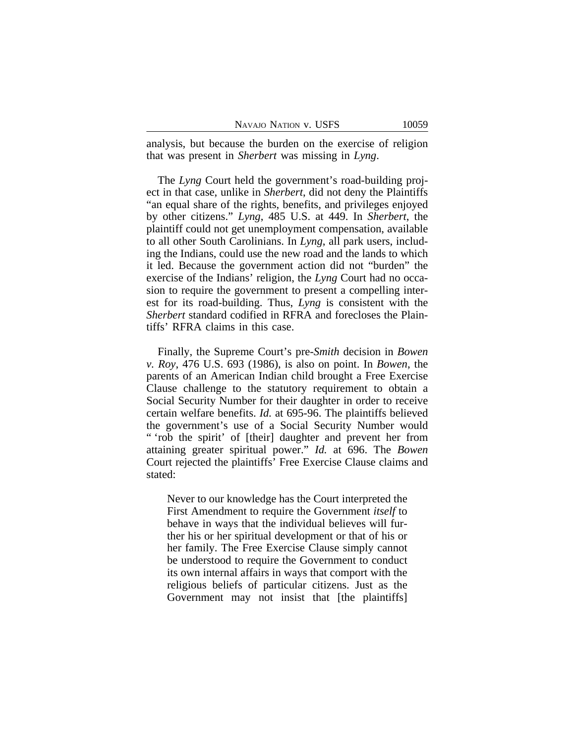analysis, but because the burden on the exercise of religion that was present in *Sherbert* was missing in *Lyng*.

The *Lyng* Court held the government's road-building project in that case, unlike in *Sherbert*, did not deny the Plaintiffs "an equal share of the rights, benefits, and privileges enjoyed by other citizens." *Lyng*, 485 U.S. at 449. In *Sherbert*, the plaintiff could not get unemployment compensation, available to all other South Carolinians. In *Lyng*, all park users, including the Indians, could use the new road and the lands to which it led. Because the government action did not "burden" the exercise of the Indians' religion, the *Lyng* Court had no occasion to require the government to present a compelling interest for its road-building. Thus, *Lyng* is consistent with the *Sherbert* standard codified in RFRA and forecloses the Plaintiffs' RFRA claims in this case.

Finally, the Supreme Court's pre-*Smith* decision in *Bowen v. Roy*, 476 U.S. 693 (1986), is also on point. In *Bowen*, the parents of an American Indian child brought a Free Exercise Clause challenge to the statutory requirement to obtain a Social Security Number for their daughter in order to receive certain welfare benefits. *Id.* at 695-96. The plaintiffs believed the government's use of a Social Security Number would " 'rob the spirit' of [their] daughter and prevent her from attaining greater spiritual power." *Id.* at 696. The *Bowen* Court rejected the plaintiffs' Free Exercise Clause claims and stated:

Never to our knowledge has the Court interpreted the First Amendment to require the Government *itself* to behave in ways that the individual believes will further his or her spiritual development or that of his or her family. The Free Exercise Clause simply cannot be understood to require the Government to conduct its own internal affairs in ways that comport with the religious beliefs of particular citizens. Just as the Government may not insist that [the plaintiffs]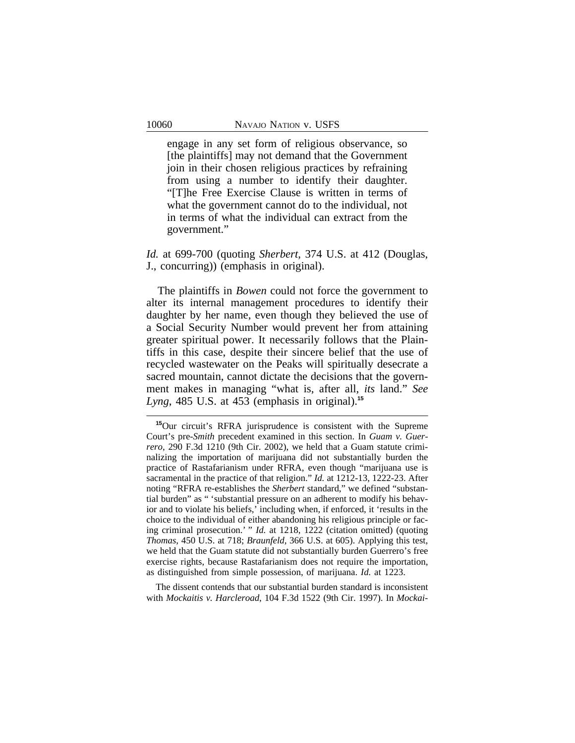engage in any set form of religious observance, so [the plaintiffs] may not demand that the Government join in their chosen religious practices by refraining from using a number to identify their daughter. "[T]he Free Exercise Clause is written in terms of what the government cannot do to the individual, not in terms of what the individual can extract from the government."

## *Id.* at 699-700 (quoting *Sherbert*, 374 U.S. at 412 (Douglas, J., concurring)) (emphasis in original).

The plaintiffs in *Bowen* could not force the government to alter its internal management procedures to identify their daughter by her name, even though they believed the use of a Social Security Number would prevent her from attaining greater spiritual power. It necessarily follows that the Plaintiffs in this case, despite their sincere belief that the use of recycled wastewater on the Peaks will spiritually desecrate a sacred mountain, cannot dictate the decisions that the government makes in managing "what is, after all, *its* land." *See Lyng*, 485 U.S. at 453 (emphasis in original).**<sup>15</sup>**

The dissent contends that our substantial burden standard is inconsistent with *Mockaitis v. Harcleroad*, 104 F.3d 1522 (9th Cir. 1997). In *Mockai-*

**<sup>15</sup>**Our circuit's RFRA jurisprudence is consistent with the Supreme Court's pre-*Smith* precedent examined in this section. In *Guam v. Guerrero*, 290 F.3d 1210 (9th Cir. 2002), we held that a Guam statute criminalizing the importation of marijuana did not substantially burden the practice of Rastafarianism under RFRA, even though "marijuana use is sacramental in the practice of that religion." *Id.* at 1212-13, 1222-23. After noting "RFRA re-establishes the *Sherbert* standard," we defined "substantial burden" as " 'substantial pressure on an adherent to modify his behavior and to violate his beliefs,' including when, if enforced, it 'results in the choice to the individual of either abandoning his religious principle or facing criminal prosecution.' " *Id.* at 1218, 1222 (citation omitted) (quoting *Thomas*, 450 U.S. at 718; *Braunfeld*, 366 U.S. at 605). Applying this test, we held that the Guam statute did not substantially burden Guerrero's free exercise rights, because Rastafarianism does not require the importation, as distinguished from simple possession, of marijuana. *Id.* at 1223.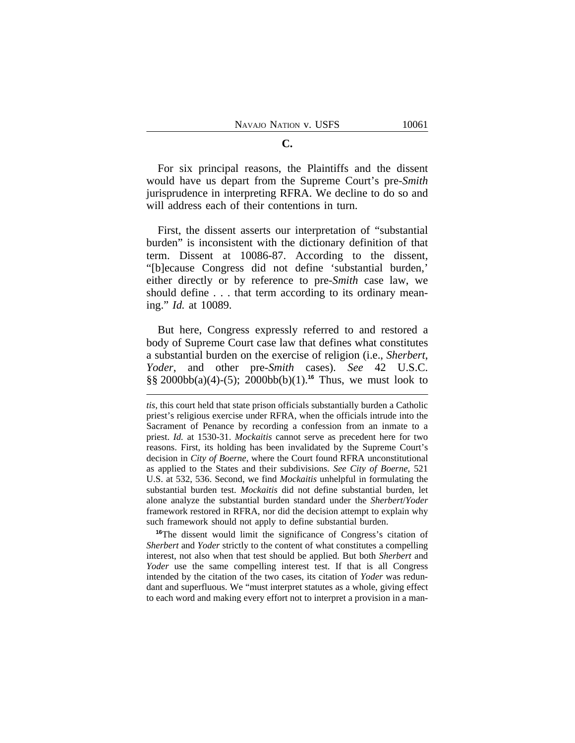For six principal reasons, the Plaintiffs and the dissent would have us depart from the Supreme Court's pre*-Smith* jurisprudence in interpreting RFRA. We decline to do so and will address each of their contentions in turn.

First, the dissent asserts our interpretation of "substantial burden" is inconsistent with the dictionary definition of that term. Dissent at 10086-87. According to the dissent, "[b]ecause Congress did not define 'substantial burden,' either directly or by reference to pre-*Smith* case law, we should define . . . that term according to its ordinary meaning." *Id.* at 10089.

But here, Congress expressly referred to and restored a body of Supreme Court case law that defines what constitutes a substantial burden on the exercise of religion (i.e., *Sherbert*, *Yoder*, and other pre-*Smith* cases). *See* 42 U.S.C. §§ 2000bb(a)(4)-(5); 2000bb(b)(1).**<sup>16</sup>** Thus, we must look to

**<sup>16</sup>**The dissent would limit the significance of Congress's citation of *Sherbert* and *Yoder* strictly to the content of what constitutes a compelling interest, not also when that test should be applied. But both *Sherbert* and *Yoder* use the same compelling interest test. If that is all Congress intended by the citation of the two cases, its citation of *Yoder* was redundant and superfluous. We "must interpret statutes as a whole, giving effect to each word and making every effort not to interpret a provision in a man-

# **C.**

*tis*, this court held that state prison officials substantially burden a Catholic priest's religious exercise under RFRA, when the officials intrude into the Sacrament of Penance by recording a confession from an inmate to a priest. *Id.* at 1530-31. *Mockaitis* cannot serve as precedent here for two reasons. First, its holding has been invalidated by the Supreme Court's decision in *City of Boerne*, where the Court found RFRA unconstitutional as applied to the States and their subdivisions. *See City of Boerne*, 521 U.S. at 532, 536. Second, we find *Mockaitis* unhelpful in formulating the substantial burden test. *Mockaitis* did not define substantial burden, let alone analyze the substantial burden standard under the *Sherbert*/*Yoder* framework restored in RFRA, nor did the decision attempt to explain why such framework should not apply to define substantial burden.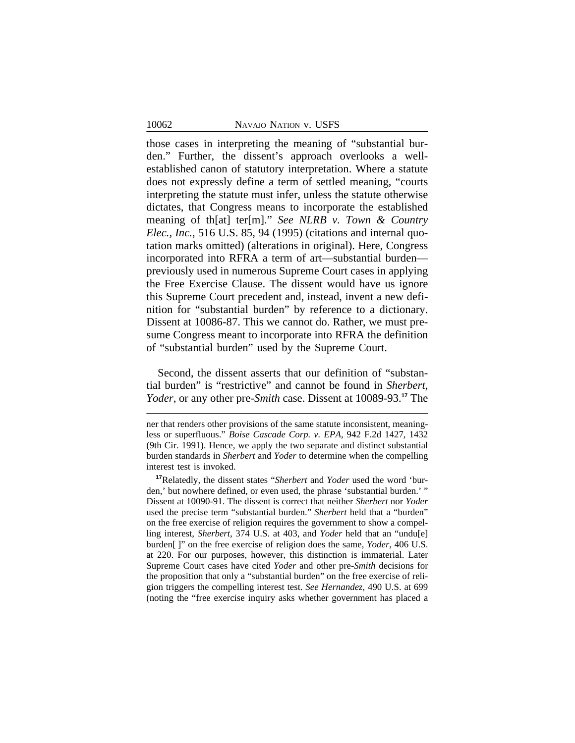those cases in interpreting the meaning of "substantial burden." Further, the dissent's approach overlooks a wellestablished canon of statutory interpretation. Where a statute does not expressly define a term of settled meaning, "courts interpreting the statute must infer, unless the statute otherwise dictates, that Congress means to incorporate the established meaning of th[at] ter[m]." *See NLRB v. Town & Country Elec., Inc.*, 516 U.S. 85, 94 (1995) (citations and internal quotation marks omitted) (alterations in original). Here, Congress incorporated into RFRA a term of art—substantial burden previously used in numerous Supreme Court cases in applying the Free Exercise Clause. The dissent would have us ignore this Supreme Court precedent and, instead, invent a new definition for "substantial burden" by reference to a dictionary. Dissent at 10086-87. This we cannot do. Rather, we must presume Congress meant to incorporate into RFRA the definition of "substantial burden" used by the Supreme Court.

Second, the dissent asserts that our definition of "substantial burden" is "restrictive" and cannot be found in *Sherbert*, *Yoder*, or any other pre-*Smith* case. Dissent at 10089-93.**<sup>17</sup>** The

ner that renders other provisions of the same statute inconsistent, meaningless or superfluous." *Boise Cascade Corp. v. EPA*, 942 F.2d 1427, 1432 (9th Cir. 1991). Hence, we apply the two separate and distinct substantial burden standards in *Sherbert* and *Yoder* to determine when the compelling interest test is invoked.

**<sup>17</sup>**Relatedly, the dissent states "*Sherbert* and *Yoder* used the word 'burden,' but nowhere defined, or even used, the phrase 'substantial burden.' " Dissent at 10090-91. The dissent is correct that neither *Sherbert* nor *Yoder* used the precise term "substantial burden." *Sherbert* held that a "burden" on the free exercise of religion requires the government to show a compelling interest, *Sherbert*, 374 U.S. at 403, and *Yoder* held that an "undu[e] burden[ ]" on the free exercise of religion does the same, *Yoder*, 406 U.S. at 220. For our purposes, however, this distinction is immaterial. Later Supreme Court cases have cited *Yoder* and other pre-*Smith* decisions for the proposition that only a "substantial burden" on the free exercise of religion triggers the compelling interest test. *See Hernandez*, 490 U.S. at 699 (noting the "free exercise inquiry asks whether government has placed a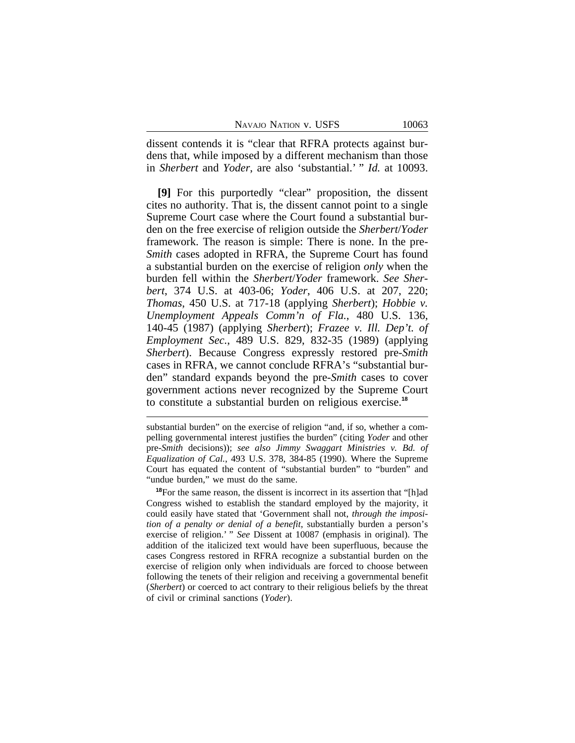dissent contends it is "clear that RFRA protects against burdens that, while imposed by a different mechanism than those in *Sherbert* and *Yoder*, are also 'substantial.' " *Id.* at 10093.

**[9]** For this purportedly "clear" proposition, the dissent cites no authority. That is, the dissent cannot point to a single Supreme Court case where the Court found a substantial burden on the free exercise of religion outside the *Sherbert*/*Yoder* framework. The reason is simple: There is none. In the pre-*Smith* cases adopted in RFRA, the Supreme Court has found a substantial burden on the exercise of religion *only* when the burden fell within the *Sherbert*/*Yoder* framework. *See Sherbert*, 374 U.S. at 403-06; *Yoder*, 406 U.S. at 207, 220; *Thomas*, 450 U.S. at 717-18 (applying *Sherbert*); *Hobbie v. Unemployment Appeals Comm'n of Fla.*, 480 U.S. 136, 140-45 (1987) (applying *Sherbert*); *Frazee v. Ill. Dep't. of Employment Sec.*, 489 U.S. 829, 832-35 (1989) (applying *Sherbert*). Because Congress expressly restored pre-*Smith* cases in RFRA, we cannot conclude RFRA's "substantial burden" standard expands beyond the pre-*Smith* cases to cover government actions never recognized by the Supreme Court to constitute a substantial burden on religious exercise.**<sup>18</sup>**

**<sup>18</sup>**For the same reason, the dissent is incorrect in its assertion that "[h]ad Congress wished to establish the standard employed by the majority, it could easily have stated that 'Government shall not, *through the imposition of a penalty or denial of a benefit*, substantially burden a person's exercise of religion.' " *See* Dissent at 10087 (emphasis in original). The addition of the italicized text would have been superfluous, because the cases Congress restored in RFRA recognize a substantial burden on the exercise of religion only when individuals are forced to choose between following the tenets of their religion and receiving a governmental benefit (*Sherbert*) or coerced to act contrary to their religious beliefs by the threat of civil or criminal sanctions (*Yoder*).

substantial burden" on the exercise of religion "and, if so, whether a compelling governmental interest justifies the burden" (citing *Yoder* and other pre-*Smith* decisions)); *see also Jimmy Swaggart Ministries v. Bd. of Equalization of Cal.*, 493 U.S. 378, 384-85 (1990). Where the Supreme Court has equated the content of "substantial burden" to "burden" and "undue burden," we must do the same.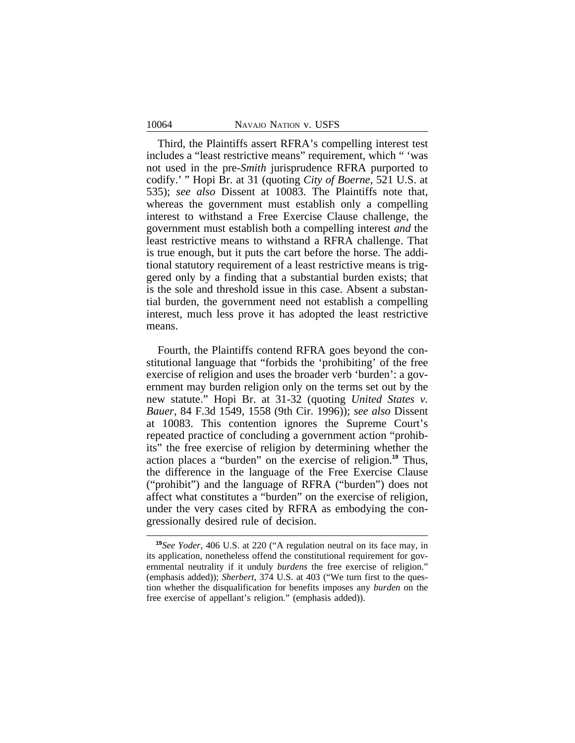#### 10064 NAVAJO NATION v. USFS

Third, the Plaintiffs assert RFRA's compelling interest test includes a "least restrictive means" requirement, which " 'was not used in the pre-*Smith* jurisprudence RFRA purported to codify.' " Hopi Br. at 31 (quoting *City of Boerne*, 521 U.S. at 535); *see also* Dissent at 10083. The Plaintiffs note that, whereas the government must establish only a compelling interest to withstand a Free Exercise Clause challenge, the government must establish both a compelling interest *and* the least restrictive means to withstand a RFRA challenge. That is true enough, but it puts the cart before the horse. The additional statutory requirement of a least restrictive means is triggered only by a finding that a substantial burden exists; that is the sole and threshold issue in this case. Absent a substantial burden, the government need not establish a compelling interest, much less prove it has adopted the least restrictive means.

Fourth, the Plaintiffs contend RFRA goes beyond the constitutional language that "forbids the 'prohibiting' of the free exercise of religion and uses the broader verb 'burden': a government may burden religion only on the terms set out by the new statute." Hopi Br. at 31-32 (quoting *United States v. Bauer*, 84 F.3d 1549, 1558 (9th Cir. 1996)); *see also* Dissent at 10083. This contention ignores the Supreme Court's repeated practice of concluding a government action "prohibits" the free exercise of religion by determining whether the action places a "burden" on the exercise of religion.**<sup>19</sup>** Thus, the difference in the language of the Free Exercise Clause ("prohibit") and the language of RFRA ("burden") does not affect what constitutes a "burden" on the exercise of religion, under the very cases cited by RFRA as embodying the congressionally desired rule of decision.

**<sup>19</sup>***See Yoder*, 406 U.S. at 220 ("A regulation neutral on its face may, in its application, nonetheless offend the constitutional requirement for governmental neutrality if it unduly *burdens* the free exercise of religion." (emphasis added)); *Sherbert*, 374 U.S. at 403 ("We turn first to the question whether the disqualification for benefits imposes any *burden* on the free exercise of appellant's religion." (emphasis added)).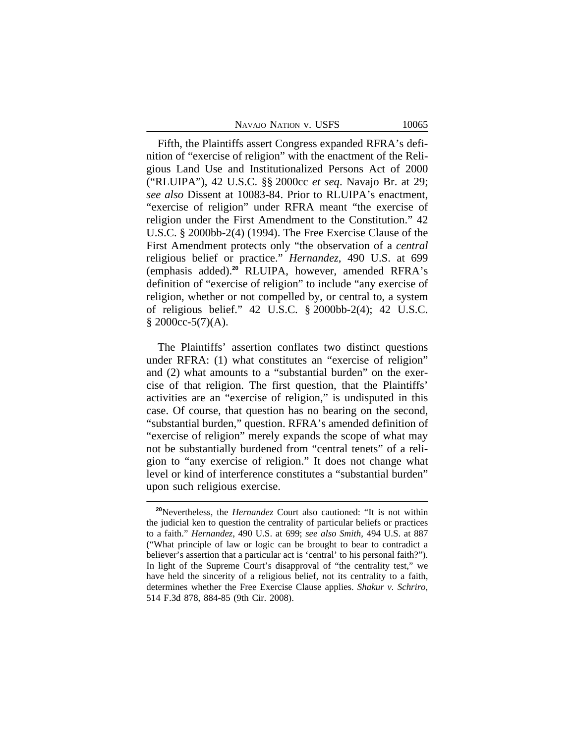|  | Navajo Nation v. USFS |  |  |  |
|--|-----------------------|--|--|--|
|--|-----------------------|--|--|--|

Fifth, the Plaintiffs assert Congress expanded RFRA's definition of "exercise of religion" with the enactment of the Religious Land Use and Institutionalized Persons Act of 2000 ("RLUIPA"), 42 U.S.C. §§ 2000cc *et seq*. Navajo Br. at 29; *see also* Dissent at 10083-84. Prior to RLUIPA's enactment, "exercise of religion" under RFRA meant "the exercise of religion under the First Amendment to the Constitution." 42 U.S.C. § 2000bb-2(4) (1994). The Free Exercise Clause of the First Amendment protects only "the observation of a *central* religious belief or practice." *Hernandez*, 490 U.S. at 699 (emphasis added).**<sup>20</sup>** RLUIPA, however, amended RFRA's definition of "exercise of religion" to include "any exercise of religion, whether or not compelled by, or central to, a system of religious belief." 42 U.S.C. § 2000bb-2(4); 42 U.S.C.  $$2000cc-5(7)(A).$ 

The Plaintiffs' assertion conflates two distinct questions under RFRA: (1) what constitutes an "exercise of religion" and (2) what amounts to a "substantial burden" on the exercise of that religion. The first question, that the Plaintiffs' activities are an "exercise of religion," is undisputed in this case. Of course, that question has no bearing on the second, "substantial burden," question. RFRA's amended definition of "exercise of religion" merely expands the scope of what may not be substantially burdened from "central tenets" of a religion to "any exercise of religion." It does not change what level or kind of interference constitutes a "substantial burden" upon such religious exercise.

**<sup>20</sup>**Nevertheless, the *Hernandez* Court also cautioned: "It is not within the judicial ken to question the centrality of particular beliefs or practices to a faith." *Hernandez*, 490 U.S. at 699; *see also Smith*, 494 U.S. at 887 ("What principle of law or logic can be brought to bear to contradict a believer's assertion that a particular act is 'central' to his personal faith?"). In light of the Supreme Court's disapproval of "the centrality test," we have held the sincerity of a religious belief, not its centrality to a faith, determines whether the Free Exercise Clause applies. *Shakur v. Schriro*, 514 F.3d 878, 884-85 (9th Cir. 2008).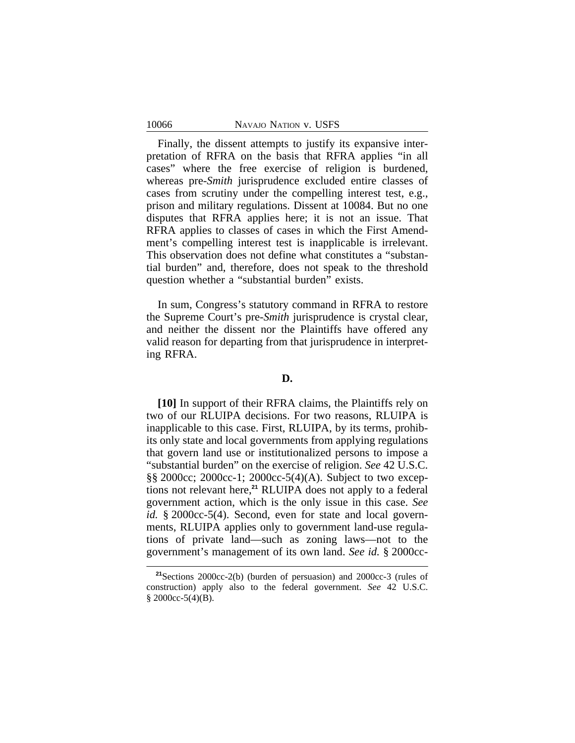Finally, the dissent attempts to justify its expansive interpretation of RFRA on the basis that RFRA applies "in all cases" where the free exercise of religion is burdened, whereas pre-*Smith* jurisprudence excluded entire classes of cases from scrutiny under the compelling interest test, e.g., prison and military regulations. Dissent at 10084. But no one disputes that RFRA applies here; it is not an issue. That RFRA applies to classes of cases in which the First Amendment's compelling interest test is inapplicable is irrelevant. This observation does not define what constitutes a "substantial burden" and, therefore, does not speak to the threshold question whether a "substantial burden" exists.

In sum, Congress's statutory command in RFRA to restore the Supreme Court's pre-*Smith* jurisprudence is crystal clear, and neither the dissent nor the Plaintiffs have offered any valid reason for departing from that jurisprudence in interpreting RFRA.

#### **D.**

**[10]** In support of their RFRA claims, the Plaintiffs rely on two of our RLUIPA decisions. For two reasons, RLUIPA is inapplicable to this case. First, RLUIPA, by its terms, prohibits only state and local governments from applying regulations that govern land use or institutionalized persons to impose a "substantial burden" on the exercise of religion. *See* 42 U.S.C. §§ 2000cc; 2000cc-1; 2000cc-5(4)(A). Subject to two exceptions not relevant here,**<sup>21</sup>** RLUIPA does not apply to a federal government action, which is the only issue in this case. *See id.* § 2000cc-5(4). Second, even for state and local governments, RLUIPA applies only to government land-use regulations of private land—such as zoning laws—not to the government's management of its own land. *See id.* § 2000cc-

**<sup>21</sup>**Sections 2000cc-2(b) (burden of persuasion) and 2000cc-3 (rules of construction) apply also to the federal government. *See* 42 U.S.C. § 2000cc-5(4)(B).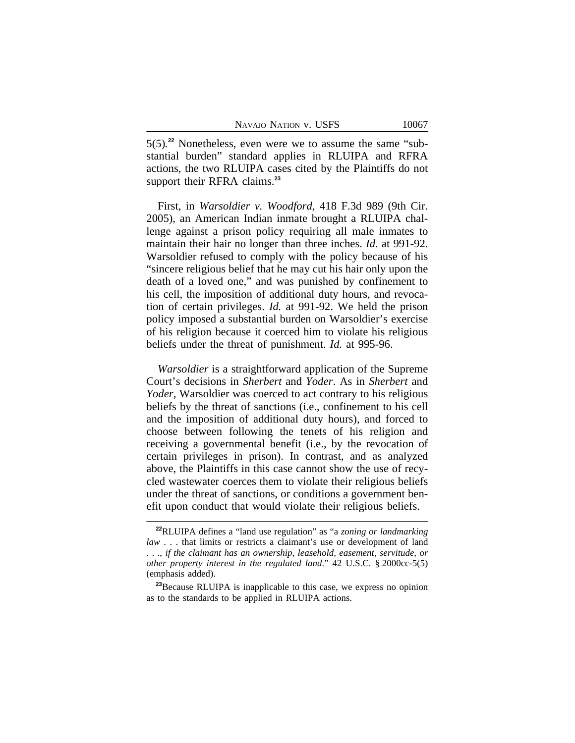5(5)*.* **22** Nonetheless, even were we to assume the same "substantial burden" standard applies in RLUIPA and RFRA actions, the two RLUIPA cases cited by the Plaintiffs do not support their RFRA claims.**<sup>23</sup>**

First, in *Warsoldier v. Woodford*, 418 F.3d 989 (9th Cir. 2005), an American Indian inmate brought a RLUIPA challenge against a prison policy requiring all male inmates to maintain their hair no longer than three inches. *Id.* at 991-92. Warsoldier refused to comply with the policy because of his "sincere religious belief that he may cut his hair only upon the death of a loved one," and was punished by confinement to his cell, the imposition of additional duty hours, and revocation of certain privileges. *Id.* at 991-92. We held the prison policy imposed a substantial burden on Warsoldier's exercise of his religion because it coerced him to violate his religious beliefs under the threat of punishment. *Id.* at 995-96.

*Warsoldier* is a straightforward application of the Supreme Court's decisions in *Sherbert* and *Yoder*. As in *Sherbert* and *Yoder*, Warsoldier was coerced to act contrary to his religious beliefs by the threat of sanctions (i.e., confinement to his cell and the imposition of additional duty hours), and forced to choose between following the tenets of his religion and receiving a governmental benefit (i.e., by the revocation of certain privileges in prison). In contrast, and as analyzed above, the Plaintiffs in this case cannot show the use of recycled wastewater coerces them to violate their religious beliefs under the threat of sanctions, or conditions a government benefit upon conduct that would violate their religious beliefs.

**<sup>22</sup>**RLUIPA defines a "land use regulation" as "a *zoning or landmarking law* . . . that limits or restricts a claimant's use or development of land . . ., *if the claimant has an ownership, leasehold, easement, servitude, or other property interest in the regulated land*." 42 U.S.C. § 2000cc-5(5) (emphasis added).

**<sup>23</sup>**Because RLUIPA is inapplicable to this case, we express no opinion as to the standards to be applied in RLUIPA actions.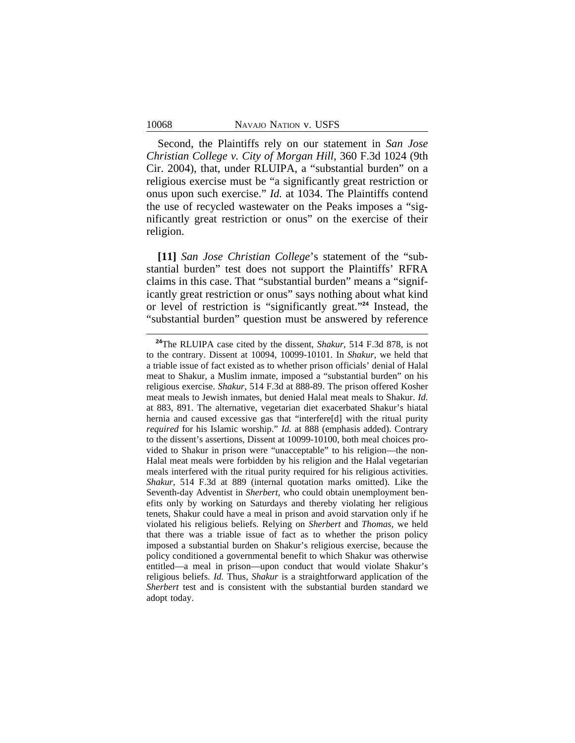Second, the Plaintiffs rely on our statement in *San Jose Christian College v. City of Morgan Hill*, 360 F.3d 1024 (9th Cir. 2004), that, under RLUIPA, a "substantial burden" on a religious exercise must be "a significantly great restriction or onus upon such exercise." *Id.* at 1034. The Plaintiffs contend the use of recycled wastewater on the Peaks imposes a "significantly great restriction or onus" on the exercise of their religion.

**[11]** *San Jose Christian College*'s statement of the "substantial burden" test does not support the Plaintiffs' RFRA claims in this case. That "substantial burden" means a "significantly great restriction or onus" says nothing about what kind or level of restriction is "significantly great." **<sup>24</sup>** Instead, the "substantial burden" question must be answered by reference

**<sup>24</sup>**The RLUIPA case cited by the dissent, *Shakur*, 514 F.3d 878, is not to the contrary. Dissent at 10094, 10099-10101. In *Shakur*, we held that a triable issue of fact existed as to whether prison officials' denial of Halal meat to Shakur, a Muslim inmate, imposed a "substantial burden" on his religious exercise. *Shakur*, 514 F.3d at 888-89. The prison offered Kosher meat meals to Jewish inmates, but denied Halal meat meals to Shakur. *Id.* at 883, 891. The alternative, vegetarian diet exacerbated Shakur's hiatal hernia and caused excessive gas that "interfere[d] with the ritual purity *required* for his Islamic worship." *Id.* at 888 (emphasis added). Contrary to the dissent's assertions, Dissent at 10099-10100, both meal choices provided to Shakur in prison were "unacceptable" to his religion—the non-Halal meat meals were forbidden by his religion and the Halal vegetarian meals interfered with the ritual purity required for his religious activities. *Shakur*, 514 F.3d at 889 (internal quotation marks omitted). Like the Seventh-day Adventist in *Sherbert*, who could obtain unemployment benefits only by working on Saturdays and thereby violating her religious tenets, Shakur could have a meal in prison and avoid starvation only if he violated his religious beliefs. Relying on *Sherbert* and *Thomas*, we held that there was a triable issue of fact as to whether the prison policy imposed a substantial burden on Shakur's religious exercise, because the policy conditioned a governmental benefit to which Shakur was otherwise entitled—a meal in prison—upon conduct that would violate Shakur's religious beliefs. *Id.* Thus, *Shakur* is a straightforward application of the *Sherbert* test and is consistent with the substantial burden standard we adopt today.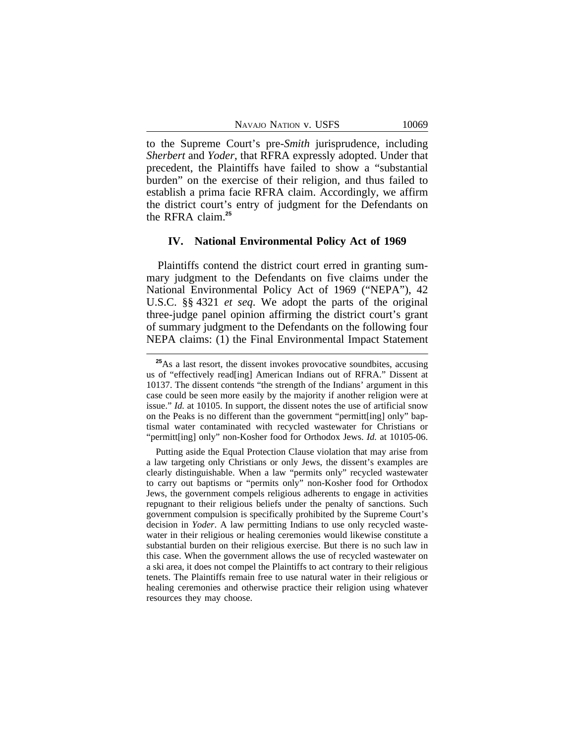NAVAJO NATION V. USFS 10069

to the Supreme Court's pre-*Smith* jurisprudence, including *Sherbert* and *Yoder*, that RFRA expressly adopted. Under that precedent, the Plaintiffs have failed to show a "substantial burden" on the exercise of their religion, and thus failed to establish a prima facie RFRA claim. Accordingly, we affirm the district court's entry of judgment for the Defendants on the RFRA claim.**<sup>25</sup>**

#### **IV. National Environmental Policy Act of 1969**

Plaintiffs contend the district court erred in granting summary judgment to the Defendants on five claims under the National Environmental Policy Act of 1969 ("NEPA"), 42 U.S.C. §§ 4321 *et seq*. We adopt the parts of the original three-judge panel opinion affirming the district court's grant of summary judgment to the Defendants on the following four NEPA claims: (1) the Final Environmental Impact Statement

**<sup>25</sup>**As a last resort, the dissent invokes provocative soundbites, accusing us of "effectively read[ing] American Indians out of RFRA." Dissent at 10137. The dissent contends "the strength of the Indians' argument in this case could be seen more easily by the majority if another religion were at issue." *Id.* at 10105. In support, the dissent notes the use of artificial snow on the Peaks is no different than the government "permitt[ing] only" baptismal water contaminated with recycled wastewater for Christians or "permitt[ing] only" non-Kosher food for Orthodox Jews. *Id.* at 10105-06.

Putting aside the Equal Protection Clause violation that may arise from a law targeting only Christians or only Jews, the dissent's examples are clearly distinguishable. When a law "permits only" recycled wastewater to carry out baptisms or "permits only" non-Kosher food for Orthodox Jews, the government compels religious adherents to engage in activities repugnant to their religious beliefs under the penalty of sanctions. Such government compulsion is specifically prohibited by the Supreme Court's decision in *Yoder*. A law permitting Indians to use only recycled wastewater in their religious or healing ceremonies would likewise constitute a substantial burden on their religious exercise. But there is no such law in this case. When the government allows the use of recycled wastewater on a ski area, it does not compel the Plaintiffs to act contrary to their religious tenets. The Plaintiffs remain free to use natural water in their religious or healing ceremonies and otherwise practice their religion using whatever resources they may choose.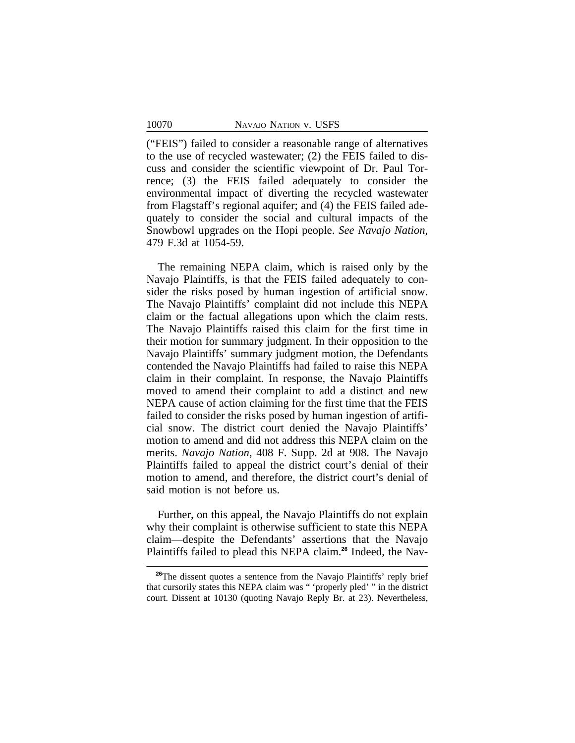("FEIS") failed to consider a reasonable range of alternatives to the use of recycled wastewater; (2) the FEIS failed to discuss and consider the scientific viewpoint of Dr. Paul Torrence; (3) the FEIS failed adequately to consider the environmental impact of diverting the recycled wastewater from Flagstaff's regional aquifer; and (4) the FEIS failed adequately to consider the social and cultural impacts of the Snowbowl upgrades on the Hopi people. *See Navajo Nation*, 479 F.3d at 1054-59.

The remaining NEPA claim, which is raised only by the Navajo Plaintiffs, is that the FEIS failed adequately to consider the risks posed by human ingestion of artificial snow. The Navajo Plaintiffs' complaint did not include this NEPA claim or the factual allegations upon which the claim rests. The Navajo Plaintiffs raised this claim for the first time in their motion for summary judgment. In their opposition to the Navajo Plaintiffs' summary judgment motion, the Defendants contended the Navajo Plaintiffs had failed to raise this NEPA claim in their complaint. In response, the Navajo Plaintiffs moved to amend their complaint to add a distinct and new NEPA cause of action claiming for the first time that the FEIS failed to consider the risks posed by human ingestion of artificial snow. The district court denied the Navajo Plaintiffs' motion to amend and did not address this NEPA claim on the merits. *Navajo Nation*, 408 F. Supp. 2d at 908. The Navajo Plaintiffs failed to appeal the district court's denial of their motion to amend, and therefore, the district court's denial of said motion is not before us.

Further, on this appeal, the Navajo Plaintiffs do not explain why their complaint is otherwise sufficient to state this NEPA claim—despite the Defendants' assertions that the Navajo Plaintiffs failed to plead this NEPA claim.**26** Indeed, the Nav-

<sup>&</sup>lt;sup>26</sup>The dissent quotes a sentence from the Navajo Plaintiffs' reply brief that cursorily states this NEPA claim was " 'properly pled' " in the district court. Dissent at 10130 (quoting Navajo Reply Br. at 23). Nevertheless,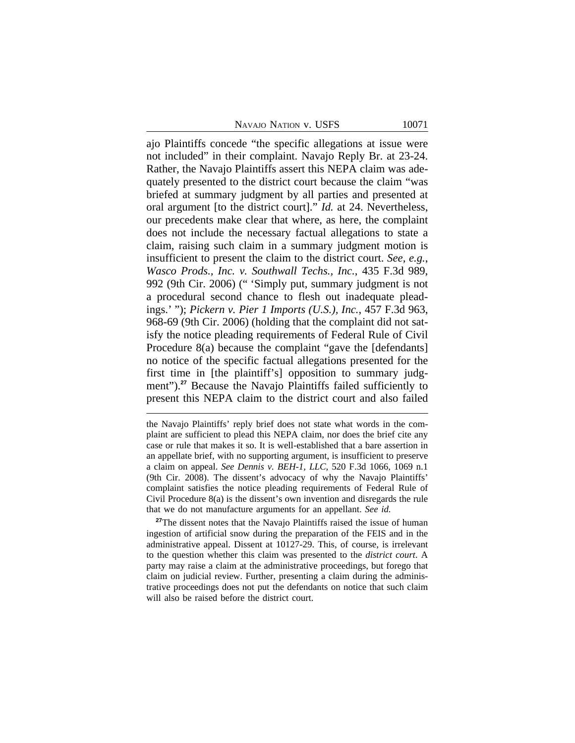NAVAJO NATION V. USFS 10071

ajo Plaintiffs concede "the specific allegations at issue were not included" in their complaint. Navajo Reply Br. at 23-24. Rather, the Navajo Plaintiffs assert this NEPA claim was adequately presented to the district court because the claim "was briefed at summary judgment by all parties and presented at oral argument [to the district court]." *Id.* at 24. Nevertheless, our precedents make clear that where, as here, the complaint does not include the necessary factual allegations to state a claim, raising such claim in a summary judgment motion is insufficient to present the claim to the district court. *See, e.g.*, *Wasco Prods., Inc. v. Southwall Techs., Inc.*, 435 F.3d 989, 992 (9th Cir. 2006) (" 'Simply put, summary judgment is not a procedural second chance to flesh out inadequate pleadings.' "); *Pickern v. Pier 1 Imports (U.S.), Inc.*, 457 F.3d 963, 968-69 (9th Cir. 2006) (holding that the complaint did not satisfy the notice pleading requirements of Federal Rule of Civil Procedure 8(a) because the complaint "gave the [defendants] no notice of the specific factual allegations presented for the first time in [the plaintiff's] opposition to summary judgment").<sup>27</sup> Because the Navajo Plaintiffs failed sufficiently to present this NEPA claim to the district court and also failed

<sup>27</sup>The dissent notes that the Navajo Plaintiffs raised the issue of human ingestion of artificial snow during the preparation of the FEIS and in the administrative appeal. Dissent at 10127-29. This, of course, is irrelevant to the question whether this claim was presented to the *district court*. A party may raise a claim at the administrative proceedings, but forego that claim on judicial review. Further, presenting a claim during the administrative proceedings does not put the defendants on notice that such claim will also be raised before the district court.

the Navajo Plaintiffs' reply brief does not state what words in the complaint are sufficient to plead this NEPA claim, nor does the brief cite any case or rule that makes it so. It is well-established that a bare assertion in an appellate brief, with no supporting argument, is insufficient to preserve a claim on appeal. *See Dennis v. BEH-1, LLC*, 520 F.3d 1066, 1069 n.1 (9th Cir. 2008). The dissent's advocacy of why the Navajo Plaintiffs' complaint satisfies the notice pleading requirements of Federal Rule of Civil Procedure 8(a) is the dissent's own invention and disregards the rule that we do not manufacture arguments for an appellant. *See id.*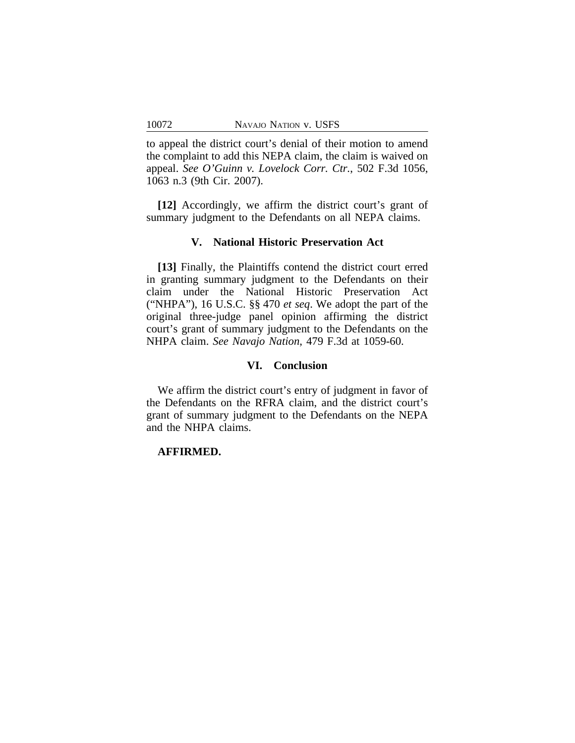to appeal the district court's denial of their motion to amend the complaint to add this NEPA claim, the claim is waived on appeal. *See O'Guinn v. Lovelock Corr. Ctr.*, 502 F.3d 1056, 1063 n.3 (9th Cir. 2007).

**[12]** Accordingly, we affirm the district court's grant of summary judgment to the Defendants on all NEPA claims.

# **V. National Historic Preservation Act**

**[13]** Finally, the Plaintiffs contend the district court erred in granting summary judgment to the Defendants on their claim under the National Historic Preservation Act ("NHPA"), 16 U.S.C. §§ 470 *et seq*. We adopt the part of the original three-judge panel opinion affirming the district court's grant of summary judgment to the Defendants on the NHPA claim. *See Navajo Nation*, 479 F.3d at 1059-60.

# **VI. Conclusion**

We affirm the district court's entry of judgment in favor of the Defendants on the RFRA claim, and the district court's grant of summary judgment to the Defendants on the NEPA and the NHPA claims.

# **AFFIRMED.**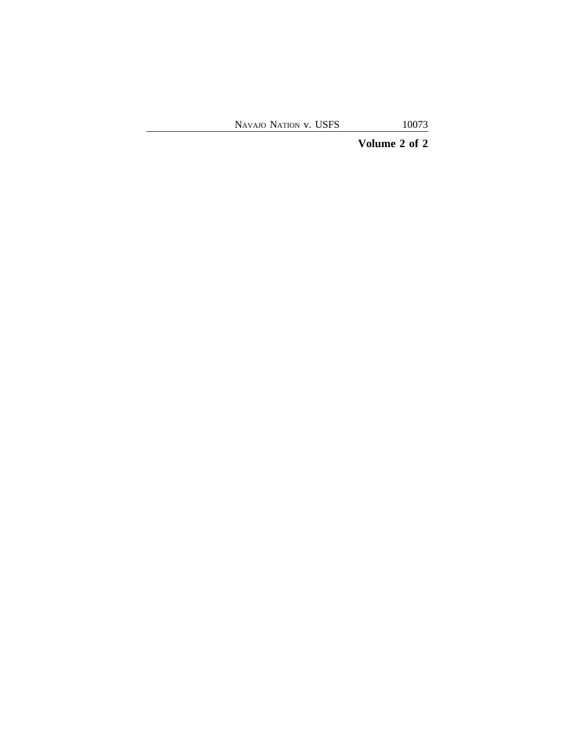NAVAJO NATION V. USFS 10073

**Volume 2 of 2**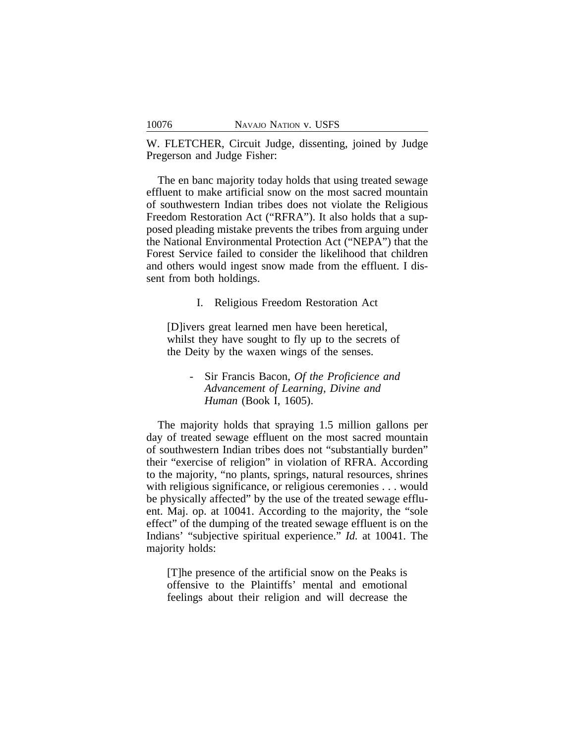W. FLETCHER, Circuit Judge, dissenting, joined by Judge Pregerson and Judge Fisher:

The en banc majority today holds that using treated sewage effluent to make artificial snow on the most sacred mountain of southwestern Indian tribes does not violate the Religious Freedom Restoration Act ("RFRA"). It also holds that a supposed pleading mistake prevents the tribes from arguing under the National Environmental Protection Act ("NEPA") that the Forest Service failed to consider the likelihood that children and others would ingest snow made from the effluent. I dissent from both holdings.

I. Religious Freedom Restoration Act

[D]ivers great learned men have been heretical, whilst they have sought to fly up to the secrets of the Deity by the waxen wings of the senses.

> - Sir Francis Bacon, *Of the Proficience and Advancement of Learning, Divine and Human* (Book I, 1605).

The majority holds that spraying 1.5 million gallons per day of treated sewage effluent on the most sacred mountain of southwestern Indian tribes does not "substantially burden" their "exercise of religion" in violation of RFRA. According to the majority, "no plants, springs, natural resources, shrines with religious significance, or religious ceremonies . . . would be physically affected" by the use of the treated sewage effluent. Maj. op. at 10041. According to the majority, the "sole effect" of the dumping of the treated sewage effluent is on the Indians' "subjective spiritual experience." *Id.* at 10041. The majority holds:

[T]he presence of the artificial snow on the Peaks is offensive to the Plaintiffs' mental and emotional feelings about their religion and will decrease the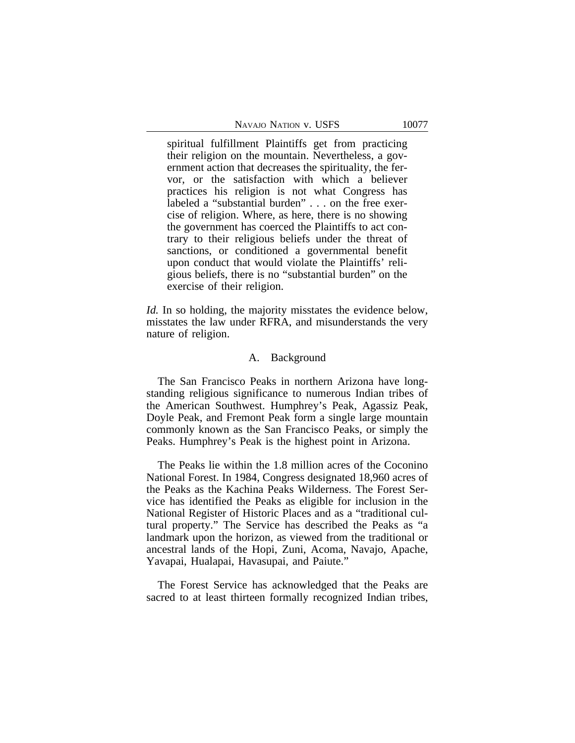spiritual fulfillment Plaintiffs get from practicing their religion on the mountain. Nevertheless, a government action that decreases the spirituality, the fervor, or the satisfaction with which a believer practices his religion is not what Congress has labeled a "substantial burden" . . . on the free exercise of religion. Where, as here, there is no showing the government has coerced the Plaintiffs to act contrary to their religious beliefs under the threat of sanctions, or conditioned a governmental benefit upon conduct that would violate the Plaintiffs' religious beliefs, there is no "substantial burden" on the exercise of their religion.

*Id.* In so holding, the majority misstates the evidence below, misstates the law under RFRA, and misunderstands the very nature of religion.

## A. Background

The San Francisco Peaks in northern Arizona have longstanding religious significance to numerous Indian tribes of the American Southwest. Humphrey's Peak, Agassiz Peak, Doyle Peak, and Fremont Peak form a single large mountain commonly known as the San Francisco Peaks, or simply the Peaks. Humphrey's Peak is the highest point in Arizona.

The Peaks lie within the 1.8 million acres of the Coconino National Forest. In 1984, Congress designated 18,960 acres of the Peaks as the Kachina Peaks Wilderness. The Forest Service has identified the Peaks as eligible for inclusion in the National Register of Historic Places and as a "traditional cultural property." The Service has described the Peaks as "a landmark upon the horizon, as viewed from the traditional or ancestral lands of the Hopi, Zuni, Acoma, Navajo, Apache, Yavapai, Hualapai, Havasupai, and Paiute."

The Forest Service has acknowledged that the Peaks are sacred to at least thirteen formally recognized Indian tribes,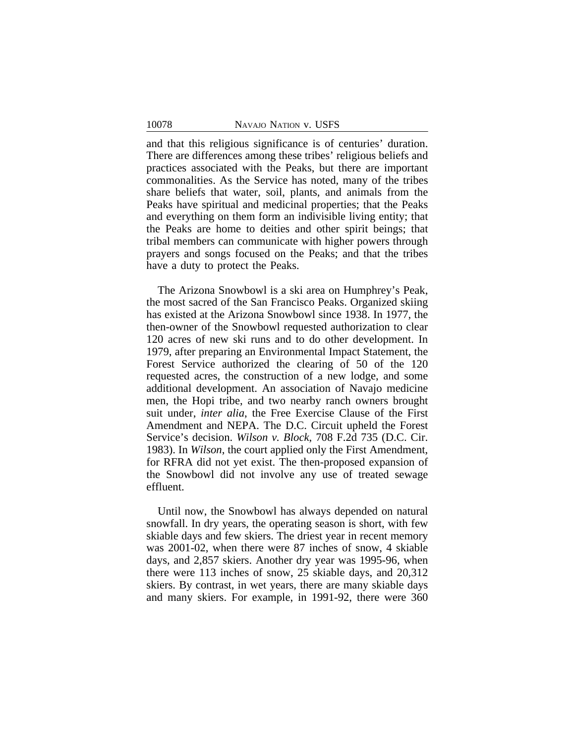and that this religious significance is of centuries' duration. There are differences among these tribes' religious beliefs and practices associated with the Peaks, but there are important commonalities. As the Service has noted, many of the tribes share beliefs that water, soil, plants, and animals from the Peaks have spiritual and medicinal properties; that the Peaks and everything on them form an indivisible living entity; that the Peaks are home to deities and other spirit beings; that tribal members can communicate with higher powers through prayers and songs focused on the Peaks; and that the tribes have a duty to protect the Peaks.

The Arizona Snowbowl is a ski area on Humphrey's Peak, the most sacred of the San Francisco Peaks. Organized skiing has existed at the Arizona Snowbowl since 1938. In 1977, the then-owner of the Snowbowl requested authorization to clear 120 acres of new ski runs and to do other development. In 1979, after preparing an Environmental Impact Statement, the Forest Service authorized the clearing of 50 of the 120 requested acres, the construction of a new lodge, and some additional development. An association of Navajo medicine men, the Hopi tribe, and two nearby ranch owners brought suit under, *inter alia*, the Free Exercise Clause of the First Amendment and NEPA. The D.C. Circuit upheld the Forest Service's decision. *Wilson v. Block*, 708 F.2d 735 (D.C. Cir. 1983). In *Wilson*, the court applied only the First Amendment, for RFRA did not yet exist. The then-proposed expansion of the Snowbowl did not involve any use of treated sewage effluent.

Until now, the Snowbowl has always depended on natural snowfall. In dry years, the operating season is short, with few skiable days and few skiers. The driest year in recent memory was 2001-02, when there were 87 inches of snow, 4 skiable days, and 2,857 skiers. Another dry year was 1995-96, when there were 113 inches of snow, 25 skiable days, and 20,312 skiers. By contrast, in wet years, there are many skiable days and many skiers. For example, in 1991-92, there were 360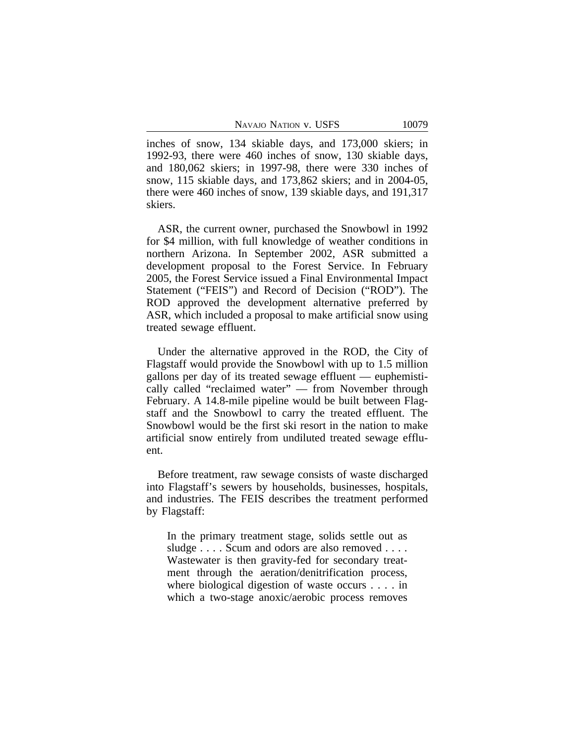inches of snow, 134 skiable days, and 173,000 skiers; in 1992-93, there were 460 inches of snow, 130 skiable days, and 180,062 skiers; in 1997-98, there were 330 inches of snow, 115 skiable days, and 173,862 skiers; and in 2004-05, there were 460 inches of snow, 139 skiable days, and 191,317 skiers.

ASR, the current owner, purchased the Snowbowl in 1992 for \$4 million, with full knowledge of weather conditions in northern Arizona. In September 2002, ASR submitted a development proposal to the Forest Service. In February 2005, the Forest Service issued a Final Environmental Impact Statement ("FEIS") and Record of Decision ("ROD"). The ROD approved the development alternative preferred by ASR, which included a proposal to make artificial snow using treated sewage effluent.

Under the alternative approved in the ROD, the City of Flagstaff would provide the Snowbowl with up to 1.5 million gallons per day of its treated sewage effluent — euphemistically called "reclaimed water" — from November through February. A 14.8-mile pipeline would be built between Flagstaff and the Snowbowl to carry the treated effluent. The Snowbowl would be the first ski resort in the nation to make artificial snow entirely from undiluted treated sewage effluent.

Before treatment, raw sewage consists of waste discharged into Flagstaff's sewers by households, businesses, hospitals, and industries. The FEIS describes the treatment performed by Flagstaff:

In the primary treatment stage, solids settle out as sludge . . . . Scum and odors are also removed . . . . Wastewater is then gravity-fed for secondary treatment through the aeration/denitrification process, where biological digestion of waste occurs . . . . in which a two-stage anoxic/aerobic process removes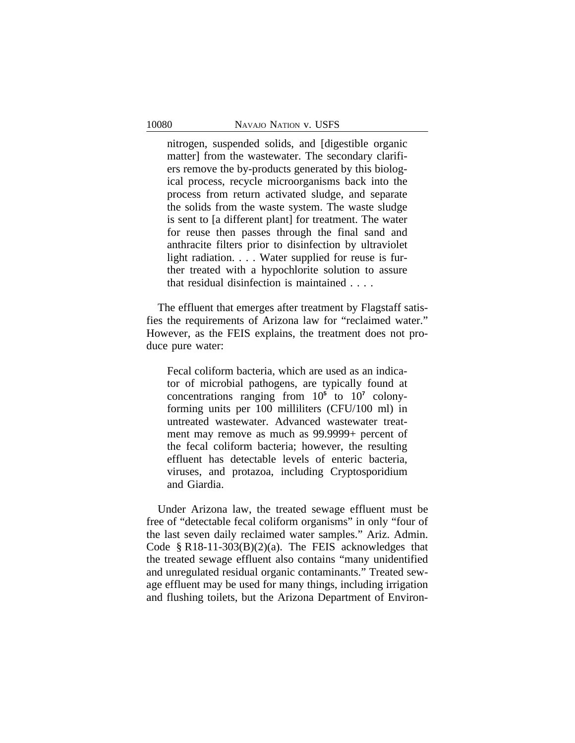nitrogen, suspended solids, and [digestible organic matter] from the wastewater. The secondary clarifiers remove the by-products generated by this biological process, recycle microorganisms back into the process from return activated sludge, and separate the solids from the waste system. The waste sludge is sent to [a different plant] for treatment. The water for reuse then passes through the final sand and anthracite filters prior to disinfection by ultraviolet light radiation. . . . Water supplied for reuse is further treated with a hypochlorite solution to assure that residual disinfection is maintained . . . .

The effluent that emerges after treatment by Flagstaff satisfies the requirements of Arizona law for "reclaimed water." However, as the FEIS explains, the treatment does not produce pure water:

Fecal coliform bacteria, which are used as an indicator of microbial pathogens, are typically found at concentrations ranging from  $10^5$  to  $10^7$  colonyforming units per 100 milliliters (CFU/100 ml) in untreated wastewater. Advanced wastewater treatment may remove as much as 99.9999+ percent of the fecal coliform bacteria; however, the resulting effluent has detectable levels of enteric bacteria, viruses, and protazoa, including Cryptosporidium and Giardia.

Under Arizona law, the treated sewage effluent must be free of "detectable fecal coliform organisms" in only "four of the last seven daily reclaimed water samples." Ariz. Admin. Code § R18-11-303 $(B)(2)(a)$ . The FEIS acknowledges that the treated sewage effluent also contains "many unidentified and unregulated residual organic contaminants." Treated sewage effluent may be used for many things, including irrigation and flushing toilets, but the Arizona Department of Environ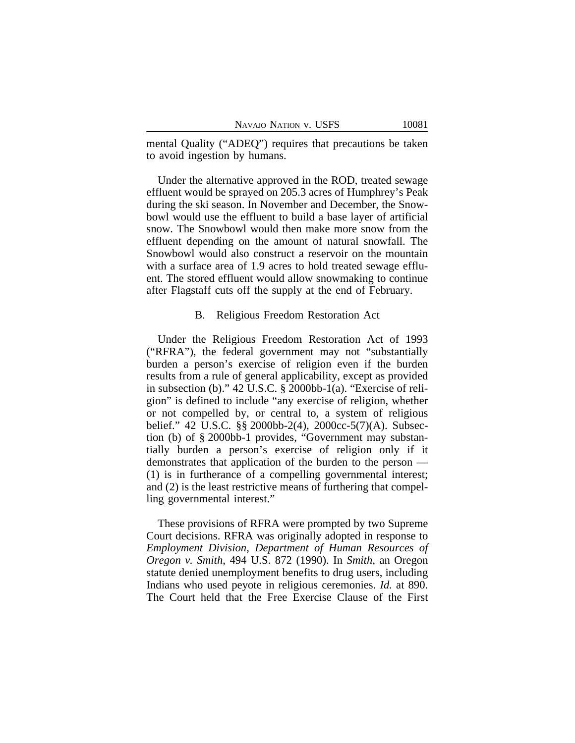mental Quality ("ADEQ") requires that precautions be taken to avoid ingestion by humans.

Under the alternative approved in the ROD, treated sewage effluent would be sprayed on 205.3 acres of Humphrey's Peak during the ski season. In November and December, the Snowbowl would use the effluent to build a base layer of artificial snow. The Snowbowl would then make more snow from the effluent depending on the amount of natural snowfall. The Snowbowl would also construct a reservoir on the mountain with a surface area of 1.9 acres to hold treated sewage effluent. The stored effluent would allow snowmaking to continue after Flagstaff cuts off the supply at the end of February.

## B. Religious Freedom Restoration Act

Under the Religious Freedom Restoration Act of 1993 ("RFRA"), the federal government may not "substantially burden a person's exercise of religion even if the burden results from a rule of general applicability, except as provided in subsection (b)." 42 U.S.C. § 2000bb-1(a). "Exercise of religion" is defined to include "any exercise of religion, whether or not compelled by, or central to, a system of religious belief." 42 U.S.C. §§ 2000bb-2(4), 2000cc-5(7)(A). Subsection (b) of § 2000bb-1 provides, "Government may substantially burden a person's exercise of religion only if it demonstrates that application of the burden to the person — (1) is in furtherance of a compelling governmental interest; and (2) is the least restrictive means of furthering that compelling governmental interest."

These provisions of RFRA were prompted by two Supreme Court decisions. RFRA was originally adopted in response to *Employment Division, Department of Human Resources of Oregon v. Smith*, 494 U.S. 872 (1990). In *Smith*, an Oregon statute denied unemployment benefits to drug users, including Indians who used peyote in religious ceremonies. *Id.* at 890. The Court held that the Free Exercise Clause of the First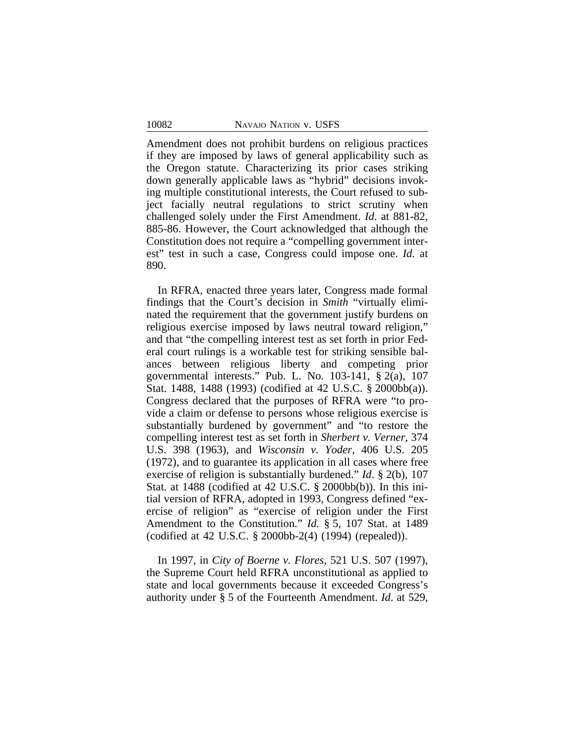Amendment does not prohibit burdens on religious practices if they are imposed by laws of general applicability such as the Oregon statute. Characterizing its prior cases striking down generally applicable laws as "hybrid" decisions invoking multiple constitutional interests, the Court refused to subject facially neutral regulations to strict scrutiny when challenged solely under the First Amendment. *Id*. at 881-82, 885-86. However, the Court acknowledged that although the Constitution does not require a "compelling government interest" test in such a case, Congress could impose one. *Id.* at 890.

In RFRA, enacted three years later, Congress made formal findings that the Court's decision in *Smith* "virtually eliminated the requirement that the government justify burdens on religious exercise imposed by laws neutral toward religion," and that "the compelling interest test as set forth in prior Federal court rulings is a workable test for striking sensible balances between religious liberty and competing prior governmental interests." Pub. L. No. 103-141, § 2(a), 107 Stat. 1488, 1488 (1993) (codified at 42 U.S.C. § 2000bb(a)). Congress declared that the purposes of RFRA were "to provide a claim or defense to persons whose religious exercise is substantially burdened by government" and "to restore the compelling interest test as set forth in *Sherbert v. Verner*, 374 U.S. 398 (1963), and *Wisconsin v. Yoder*, 406 U.S. 205 (1972), and to guarantee its application in all cases where free exercise of religion is substantially burdened." *Id*. § 2(b), 107 Stat. at 1488 (codified at 42 U.S.C. § 2000bb(b)). In this initial version of RFRA, adopted in 1993, Congress defined "exercise of religion" as "exercise of religion under the First Amendment to the Constitution." *Id.* § 5, 107 Stat. at 1489 (codified at 42 U.S.C. § 2000bb-2(4) (1994) (repealed)).

In 1997, in *City of Boerne v. Flores*, 521 U.S. 507 (1997), the Supreme Court held RFRA unconstitutional as applied to state and local governments because it exceeded Congress's authority under § 5 of the Fourteenth Amendment. *Id*. at 529,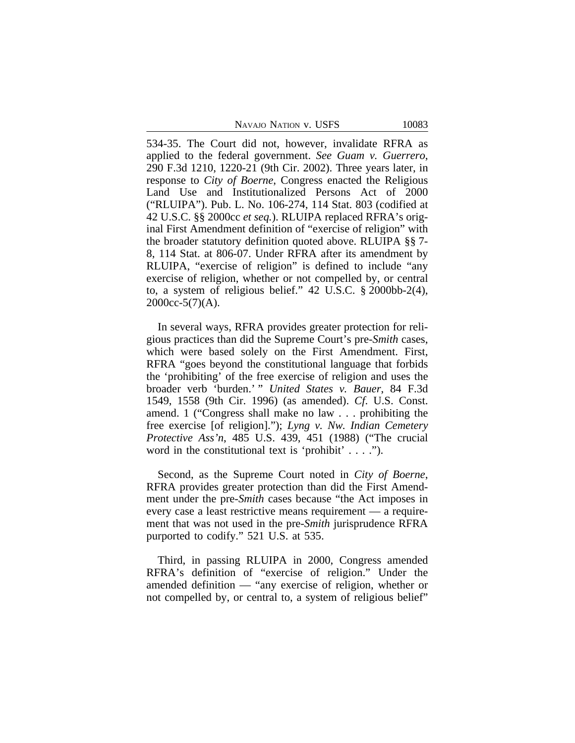NAVAJO NATION V. USFS 10083

534-35. The Court did not, however, invalidate RFRA as applied to the federal government. *See Guam v. Guerrero*, 290 F.3d 1210, 1220-21 (9th Cir. 2002). Three years later, in response to *City of Boerne*, Congress enacted the Religious Land Use and Institutionalized Persons Act of 2000 ("RLUIPA"). Pub. L. No. 106-274, 114 Stat. 803 (codified at 42 U.S.C. §§ 2000cc *et seq.*). RLUIPA replaced RFRA's original First Amendment definition of "exercise of religion" with the broader statutory definition quoted above. RLUIPA §§ 7- 8, 114 Stat. at 806-07. Under RFRA after its amendment by RLUIPA, "exercise of religion" is defined to include "any exercise of religion, whether or not compelled by, or central to, a system of religious belief." 42 U.S.C. § 2000bb-2(4),  $2000cc-5(7)(A)$ .

In several ways, RFRA provides greater protection for religious practices than did the Supreme Court's pre-*Smith* cases, which were based solely on the First Amendment. First, RFRA "goes beyond the constitutional language that forbids the 'prohibiting' of the free exercise of religion and uses the broader verb 'burden.' " *United States v. Bauer*, 84 F.3d 1549, 1558 (9th Cir. 1996) (as amended). *Cf*. U.S. Const. amend. 1 ("Congress shall make no law . . . prohibiting the free exercise [of religion]."); *Lyng v. Nw. Indian Cemetery Protective Ass'n*, 485 U.S. 439, 451 (1988) ("The crucial word in the constitutional text is 'prohibit' . . . .").

Second, as the Supreme Court noted in *City of Boerne*, RFRA provides greater protection than did the First Amendment under the pre-*Smith* cases because "the Act imposes in every case a least restrictive means requirement — a requirement that was not used in the pre*-Smith* jurisprudence RFRA purported to codify." 521 U.S. at 535.

Third, in passing RLUIPA in 2000, Congress amended RFRA's definition of "exercise of religion." Under the amended definition — "any exercise of religion, whether or not compelled by, or central to, a system of religious belief"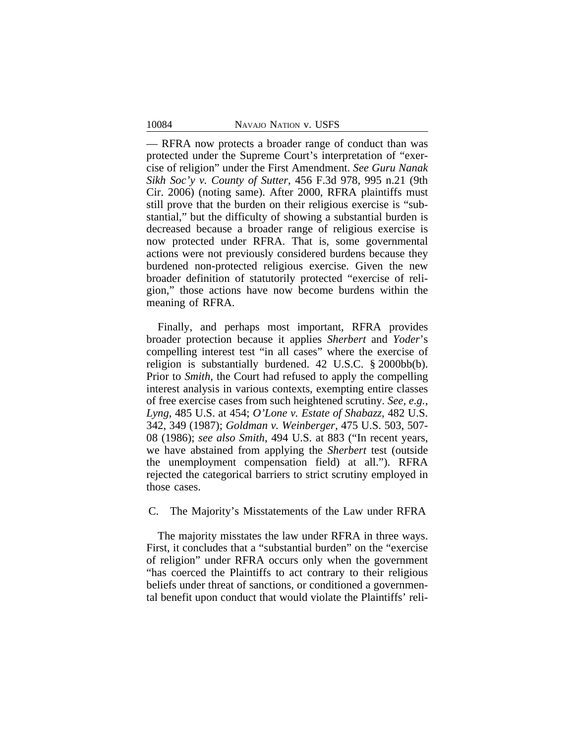— RFRA now protects a broader range of conduct than was protected under the Supreme Court's interpretation of "exercise of religion" under the First Amendment. *See Guru Nanak Sikh Soc'y v. County of Sutter*, 456 F.3d 978, 995 n.21 (9th Cir. 2006) (noting same). After 2000, RFRA plaintiffs must still prove that the burden on their religious exercise is "substantial," but the difficulty of showing a substantial burden is decreased because a broader range of religious exercise is now protected under RFRA. That is, some governmental actions were not previously considered burdens because they burdened non-protected religious exercise. Given the new broader definition of statutorily protected "exercise of religion," those actions have now become burdens within the meaning of RFRA.

Finally, and perhaps most important, RFRA provides broader protection because it applies *Sherbert* and *Yoder*'s compelling interest test "in all cases" where the exercise of religion is substantially burdened. 42 U.S.C. § 2000bb(b). Prior to *Smith*, the Court had refused to apply the compelling interest analysis in various contexts, exempting entire classes of free exercise cases from such heightened scrutiny. *See, e.g.*, *Lyng*, 485 U.S. at 454; *O'Lone v. Estate of Shabazz*, 482 U.S. 342, 349 (1987); *Goldman v. Weinberger,* 475 U.S. 503, 507- 08 (1986); *see also Smith*, 494 U.S. at 883 ("In recent years, we have abstained from applying the *Sherbert* test (outside the unemployment compensation field) at all."). RFRA rejected the categorical barriers to strict scrutiny employed in those cases.

C. The Majority's Misstatements of the Law under RFRA

The majority misstates the law under RFRA in three ways. First, it concludes that a "substantial burden" on the "exercise of religion" under RFRA occurs only when the government "has coerced the Plaintiffs to act contrary to their religious beliefs under threat of sanctions, or conditioned a governmental benefit upon conduct that would violate the Plaintiffs' reli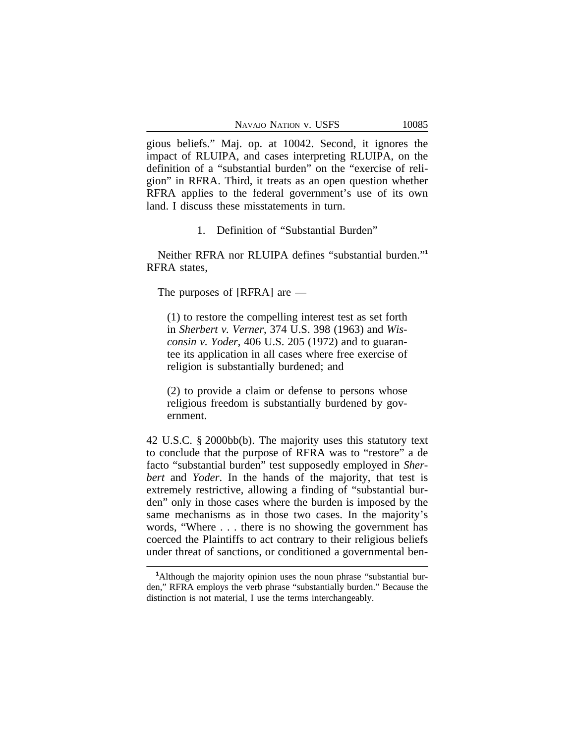gious beliefs." Maj. op. at 10042. Second, it ignores the impact of RLUIPA, and cases interpreting RLUIPA, on the definition of a "substantial burden" on the "exercise of religion" in RFRA. Third, it treats as an open question whether RFRA applies to the federal government's use of its own land. I discuss these misstatements in turn.

1. Definition of "Substantial Burden"

Neither RFRA nor RLUIPA defines "substantial burden." **1** RFRA states,

The purposes of [RFRA] are —

(1) to restore the compelling interest test as set forth in *Sherbert v. Verner*, 374 U.S. 398 (1963) and *Wisconsin v. Yoder*, 406 U.S. 205 (1972) and to guarantee its application in all cases where free exercise of religion is substantially burdened; and

(2) to provide a claim or defense to persons whose religious freedom is substantially burdened by government.

42 U.S.C. § 2000bb(b). The majority uses this statutory text to conclude that the purpose of RFRA was to "restore" a de facto "substantial burden" test supposedly employed in *Sherbert* and *Yoder*. In the hands of the majority, that test is extremely restrictive, allowing a finding of "substantial burden" only in those cases where the burden is imposed by the same mechanisms as in those two cases. In the majority's words, "Where . . . there is no showing the government has coerced the Plaintiffs to act contrary to their religious beliefs under threat of sanctions, or conditioned a governmental ben-

**<sup>1</sup>**Although the majority opinion uses the noun phrase "substantial burden," RFRA employs the verb phrase "substantially burden." Because the distinction is not material, I use the terms interchangeably.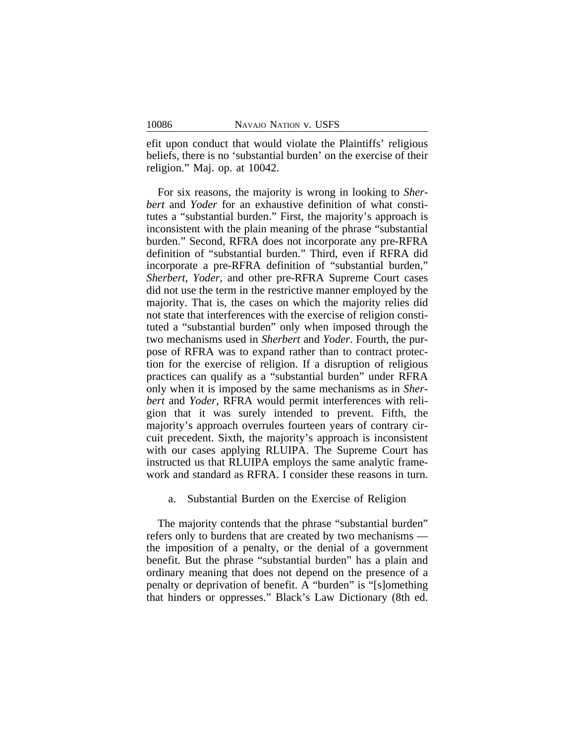efit upon conduct that would violate the Plaintiffs' religious beliefs, there is no 'substantial burden' on the exercise of their religion." Maj. op. at 10042.

For six reasons, the majority is wrong in looking to *Sherbert* and *Yoder* for an exhaustive definition of what constitutes a "substantial burden." First, the majority's approach is inconsistent with the plain meaning of the phrase "substantial burden." Second, RFRA does not incorporate any pre-RFRA definition of "substantial burden." Third, even if RFRA did incorporate a pre-RFRA definition of "substantial burden," *Sherbert*, *Yoder*, and other pre-RFRA Supreme Court cases did not use the term in the restrictive manner employed by the majority. That is, the cases on which the majority relies did not state that interferences with the exercise of religion constituted a "substantial burden" only when imposed through the two mechanisms used in *Sherbert* and *Yoder*. Fourth, the purpose of RFRA was to expand rather than to contract protection for the exercise of religion. If a disruption of religious practices can qualify as a "substantial burden" under RFRA only when it is imposed by the same mechanisms as in *Sherbert* and *Yoder,* RFRA would permit interferences with religion that it was surely intended to prevent. Fifth, the majority's approach overrules fourteen years of contrary circuit precedent. Sixth, the majority's approach is inconsistent with our cases applying RLUIPA. The Supreme Court has instructed us that RLUIPA employs the same analytic framework and standard as RFRA. I consider these reasons in turn.

### a. Substantial Burden on the Exercise of Religion

The majority contends that the phrase "substantial burden" refers only to burdens that are created by two mechanisms the imposition of a penalty, or the denial of a government benefit. But the phrase "substantial burden" has a plain and ordinary meaning that does not depend on the presence of a penalty or deprivation of benefit. A "burden" is "[s]omething that hinders or oppresses." Black's Law Dictionary (8th ed.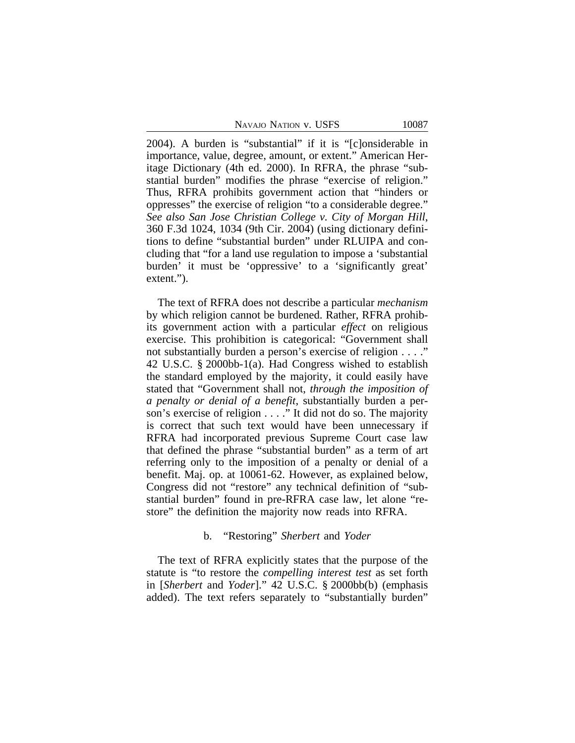NAVAJO NATION V. USFS 10087

2004). A burden is "substantial" if it is "[c]onsiderable in importance, value, degree, amount, or extent." American Heritage Dictionary (4th ed. 2000). In RFRA, the phrase "substantial burden" modifies the phrase "exercise of religion." Thus, RFRA prohibits government action that "hinders or oppresses" the exercise of religion "to a considerable degree." *See also San Jose Christian College v. City of Morgan Hill*, 360 F.3d 1024, 1034 (9th Cir. 2004) (using dictionary definitions to define "substantial burden" under RLUIPA and concluding that "for a land use regulation to impose a 'substantial burden' it must be 'oppressive' to a 'significantly great' extent.").

The text of RFRA does not describe a particular *mechanism* by which religion cannot be burdened. Rather, RFRA prohibits government action with a particular *effect* on religious exercise. This prohibition is categorical: "Government shall not substantially burden a person's exercise of religion . . . ." 42 U.S.C. § 2000bb-1(a). Had Congress wished to establish the standard employed by the majority, it could easily have stated that "Government shall not, *through the imposition of a penalty or denial of a benefit*, substantially burden a person's exercise of religion . . . ." It did not do so. The majority is correct that such text would have been unnecessary if RFRA had incorporated previous Supreme Court case law that defined the phrase "substantial burden" as a term of art referring only to the imposition of a penalty or denial of a benefit. Maj. op. at 10061-62. However, as explained below, Congress did not "restore" any technical definition of "substantial burden" found in pre-RFRA case law, let alone "restore" the definition the majority now reads into RFRA.

# b. "Restoring" *Sherbert* and *Yoder*

The text of RFRA explicitly states that the purpose of the statute is "to restore the *compelling interest test* as set forth in [*Sherbert* and *Yoder*]." 42 U.S.C. § 2000bb(b) (emphasis added). The text refers separately to "substantially burden"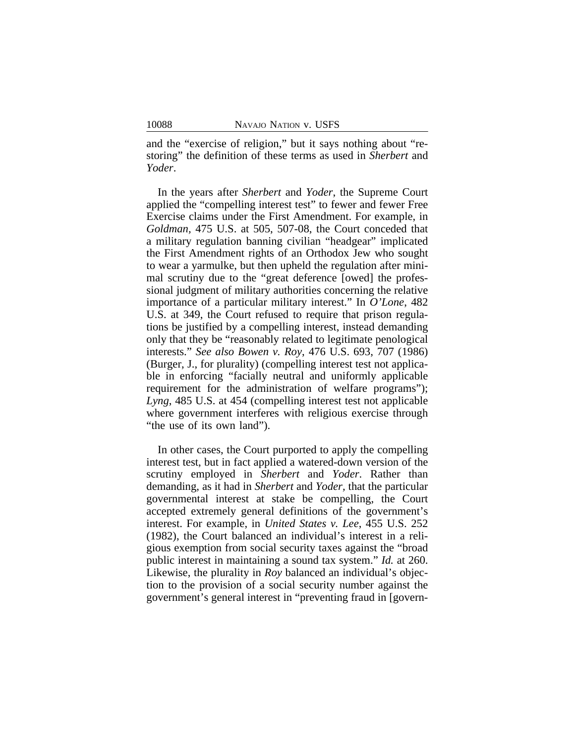and the "exercise of religion," but it says nothing about "restoring" the definition of these terms as used in *Sherbert* and *Yoder*.

In the years after *Sherbert* and *Yoder*, the Supreme Court applied the "compelling interest test" to fewer and fewer Free Exercise claims under the First Amendment. For example, in *Goldman,* 475 U.S. at 505, 507-08, the Court conceded that a military regulation banning civilian "headgear" implicated the First Amendment rights of an Orthodox Jew who sought to wear a yarmulke, but then upheld the regulation after minimal scrutiny due to the "great deference [owed] the professional judgment of military authorities concerning the relative importance of a particular military interest." In *O'Lone*, 482 U.S. at 349, the Court refused to require that prison regulations be justified by a compelling interest, instead demanding only that they be "reasonably related to legitimate penological interests." *See also Bowen v. Roy*, 476 U.S. 693, 707 (1986) (Burger, J., for plurality) (compelling interest test not applicable in enforcing "facially neutral and uniformly applicable requirement for the administration of welfare programs"); *Lyng*, 485 U.S. at 454 (compelling interest test not applicable where government interferes with religious exercise through "the use of its own land").

In other cases, the Court purported to apply the compelling interest test, but in fact applied a watered-down version of the scrutiny employed in *Sherbert* and *Yoder*. Rather than demanding, as it had in *Sherbert* and *Yoder,* that the particular governmental interest at stake be compelling, the Court accepted extremely general definitions of the government's interest. For example, in *United States v. Lee*, 455 U.S. 252 (1982), the Court balanced an individual's interest in a religious exemption from social security taxes against the "broad public interest in maintaining a sound tax system." *Id.* at 260. Likewise, the plurality in *Roy* balanced an individual's objection to the provision of a social security number against the government's general interest in "preventing fraud in [govern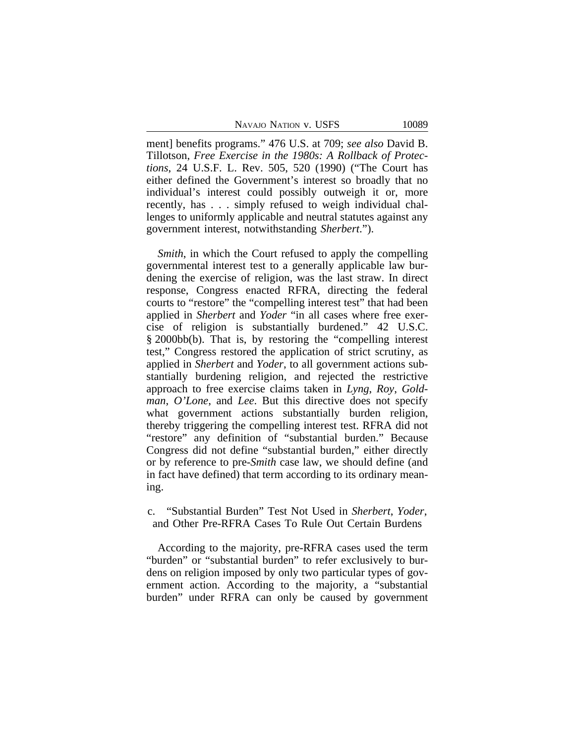NAVAJO NATION V. USFS 10089

ment] benefits programs." 476 U.S. at 709; *see also* David B. Tillotson, *Free Exercise in the 1980s: A Rollback of Protections*, 24 U.S.F. L. Rev. 505, 520 (1990) ("The Court has either defined the Government's interest so broadly that no individual's interest could possibly outweigh it or, more recently, has . . . simply refused to weigh individual challenges to uniformly applicable and neutral statutes against any government interest, notwithstanding *Sherbert*.").

*Smith*, in which the Court refused to apply the compelling governmental interest test to a generally applicable law burdening the exercise of religion, was the last straw. In direct response, Congress enacted RFRA, directing the federal courts to "restore" the "compelling interest test" that had been applied in *Sherbert* and *Yoder* "in all cases where free exercise of religion is substantially burdened." 42 U.S.C. § 2000bb(b). That is, by restoring the "compelling interest test," Congress restored the application of strict scrutiny, as applied in *Sherbert* and *Yoder*, to all government actions substantially burdening religion, and rejected the restrictive approach to free exercise claims taken in *Lyng*, *Roy*, *Goldman*, *O'Lone*, and *Lee*. But this directive does not specify what government actions substantially burden religion, thereby triggering the compelling interest test. RFRA did not "restore" any definition of "substantial burden." Because Congress did not define "substantial burden," either directly or by reference to pre-*Smith* case law, we should define (and in fact have defined) that term according to its ordinary meaning.

c. "Substantial Burden" Test Not Used in *Sherbert*, *Yoder*, and Other Pre-RFRA Cases To Rule Out Certain Burdens

According to the majority, pre-RFRA cases used the term "burden" or "substantial burden" to refer exclusively to burdens on religion imposed by only two particular types of government action. According to the majority, a "substantial burden" under RFRA can only be caused by government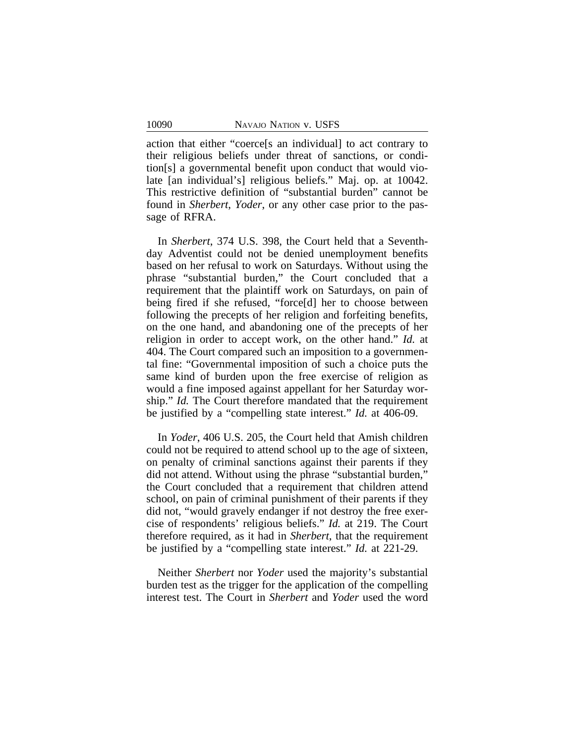action that either "coerce[s an individual] to act contrary to their religious beliefs under threat of sanctions, or condition[s] a governmental benefit upon conduct that would violate [an individual's] religious beliefs." Maj. op. at 10042. This restrictive definition of "substantial burden" cannot be found in *Sherbert*, *Yoder*, or any other case prior to the passage of RFRA.

In *Sherbert*, 374 U.S. 398, the Court held that a Seventhday Adventist could not be denied unemployment benefits based on her refusal to work on Saturdays. Without using the phrase "substantial burden," the Court concluded that a requirement that the plaintiff work on Saturdays, on pain of being fired if she refused, "force[d] her to choose between following the precepts of her religion and forfeiting benefits, on the one hand, and abandoning one of the precepts of her religion in order to accept work, on the other hand." *Id.* at 404. The Court compared such an imposition to a governmental fine: "Governmental imposition of such a choice puts the same kind of burden upon the free exercise of religion as would a fine imposed against appellant for her Saturday worship." *Id.* The Court therefore mandated that the requirement be justified by a "compelling state interest." *Id.* at 406-09.

In *Yoder*, 406 U.S. 205, the Court held that Amish children could not be required to attend school up to the age of sixteen, on penalty of criminal sanctions against their parents if they did not attend. Without using the phrase "substantial burden," the Court concluded that a requirement that children attend school, on pain of criminal punishment of their parents if they did not, "would gravely endanger if not destroy the free exercise of respondents' religious beliefs." *Id.* at 219. The Court therefore required, as it had in *Sherbert*, that the requirement be justified by a "compelling state interest." *Id.* at 221-29.

Neither *Sherbert* nor *Yoder* used the majority's substantial burden test as the trigger for the application of the compelling interest test. The Court in *Sherbert* and *Yoder* used the word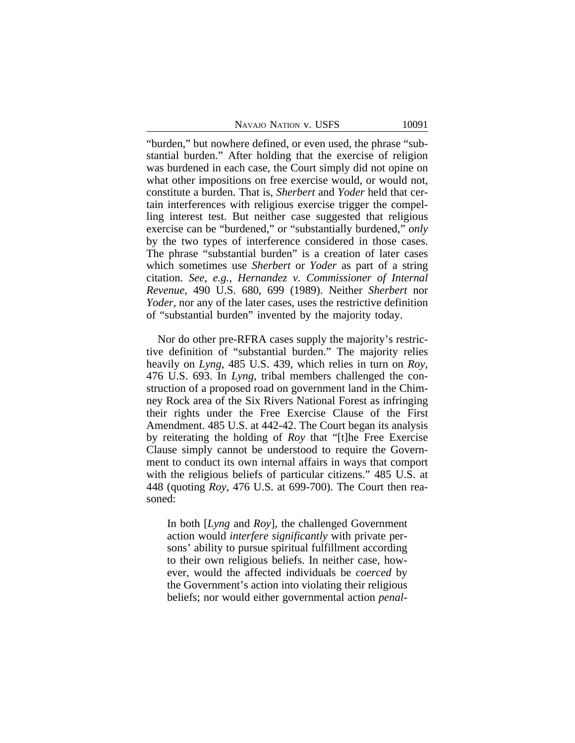NAVAJO NATION V. USFS 10091

"burden," but nowhere defined, or even used, the phrase "substantial burden." After holding that the exercise of religion was burdened in each case, the Court simply did not opine on what other impositions on free exercise would, or would not, constitute a burden. That is, *Sherbert* and *Yoder* held that certain interferences with religious exercise trigger the compelling interest test. But neither case suggested that religious exercise can be "burdened," or "substantially burdened," *only* by the two types of interference considered in those cases. The phrase "substantial burden" is a creation of later cases which sometimes use *Sherbert* or *Yoder* as part of a string citation. *See*, *e.g.*, *Hernandez v. Commissioner of Internal Revenue*, 490 U.S. 680, 699 (1989). Neither *Sherbert* nor *Yoder*, nor any of the later cases, uses the restrictive definition of "substantial burden" invented by the majority today.

Nor do other pre-RFRA cases supply the majority's restrictive definition of "substantial burden." The majority relies heavily on *Lyng*, 485 U.S. 439, which relies in turn on *Roy*, 476 U.S. 693. In *Lyng*, tribal members challenged the construction of a proposed road on government land in the Chimney Rock area of the Six Rivers National Forest as infringing their rights under the Free Exercise Clause of the First Amendment. 485 U.S. at 442-42. The Court began its analysis by reiterating the holding of *Roy* that "[t]he Free Exercise Clause simply cannot be understood to require the Government to conduct its own internal affairs in ways that comport with the religious beliefs of particular citizens." 485 U.S. at 448 (quoting *Roy*, 476 U.S. at 699-700). The Court then reasoned:

In both [*Lyng* and *Roy*], the challenged Government action would *interfere significantly* with private persons' ability to pursue spiritual fulfillment according to their own religious beliefs. In neither case, however, would the affected individuals be *coerced* by the Government's action into violating their religious beliefs; nor would either governmental action *penal-*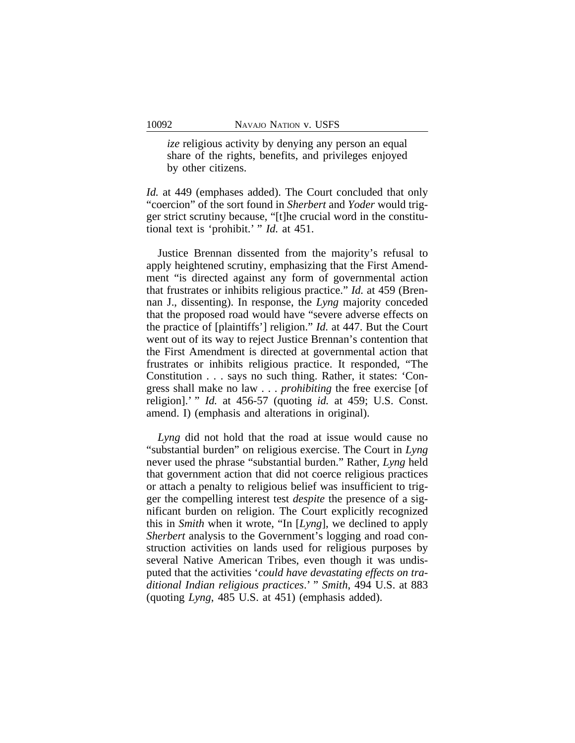*ize* religious activity by denying any person an equal share of the rights, benefits, and privileges enjoyed by other citizens.

*Id.* at 449 (emphases added). The Court concluded that only "coercion" of the sort found in *Sherbert* and *Yoder* would trigger strict scrutiny because, "[t]he crucial word in the constitutional text is 'prohibit.' " *Id.* at 451.

Justice Brennan dissented from the majority's refusal to apply heightened scrutiny, emphasizing that the First Amendment "is directed against any form of governmental action that frustrates or inhibits religious practice." *Id.* at 459 (Brennan J., dissenting). In response, the *Lyng* majority conceded that the proposed road would have "severe adverse effects on the practice of [plaintiffs'] religion." *Id.* at 447. But the Court went out of its way to reject Justice Brennan's contention that the First Amendment is directed at governmental action that frustrates or inhibits religious practice. It responded, "The Constitution . . . says no such thing. Rather, it states: 'Congress shall make no law . . . *prohibiting* the free exercise [of religion].' " *Id.* at 456-57 (quoting *id.* at 459; U.S. Const. amend. I) (emphasis and alterations in original).

*Lyng* did not hold that the road at issue would cause no "substantial burden" on religious exercise. The Court in *Lyng* never used the phrase "substantial burden." Rather, *Lyng* held that government action that did not coerce religious practices or attach a penalty to religious belief was insufficient to trigger the compelling interest test *despite* the presence of a significant burden on religion. The Court explicitly recognized this in *Smith* when it wrote, "In [*Lyng*], we declined to apply *Sherbert* analysis to the Government's logging and road construction activities on lands used for religious purposes by several Native American Tribes, even though it was undisputed that the activities '*could have devastating effects on traditional Indian religious practices*.' " *Smith*, 494 U.S. at 883 (quoting *Lyng*, 485 U.S. at 451) (emphasis added).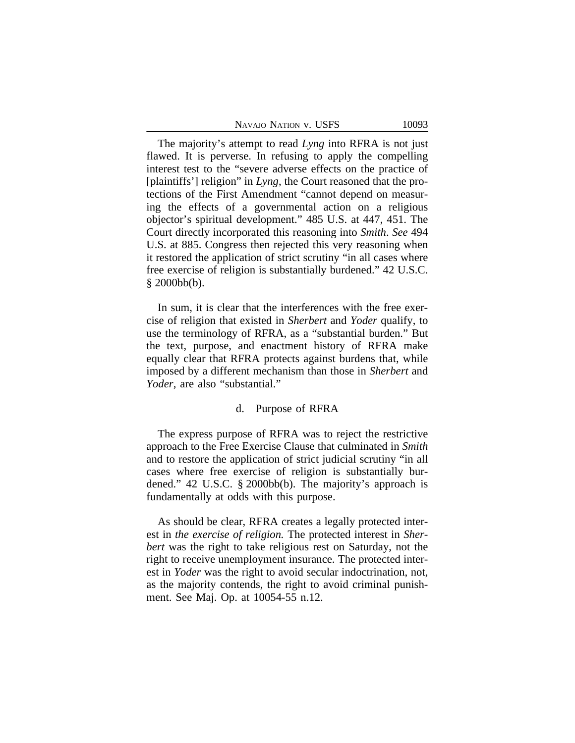|  | Navajo Nation v. USFS |  |  |  |
|--|-----------------------|--|--|--|
|--|-----------------------|--|--|--|

The majority's attempt to read *Lyng* into RFRA is not just flawed. It is perverse. In refusing to apply the compelling interest test to the "severe adverse effects on the practice of [plaintiffs'] religion" in *Lyng*, the Court reasoned that the protections of the First Amendment "cannot depend on measuring the effects of a governmental action on a religious objector's spiritual development." 485 U.S. at 447, 451. The Court directly incorporated this reasoning into *Smith*. *See* 494 U.S. at 885. Congress then rejected this very reasoning when it restored the application of strict scrutiny "in all cases where free exercise of religion is substantially burdened." 42 U.S.C.  $§ 2000bb(b).$ 

In sum, it is clear that the interferences with the free exercise of religion that existed in *Sherbert* and *Yoder* qualify, to use the terminology of RFRA, as a "substantial burden." But the text, purpose, and enactment history of RFRA make equally clear that RFRA protects against burdens that, while imposed by a different mechanism than those in *Sherbert* and *Yoder*, are also "substantial."

## d. Purpose of RFRA

The express purpose of RFRA was to reject the restrictive approach to the Free Exercise Clause that culminated in *Smith* and to restore the application of strict judicial scrutiny "in all cases where free exercise of religion is substantially burdened." 42 U.S.C. § 2000bb(b). The majority's approach is fundamentally at odds with this purpose.

As should be clear, RFRA creates a legally protected interest in *the exercise of religion.* The protected interest in *Sherbert* was the right to take religious rest on Saturday, not the right to receive unemployment insurance. The protected interest in *Yoder* was the right to avoid secular indoctrination, not, as the majority contends, the right to avoid criminal punishment. See Maj. Op. at 10054-55 n.12.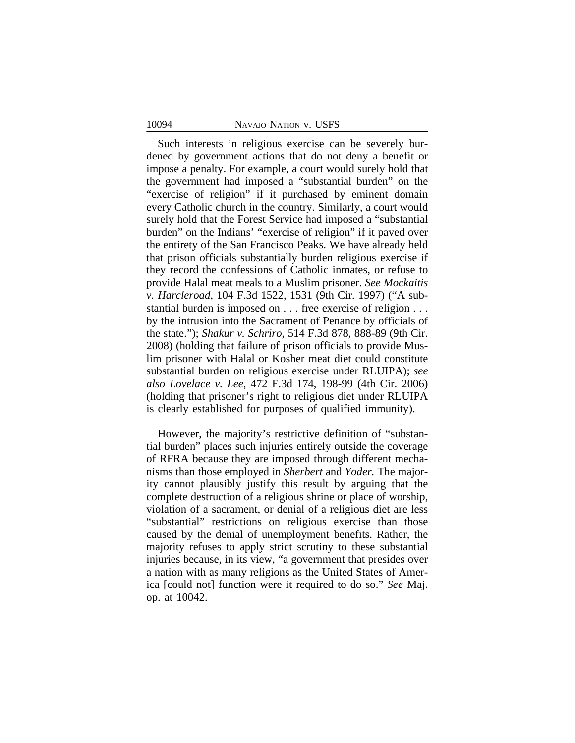#### 10094 NAVAJO NATION v. USFS

Such interests in religious exercise can be severely burdened by government actions that do not deny a benefit or impose a penalty. For example, a court would surely hold that the government had imposed a "substantial burden" on the "exercise of religion" if it purchased by eminent domain every Catholic church in the country. Similarly, a court would surely hold that the Forest Service had imposed a "substantial burden" on the Indians' "exercise of religion" if it paved over the entirety of the San Francisco Peaks. We have already held that prison officials substantially burden religious exercise if they record the confessions of Catholic inmates, or refuse to provide Halal meat meals to a Muslim prisoner. *See Mockaitis v. Harcleroad*, 104 F.3d 1522, 1531 (9th Cir. 1997) ("A substantial burden is imposed on . . . free exercise of religion . . . by the intrusion into the Sacrament of Penance by officials of the state."); *Shakur v. Schriro*, 514 F.3d 878, 888-89 (9th Cir. 2008) (holding that failure of prison officials to provide Muslim prisoner with Halal or Kosher meat diet could constitute substantial burden on religious exercise under RLUIPA); *see also Lovelace v. Lee*, 472 F.3d 174, 198-99 (4th Cir. 2006) (holding that prisoner's right to religious diet under RLUIPA is clearly established for purposes of qualified immunity).

However, the majority's restrictive definition of "substantial burden" places such injuries entirely outside the coverage of RFRA because they are imposed through different mechanisms than those employed in *Sherbert* and *Yoder.* The majority cannot plausibly justify this result by arguing that the complete destruction of a religious shrine or place of worship, violation of a sacrament, or denial of a religious diet are less "substantial" restrictions on religious exercise than those caused by the denial of unemployment benefits. Rather, the majority refuses to apply strict scrutiny to these substantial injuries because, in its view, "a government that presides over a nation with as many religions as the United States of America [could not] function were it required to do so." *See* Maj. op. at 10042.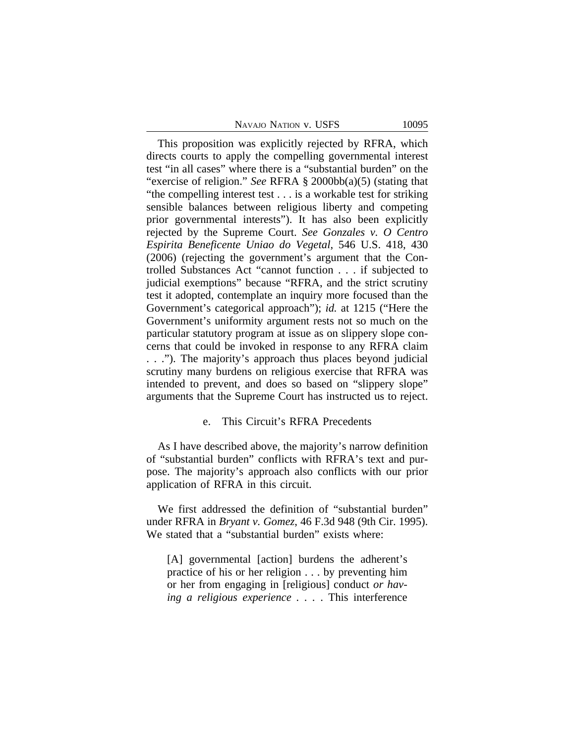|  | Navajo Nation v. USFS |  |  |  |
|--|-----------------------|--|--|--|
|--|-----------------------|--|--|--|

This proposition was explicitly rejected by RFRA, which directs courts to apply the compelling governmental interest test "in all cases" where there is a "substantial burden" on the "exercise of religion." *See* RFRA § 2000bb(a)(5) (stating that "the compelling interest test . . . is a workable test for striking sensible balances between religious liberty and competing prior governmental interests"). It has also been explicitly rejected by the Supreme Court. *See Gonzales v. O Centro Espirita Beneficente Uniao do Vegetal*, 546 U.S. 418, 430 (2006) (rejecting the government's argument that the Controlled Substances Act "cannot function . . . if subjected to judicial exemptions" because "RFRA, and the strict scrutiny test it adopted, contemplate an inquiry more focused than the Government's categorical approach"); *id.* at 1215 ("Here the Government's uniformity argument rests not so much on the particular statutory program at issue as on slippery slope concerns that could be invoked in response to any RFRA claim . . ."). The majority's approach thus places beyond judicial scrutiny many burdens on religious exercise that RFRA was intended to prevent, and does so based on "slippery slope" arguments that the Supreme Court has instructed us to reject.

## e. This Circuit's RFRA Precedents

As I have described above, the majority's narrow definition of "substantial burden" conflicts with RFRA's text and purpose. The majority's approach also conflicts with our prior application of RFRA in this circuit.

We first addressed the definition of "substantial burden" under RFRA in *Bryant v. Gomez*, 46 F.3d 948 (9th Cir. 1995). We stated that a "substantial burden" exists where:

[A] governmental [action] burdens the adherent's practice of his or her religion . . . by preventing him or her from engaging in [religious] conduct *or having a religious experience . . .* . This interference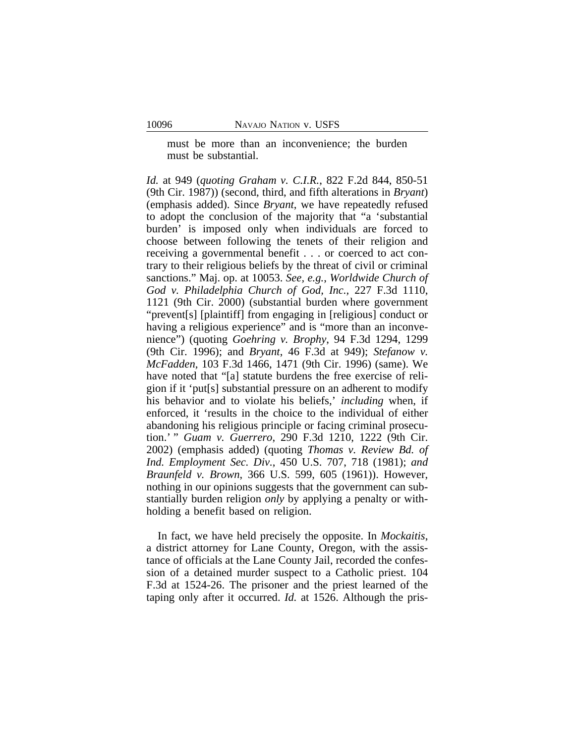must be more than an inconvenience; the burden must be substantial.

*Id.* at 949 (*quoting Graham v. C.I.R.*, 822 F.2d 844, 850-51 (9th Cir. 1987)) (second, third, and fifth alterations in *Bryant*) (emphasis added). Since *Bryant*, we have repeatedly refused to adopt the conclusion of the majority that "a 'substantial burden' is imposed only when individuals are forced to choose between following the tenets of their religion and receiving a governmental benefit . . . or coerced to act contrary to their religious beliefs by the threat of civil or criminal sanctions." Maj. op. at 10053. *See, e.g.*, *Worldwide Church of God v. Philadelphia Church of God, Inc.,* 227 F.3d 1110, 1121 (9th Cir. 2000) (substantial burden where government "prevent[s] [plaintiff] from engaging in [religious] conduct or having a religious experience" and is "more than an inconvenience") (quoting *Goehring v. Brophy*, 94 F.3d 1294, 1299 (9th Cir. 1996); and *Bryant*, 46 F.3d at 949); *Stefanow v. McFadden,* 103 F.3d 1466, 1471 (9th Cir. 1996) (same). We have noted that "[a] statute burdens the free exercise of religion if it 'put[s] substantial pressure on an adherent to modify his behavior and to violate his beliefs,' *including* when, if enforced, it 'results in the choice to the individual of either abandoning his religious principle or facing criminal prosecution.' " *Guam v. Guerrero*, 290 F.3d 1210, 1222 (9th Cir. 2002) (emphasis added) (quoting *Thomas v. Review Bd. of Ind. Employment Sec. Div.*, 450 U.S. 707, 718 (1981); *and Braunfeld v. Brown*, 366 U.S. 599, 605 (1961)). However, nothing in our opinions suggests that the government can substantially burden religion *only* by applying a penalty or withholding a benefit based on religion.

In fact, we have held precisely the opposite. In *Mockaitis*, a district attorney for Lane County, Oregon, with the assistance of officials at the Lane County Jail, recorded the confession of a detained murder suspect to a Catholic priest. 104 F.3d at 1524-26. The prisoner and the priest learned of the taping only after it occurred. *Id.* at 1526. Although the pris-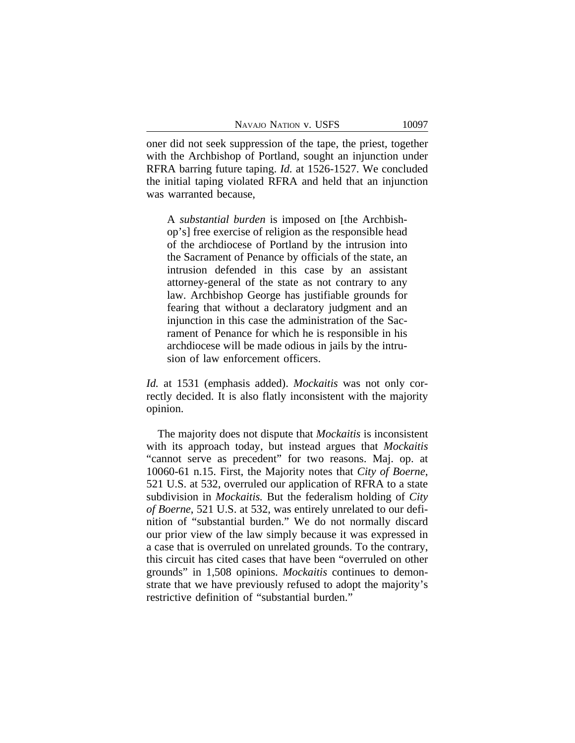oner did not seek suppression of the tape, the priest, together with the Archbishop of Portland, sought an injunction under RFRA barring future taping. *Id.* at 1526-1527. We concluded the initial taping violated RFRA and held that an injunction was warranted because,

A *substantial burden* is imposed on [the Archbishop's] free exercise of religion as the responsible head of the archdiocese of Portland by the intrusion into the Sacrament of Penance by officials of the state, an intrusion defended in this case by an assistant attorney-general of the state as not contrary to any law. Archbishop George has justifiable grounds for fearing that without a declaratory judgment and an injunction in this case the administration of the Sacrament of Penance for which he is responsible in his archdiocese will be made odious in jails by the intrusion of law enforcement officers.

*Id.* at 1531 (emphasis added). *Mockaitis* was not only correctly decided. It is also flatly inconsistent with the majority opinion.

The majority does not dispute that *Mockaitis* is inconsistent with its approach today, but instead argues that *Mockaitis* "cannot serve as precedent" for two reasons. Maj. op. at 10060-61 n.15. First, the Majority notes that *City of Boerne*, 521 U.S. at 532, overruled our application of RFRA to a state subdivision in *Mockaitis.* But the federalism holding of *City of Boerne*, 521 U.S. at 532, was entirely unrelated to our definition of "substantial burden." We do not normally discard our prior view of the law simply because it was expressed in a case that is overruled on unrelated grounds. To the contrary, this circuit has cited cases that have been "overruled on other grounds" in 1,508 opinions. *Mockaitis* continues to demonstrate that we have previously refused to adopt the majority's restrictive definition of "substantial burden."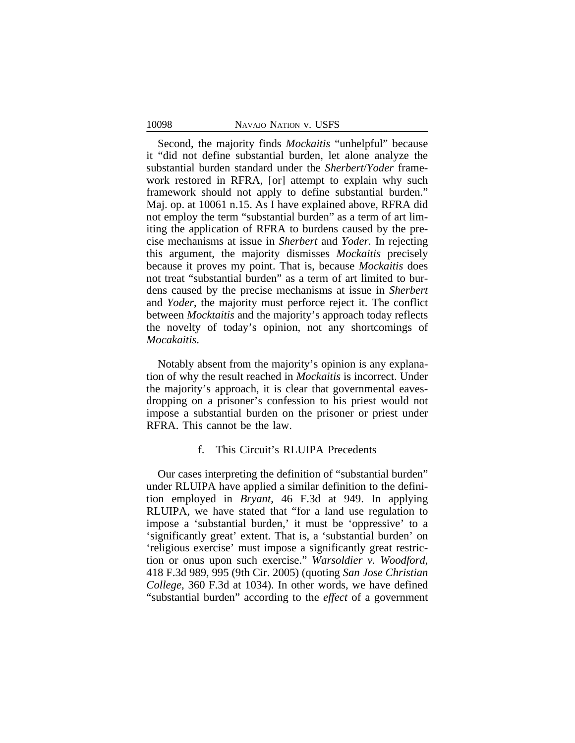#### 10098 NAVAJO NATION v. USFS

Second, the majority finds *Mockaitis* "unhelpful" because it "did not define substantial burden, let alone analyze the substantial burden standard under the *Sherbert*/*Yoder* framework restored in RFRA, [or] attempt to explain why such framework should not apply to define substantial burden." Maj. op. at 10061 n.15. As I have explained above, RFRA did not employ the term "substantial burden" as a term of art limiting the application of RFRA to burdens caused by the precise mechanisms at issue in *Sherbert* and *Yoder.* In rejecting this argument, the majority dismisses *Mockaitis* precisely because it proves my point. That is, because *Mockaitis* does not treat "substantial burden" as a term of art limited to burdens caused by the precise mechanisms at issue in *Sherbert* and *Yoder*, the majority must perforce reject it. The conflict between *Mocktaitis* and the majority's approach today reflects the novelty of today's opinion, not any shortcomings of *Mocakaitis*.

Notably absent from the majority's opinion is any explanation of why the result reached in *Mockaitis* is incorrect. Under the majority's approach, it is clear that governmental eavesdropping on a prisoner's confession to his priest would not impose a substantial burden on the prisoner or priest under RFRA. This cannot be the law.

## f. This Circuit's RLUIPA Precedents

Our cases interpreting the definition of "substantial burden" under RLUIPA have applied a similar definition to the definition employed in *Bryant*, 46 F.3d at 949. In applying RLUIPA, we have stated that "for a land use regulation to impose a 'substantial burden,' it must be 'oppressive' to a 'significantly great' extent. That is, a 'substantial burden' on 'religious exercise' must impose a significantly great restriction or onus upon such exercise." *Warsoldier v. Woodford*, 418 F.3d 989, 995 (9th Cir. 2005) (quoting *San Jose Christian College*, 360 F.3d at 1034). In other words, we have defined "substantial burden" according to the *effect* of a government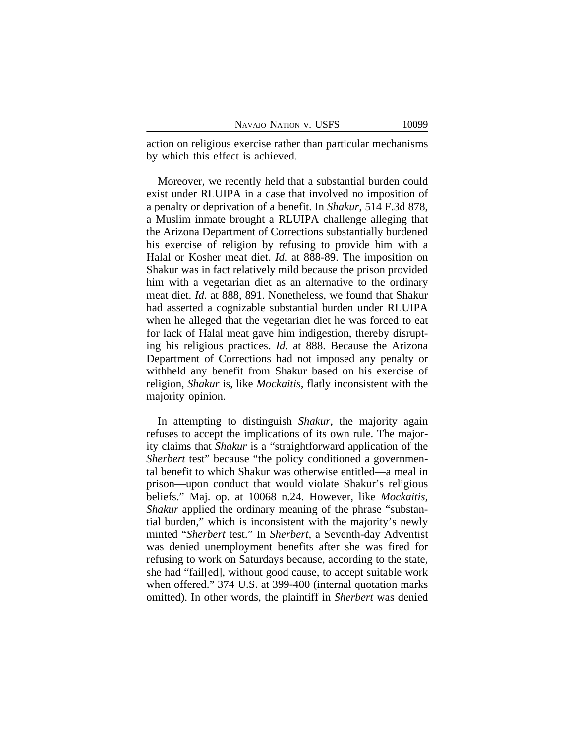action on religious exercise rather than particular mechanisms by which this effect is achieved.

Moreover, we recently held that a substantial burden could exist under RLUIPA in a case that involved no imposition of a penalty or deprivation of a benefit. In *Shakur*, 514 F.3d 878, a Muslim inmate brought a RLUIPA challenge alleging that the Arizona Department of Corrections substantially burdened his exercise of religion by refusing to provide him with a Halal or Kosher meat diet. *Id.* at 888-89. The imposition on Shakur was in fact relatively mild because the prison provided him with a vegetarian diet as an alternative to the ordinary meat diet. *Id.* at 888, 891. Nonetheless, we found that Shakur had asserted a cognizable substantial burden under RLUIPA when he alleged that the vegetarian diet he was forced to eat for lack of Halal meat gave him indigestion, thereby disrupting his religious practices. *Id.* at 888. Because the Arizona Department of Corrections had not imposed any penalty or withheld any benefit from Shakur based on his exercise of religion, *Shakur* is, like *Mockaitis,* flatly inconsistent with the majority opinion.

In attempting to distinguish *Shakur*, the majority again refuses to accept the implications of its own rule. The majority claims that *Shakur* is a "straightforward application of the *Sherbert* test" because "the policy conditioned a governmental benefit to which Shakur was otherwise entitled—a meal in prison—upon conduct that would violate Shakur's religious beliefs." Maj. op. at 10068 n.24. However, like *Mockaitis, Shakur* applied the ordinary meaning of the phrase "substantial burden," which is inconsistent with the majority's newly minted "*Sherbert* test." In *Sherbert*, a Seventh-day Adventist was denied unemployment benefits after she was fired for refusing to work on Saturdays because, according to the state, she had "fail[ed], without good cause, to accept suitable work when offered." 374 U.S. at 399-400 (internal quotation marks omitted). In other words, the plaintiff in *Sherbert* was denied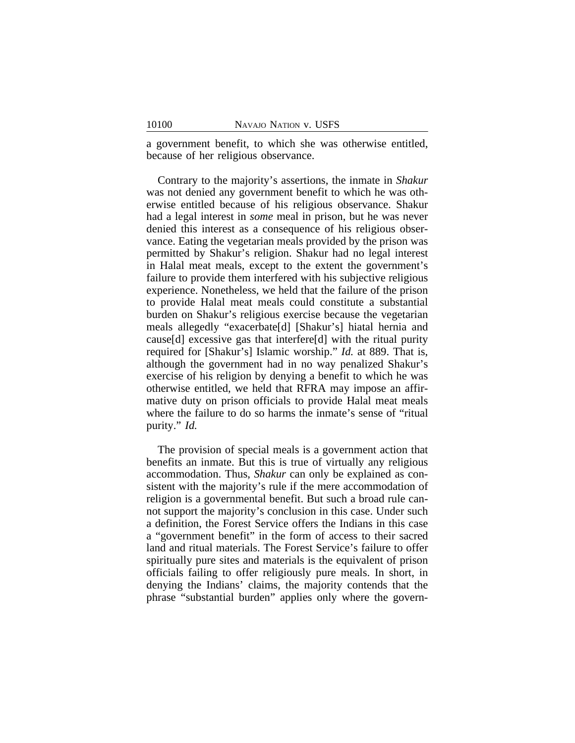a government benefit, to which she was otherwise entitled, because of her religious observance.

Contrary to the majority's assertions, the inmate in *Shakur* was not denied any government benefit to which he was otherwise entitled because of his religious observance. Shakur had a legal interest in *some* meal in prison, but he was never denied this interest as a consequence of his religious observance. Eating the vegetarian meals provided by the prison was permitted by Shakur's religion. Shakur had no legal interest in Halal meat meals, except to the extent the government's failure to provide them interfered with his subjective religious experience. Nonetheless, we held that the failure of the prison to provide Halal meat meals could constitute a substantial burden on Shakur's religious exercise because the vegetarian meals allegedly "exacerbate[d] [Shakur's] hiatal hernia and cause[d] excessive gas that interfere[d] with the ritual purity required for [Shakur's] Islamic worship." *Id.* at 889. That is, although the government had in no way penalized Shakur's exercise of his religion by denying a benefit to which he was otherwise entitled, we held that RFRA may impose an affirmative duty on prison officials to provide Halal meat meals where the failure to do so harms the inmate's sense of "ritual" purity." *Id.* 

The provision of special meals is a government action that benefits an inmate. But this is true of virtually any religious accommodation. Thus, *Shakur* can only be explained as consistent with the majority's rule if the mere accommodation of religion is a governmental benefit. But such a broad rule cannot support the majority's conclusion in this case. Under such a definition, the Forest Service offers the Indians in this case a "government benefit" in the form of access to their sacred land and ritual materials. The Forest Service's failure to offer spiritually pure sites and materials is the equivalent of prison officials failing to offer religiously pure meals. In short, in denying the Indians' claims, the majority contends that the phrase "substantial burden" applies only where the govern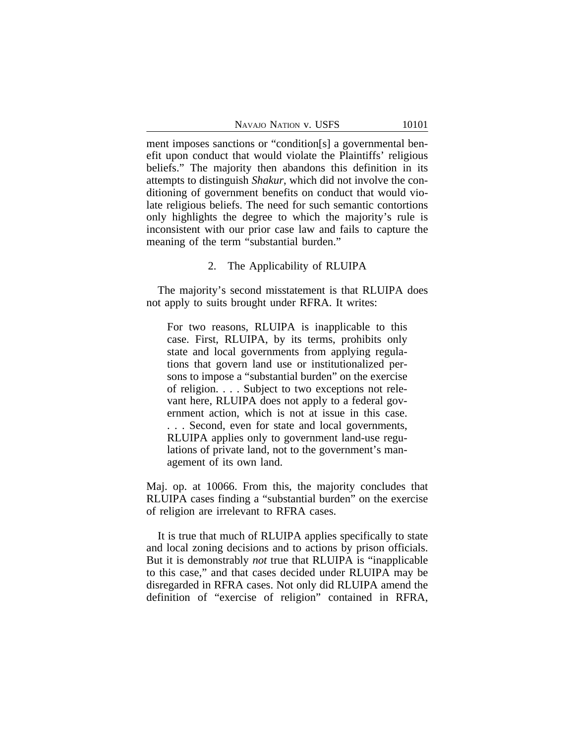NAVAJO NATION V. USFS 10101

ment imposes sanctions or "condition[s] a governmental benefit upon conduct that would violate the Plaintiffs' religious beliefs." The majority then abandons this definition in its attempts to distinguish *Shakur*, which did not involve the conditioning of government benefits on conduct that would violate religious beliefs. The need for such semantic contortions only highlights the degree to which the majority's rule is inconsistent with our prior case law and fails to capture the meaning of the term "substantial burden."

## 2. The Applicability of RLUIPA

The majority's second misstatement is that RLUIPA does not apply to suits brought under RFRA. It writes:

For two reasons, RLUIPA is inapplicable to this case. First, RLUIPA, by its terms, prohibits only state and local governments from applying regulations that govern land use or institutionalized persons to impose a "substantial burden" on the exercise of religion. . . . Subject to two exceptions not relevant here, RLUIPA does not apply to a federal government action, which is not at issue in this case. . . . Second, even for state and local governments, RLUIPA applies only to government land-use regulations of private land, not to the government's management of its own land.

Maj. op. at 10066. From this, the majority concludes that RLUIPA cases finding a "substantial burden" on the exercise of religion are irrelevant to RFRA cases.

It is true that much of RLUIPA applies specifically to state and local zoning decisions and to actions by prison officials. But it is demonstrably *not* true that RLUIPA is "inapplicable to this case," and that cases decided under RLUIPA may be disregarded in RFRA cases. Not only did RLUIPA amend the definition of "exercise of religion" contained in RFRA,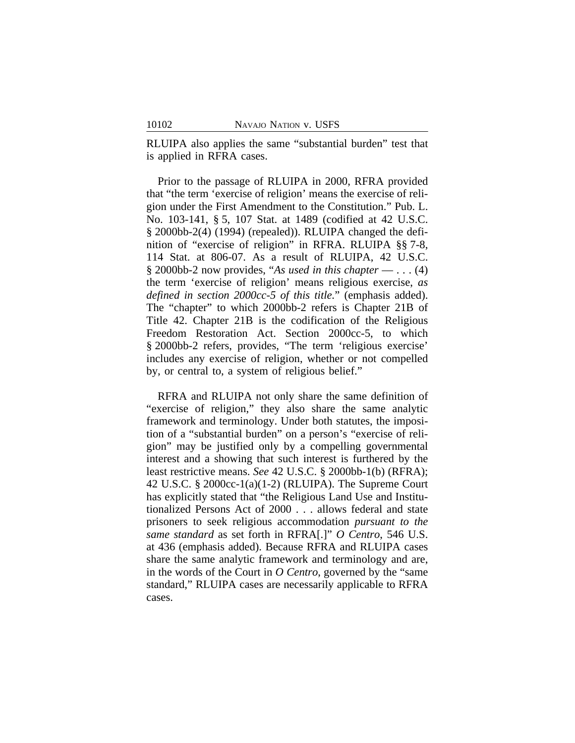RLUIPA also applies the same "substantial burden" test that is applied in RFRA cases.

Prior to the passage of RLUIPA in 2000, RFRA provided that "the term 'exercise of religion' means the exercise of religion under the First Amendment to the Constitution." Pub. L. No. 103-141, § 5, 107 Stat. at 1489 (codified at 42 U.S.C. § 2000bb-2(4) (1994) (repealed)). RLUIPA changed the definition of "exercise of religion" in RFRA. RLUIPA §§ 7-8, 114 Stat. at 806-07. As a result of RLUIPA, 42 U.S.C. § 2000bb-2 now provides, "*As used in this chapter* — . . . (4) the term 'exercise of religion' means religious exercise, *as defined in section 2000cc-5 of this title.*" (emphasis added). The "chapter" to which 2000bb-2 refers is Chapter 21B of Title 42. Chapter 21B is the codification of the Religious Freedom Restoration Act. Section 2000cc-5, to which § 2000bb-2 refers, provides, "The term 'religious exercise' includes any exercise of religion, whether or not compelled by, or central to, a system of religious belief."

RFRA and RLUIPA not only share the same definition of "exercise of religion," they also share the same analytic framework and terminology. Under both statutes, the imposition of a "substantial burden" on a person's "exercise of religion" may be justified only by a compelling governmental interest and a showing that such interest is furthered by the least restrictive means. *See* 42 U.S.C. § 2000bb-1(b) (RFRA); 42 U.S.C. § 2000cc-1(a)(1-2) (RLUIPA). The Supreme Court has explicitly stated that "the Religious Land Use and Institutionalized Persons Act of 2000 . . . allows federal and state prisoners to seek religious accommodation *pursuant to the same standard* as set forth in RFRA[.]" *O Centro*, 546 U.S. at 436 (emphasis added). Because RFRA and RLUIPA cases share the same analytic framework and terminology and are, in the words of the Court in *O Centro*, governed by the "same standard," RLUIPA cases are necessarily applicable to RFRA cases.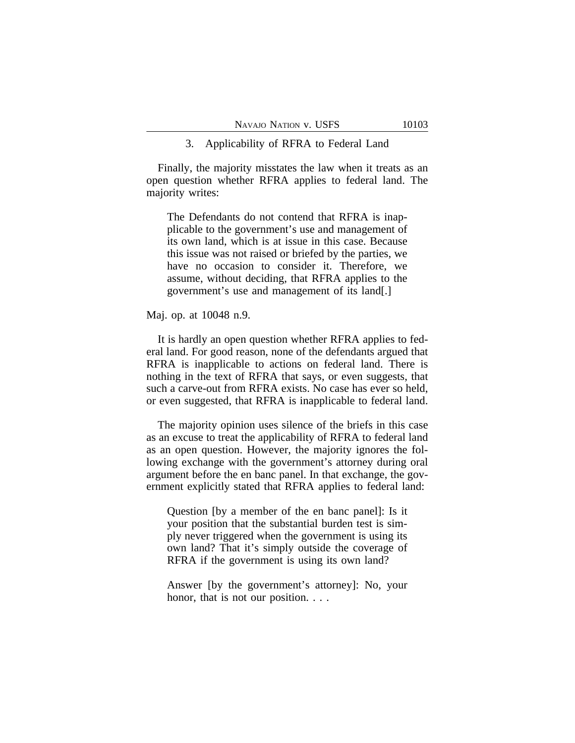# 3. Applicability of RFRA to Federal Land

Finally, the majority misstates the law when it treats as an open question whether RFRA applies to federal land. The majority writes:

The Defendants do not contend that RFRA is inapplicable to the government's use and management of its own land, which is at issue in this case. Because this issue was not raised or briefed by the parties, we have no occasion to consider it. Therefore, we assume, without deciding, that RFRA applies to the government's use and management of its land[.]

Maj. op. at 10048 n.9.

It is hardly an open question whether RFRA applies to federal land. For good reason, none of the defendants argued that RFRA is inapplicable to actions on federal land. There is nothing in the text of RFRA that says, or even suggests, that such a carve-out from RFRA exists. No case has ever so held, or even suggested, that RFRA is inapplicable to federal land.

The majority opinion uses silence of the briefs in this case as an excuse to treat the applicability of RFRA to federal land as an open question. However, the majority ignores the following exchange with the government's attorney during oral argument before the en banc panel. In that exchange, the government explicitly stated that RFRA applies to federal land:

Question [by a member of the en banc panel]: Is it your position that the substantial burden test is simply never triggered when the government is using its own land? That it's simply outside the coverage of RFRA if the government is using its own land?

Answer [by the government's attorney]: No, your honor, that is not our position. . . .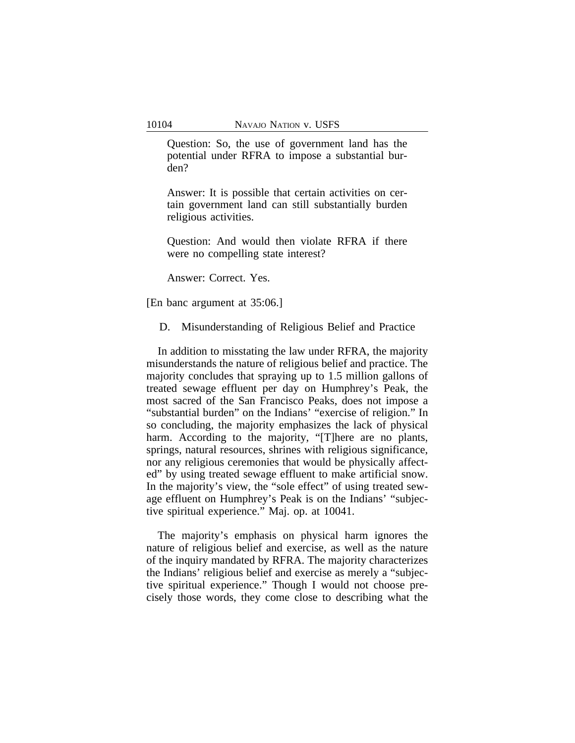Question: So, the use of government land has the potential under RFRA to impose a substantial burden?

Answer: It is possible that certain activities on certain government land can still substantially burden religious activities.

Question: And would then violate RFRA if there were no compelling state interest?

Answer: Correct. Yes.

[En banc argument at 35:06.]

D. Misunderstanding of Religious Belief and Practice

In addition to misstating the law under RFRA, the majority misunderstands the nature of religious belief and practice. The majority concludes that spraying up to 1.5 million gallons of treated sewage effluent per day on Humphrey's Peak, the most sacred of the San Francisco Peaks, does not impose a "substantial burden" on the Indians' "exercise of religion." In so concluding, the majority emphasizes the lack of physical harm. According to the majority, "[T]here are no plants, springs, natural resources, shrines with religious significance, nor any religious ceremonies that would be physically affected" by using treated sewage effluent to make artificial snow. In the majority's view, the "sole effect" of using treated sewage effluent on Humphrey's Peak is on the Indians' "subjective spiritual experience." Maj. op. at 10041.

The majority's emphasis on physical harm ignores the nature of religious belief and exercise, as well as the nature of the inquiry mandated by RFRA. The majority characterizes the Indians' religious belief and exercise as merely a "subjective spiritual experience." Though I would not choose precisely those words, they come close to describing what the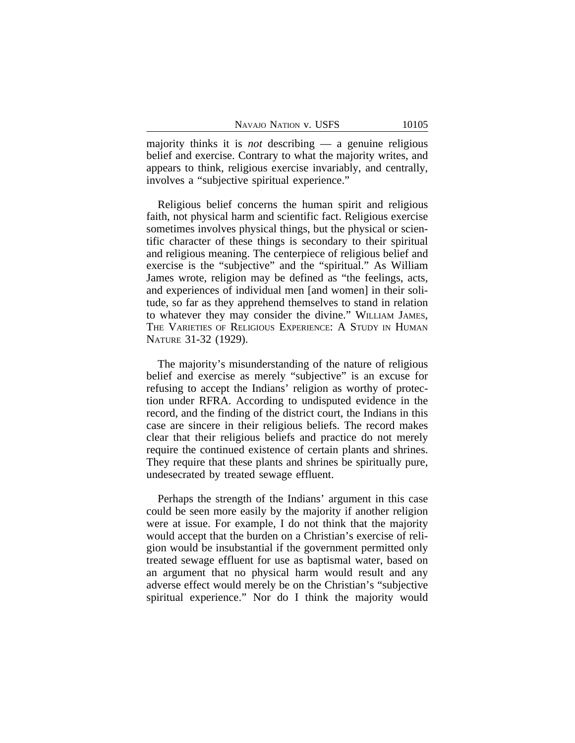majority thinks it is *not* describing — a genuine religious belief and exercise. Contrary to what the majority writes, and appears to think, religious exercise invariably, and centrally, involves a "subjective spiritual experience."

Religious belief concerns the human spirit and religious faith, not physical harm and scientific fact. Religious exercise sometimes involves physical things, but the physical or scientific character of these things is secondary to their spiritual and religious meaning. The centerpiece of religious belief and exercise is the "subjective" and the "spiritual." As William James wrote, religion may be defined as "the feelings, acts, and experiences of individual men [and women] in their solitude, so far as they apprehend themselves to stand in relation to whatever they may consider the divine." WILLIAM JAMES, THE VARIETIES OF RELIGIOUS EXPERIENCE: A STUDY IN HUMAN NATURE 31-32 (1929).

The majority's misunderstanding of the nature of religious belief and exercise as merely "subjective" is an excuse for refusing to accept the Indians' religion as worthy of protection under RFRA. According to undisputed evidence in the record, and the finding of the district court, the Indians in this case are sincere in their religious beliefs. The record makes clear that their religious beliefs and practice do not merely require the continued existence of certain plants and shrines. They require that these plants and shrines be spiritually pure, undesecrated by treated sewage effluent.

Perhaps the strength of the Indians' argument in this case could be seen more easily by the majority if another religion were at issue. For example, I do not think that the majority would accept that the burden on a Christian's exercise of religion would be insubstantial if the government permitted only treated sewage effluent for use as baptismal water, based on an argument that no physical harm would result and any adverse effect would merely be on the Christian's "subjective spiritual experience." Nor do I think the majority would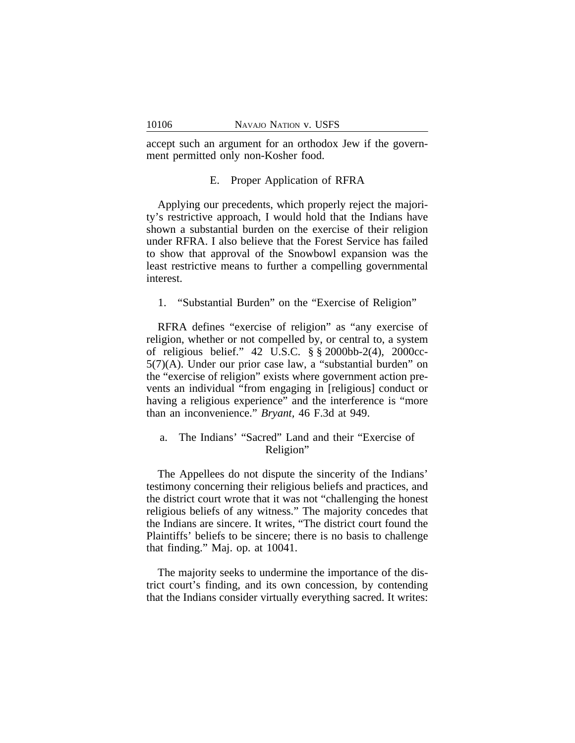accept such an argument for an orthodox Jew if the government permitted only non-Kosher food.

## E. Proper Application of RFRA

Applying our precedents, which properly reject the majority's restrictive approach, I would hold that the Indians have shown a substantial burden on the exercise of their religion under RFRA. I also believe that the Forest Service has failed to show that approval of the Snowbowl expansion was the least restrictive means to further a compelling governmental interest.

1. "Substantial Burden" on the "Exercise of Religion"

RFRA defines "exercise of religion" as "any exercise of religion, whether or not compelled by, or central to, a system of religious belief." 42 U.S.C. § § 2000bb-2(4), 2000cc-5(7)(A). Under our prior case law, a "substantial burden" on the "exercise of religion" exists where government action prevents an individual "from engaging in [religious] conduct or having a religious experience" and the interference is "more than an inconvenience." *Bryant,* 46 F.3d at 949.

# a. The Indians' "Sacred" Land and their "Exercise of Religion"

The Appellees do not dispute the sincerity of the Indians' testimony concerning their religious beliefs and practices, and the district court wrote that it was not "challenging the honest religious beliefs of any witness." The majority concedes that the Indians are sincere. It writes, "The district court found the Plaintiffs' beliefs to be sincere; there is no basis to challenge that finding." Maj. op. at 10041.

The majority seeks to undermine the importance of the district court's finding, and its own concession, by contending that the Indians consider virtually everything sacred. It writes: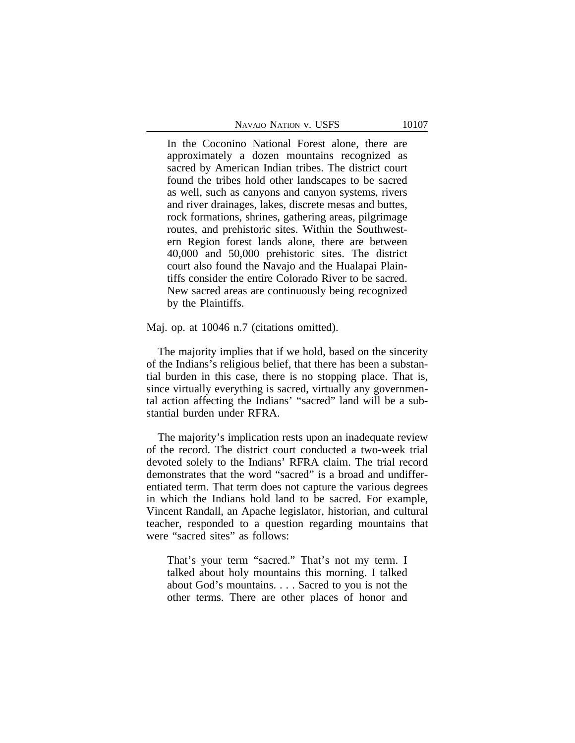In the Coconino National Forest alone, there are approximately a dozen mountains recognized as sacred by American Indian tribes. The district court found the tribes hold other landscapes to be sacred as well, such as canyons and canyon systems, rivers and river drainages, lakes, discrete mesas and buttes, rock formations, shrines, gathering areas, pilgrimage routes, and prehistoric sites. Within the Southwestern Region forest lands alone, there are between 40,000 and 50,000 prehistoric sites. The district court also found the Navajo and the Hualapai Plaintiffs consider the entire Colorado River to be sacred. New sacred areas are continuously being recognized by the Plaintiffs.

Maj. op. at 10046 n.7 (citations omitted).

The majority implies that if we hold, based on the sincerity of the Indians's religious belief, that there has been a substantial burden in this case, there is no stopping place. That is, since virtually everything is sacred, virtually any governmental action affecting the Indians' "sacred" land will be a substantial burden under RFRA.

The majority's implication rests upon an inadequate review of the record. The district court conducted a two-week trial devoted solely to the Indians' RFRA claim. The trial record demonstrates that the word "sacred" is a broad and undifferentiated term. That term does not capture the various degrees in which the Indians hold land to be sacred. For example, Vincent Randall, an Apache legislator, historian, and cultural teacher, responded to a question regarding mountains that were "sacred sites" as follows:

That's your term "sacred." That's not my term. I talked about holy mountains this morning. I talked about God's mountains. . . . Sacred to you is not the other terms. There are other places of honor and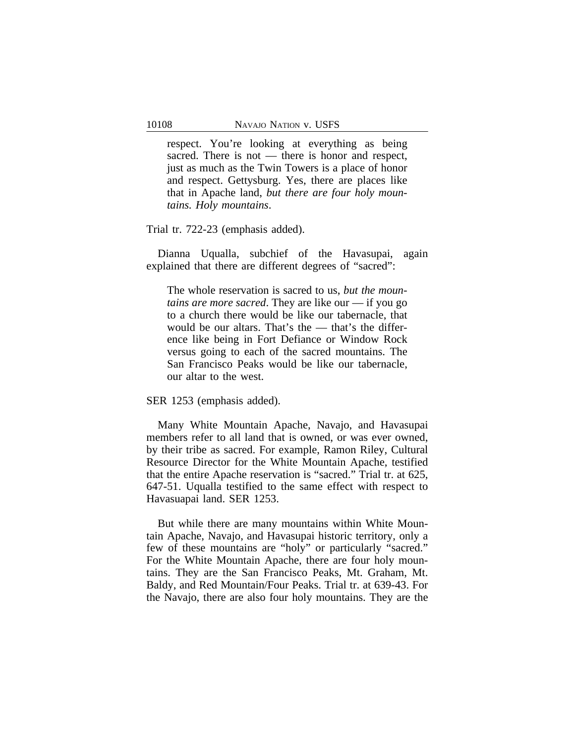respect. You're looking at everything as being sacred. There is not — there is honor and respect, just as much as the Twin Towers is a place of honor and respect. Gettysburg. Yes, there are places like that in Apache land, *but there are four holy mountains. Holy mountains*.

Trial tr. 722-23 (emphasis added).

Dianna Uqualla, subchief of the Havasupai, again explained that there are different degrees of "sacred":

The whole reservation is sacred to us, *but the mountains are more sacred*. They are like our — if you go to a church there would be like our tabernacle, that would be our altars. That's the — that's the difference like being in Fort Defiance or Window Rock versus going to each of the sacred mountains. The San Francisco Peaks would be like our tabernacle, our altar to the west.

SER 1253 (emphasis added).

Many White Mountain Apache, Navajo, and Havasupai members refer to all land that is owned, or was ever owned, by their tribe as sacred. For example, Ramon Riley, Cultural Resource Director for the White Mountain Apache, testified that the entire Apache reservation is "sacred." Trial tr. at 625, 647-51. Uqualla testified to the same effect with respect to Havasuapai land. SER 1253.

But while there are many mountains within White Mountain Apache, Navajo, and Havasupai historic territory, only a few of these mountains are "holy" or particularly "sacred." For the White Mountain Apache, there are four holy mountains. They are the San Francisco Peaks, Mt. Graham, Mt. Baldy, and Red Mountain/Four Peaks. Trial tr. at 639-43. For the Navajo, there are also four holy mountains. They are the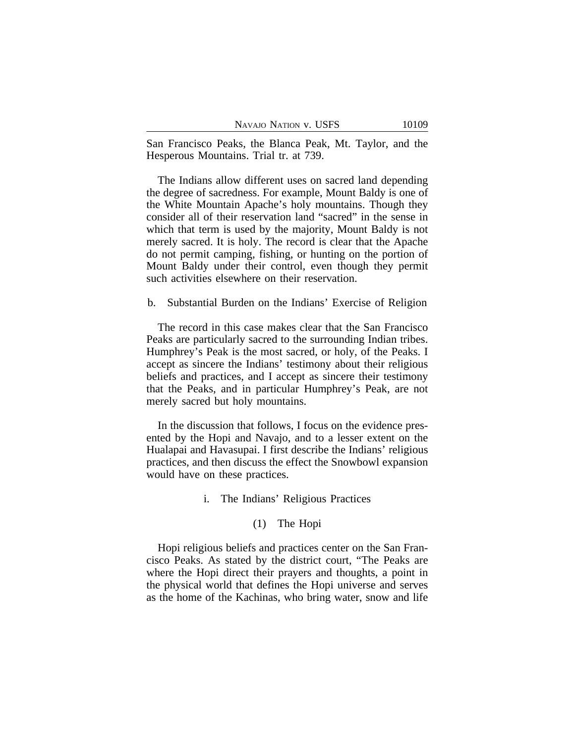San Francisco Peaks, the Blanca Peak, Mt. Taylor, and the Hesperous Mountains. Trial tr. at 739.

The Indians allow different uses on sacred land depending the degree of sacredness. For example, Mount Baldy is one of the White Mountain Apache's holy mountains. Though they consider all of their reservation land "sacred" in the sense in which that term is used by the majority, Mount Baldy is not merely sacred. It is holy. The record is clear that the Apache do not permit camping, fishing, or hunting on the portion of Mount Baldy under their control, even though they permit such activities elsewhere on their reservation.

### b. Substantial Burden on the Indians' Exercise of Religion

The record in this case makes clear that the San Francisco Peaks are particularly sacred to the surrounding Indian tribes. Humphrey's Peak is the most sacred, or holy, of the Peaks. I accept as sincere the Indians' testimony about their religious beliefs and practices, and I accept as sincere their testimony that the Peaks, and in particular Humphrey's Peak, are not merely sacred but holy mountains.

In the discussion that follows, I focus on the evidence presented by the Hopi and Navajo, and to a lesser extent on the Hualapai and Havasupai. I first describe the Indians' religious practices, and then discuss the effect the Snowbowl expansion would have on these practices.

### i. The Indians' Religious Practices

# (1) The Hopi

Hopi religious beliefs and practices center on the San Francisco Peaks. As stated by the district court, "The Peaks are where the Hopi direct their prayers and thoughts, a point in the physical world that defines the Hopi universe and serves as the home of the Kachinas, who bring water, snow and life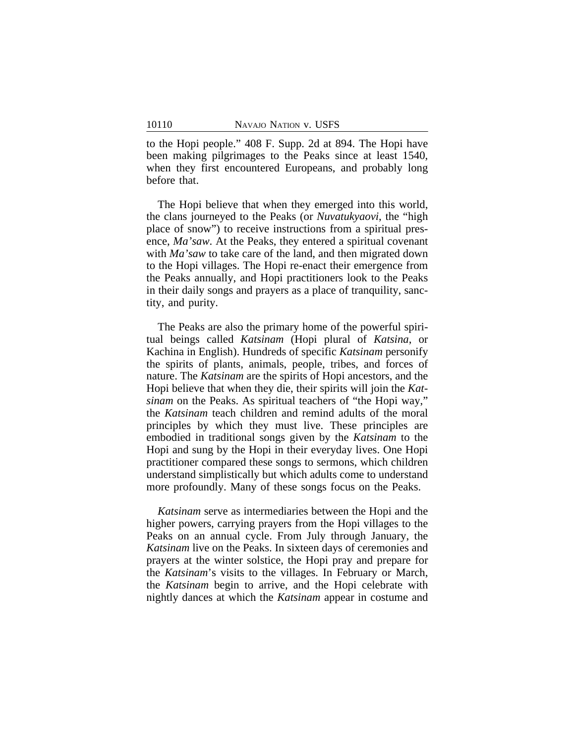to the Hopi people." 408 F. Supp. 2d at 894. The Hopi have been making pilgrimages to the Peaks since at least 1540, when they first encountered Europeans, and probably long before that.

The Hopi believe that when they emerged into this world, the clans journeyed to the Peaks (or *Nuvatukyaovi*, the "high place of snow") to receive instructions from a spiritual presence, *Ma'saw*. At the Peaks, they entered a spiritual covenant with *Ma'saw* to take care of the land, and then migrated down to the Hopi villages. The Hopi re-enact their emergence from the Peaks annually, and Hopi practitioners look to the Peaks in their daily songs and prayers as a place of tranquility, sanctity, and purity.

The Peaks are also the primary home of the powerful spiritual beings called *Katsinam* (Hopi plural of *Katsina*, or Kachina in English). Hundreds of specific *Katsinam* personify the spirits of plants, animals, people, tribes, and forces of nature. The *Katsinam* are the spirits of Hopi ancestors, and the Hopi believe that when they die, their spirits will join the *Katsinam* on the Peaks. As spiritual teachers of "the Hopi way," the *Katsinam* teach children and remind adults of the moral principles by which they must live. These principles are embodied in traditional songs given by the *Katsinam* to the Hopi and sung by the Hopi in their everyday lives. One Hopi practitioner compared these songs to sermons, which children understand simplistically but which adults come to understand more profoundly. Many of these songs focus on the Peaks.

*Katsinam* serve as intermediaries between the Hopi and the higher powers, carrying prayers from the Hopi villages to the Peaks on an annual cycle. From July through January, the *Katsinam* live on the Peaks. In sixteen days of ceremonies and prayers at the winter solstice, the Hopi pray and prepare for the *Katsinam*'s visits to the villages. In February or March, the *Katsinam* begin to arrive, and the Hopi celebrate with nightly dances at which the *Katsinam* appear in costume and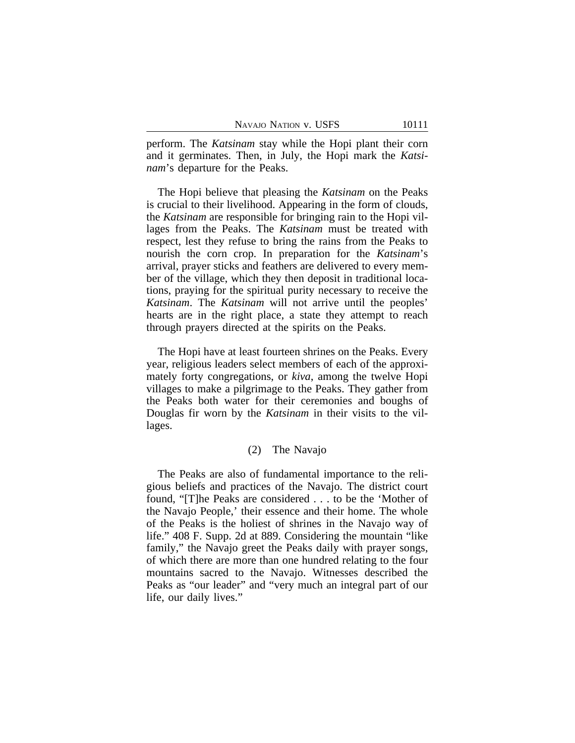perform. The *Katsinam* stay while the Hopi plant their corn and it germinates. Then, in July, the Hopi mark the *Katsinam*'s departure for the Peaks.

The Hopi believe that pleasing the *Katsinam* on the Peaks is crucial to their livelihood. Appearing in the form of clouds, the *Katsinam* are responsible for bringing rain to the Hopi villages from the Peaks. The *Katsinam* must be treated with respect, lest they refuse to bring the rains from the Peaks to nourish the corn crop. In preparation for the *Katsinam*'s arrival, prayer sticks and feathers are delivered to every member of the village, which they then deposit in traditional locations, praying for the spiritual purity necessary to receive the *Katsinam*. The *Katsinam* will not arrive until the peoples' hearts are in the right place, a state they attempt to reach through prayers directed at the spirits on the Peaks.

The Hopi have at least fourteen shrines on the Peaks. Every year, religious leaders select members of each of the approximately forty congregations, or *kiva*, among the twelve Hopi villages to make a pilgrimage to the Peaks. They gather from the Peaks both water for their ceremonies and boughs of Douglas fir worn by the *Katsinam* in their visits to the villages.

#### (2) The Navajo

The Peaks are also of fundamental importance to the religious beliefs and practices of the Navajo. The district court found, "[T]he Peaks are considered . . . to be the 'Mother of the Navajo People,' their essence and their home. The whole of the Peaks is the holiest of shrines in the Navajo way of life." 408 F. Supp. 2d at 889. Considering the mountain "like family," the Navajo greet the Peaks daily with prayer songs, of which there are more than one hundred relating to the four mountains sacred to the Navajo. Witnesses described the Peaks as "our leader" and "very much an integral part of our life, our daily lives."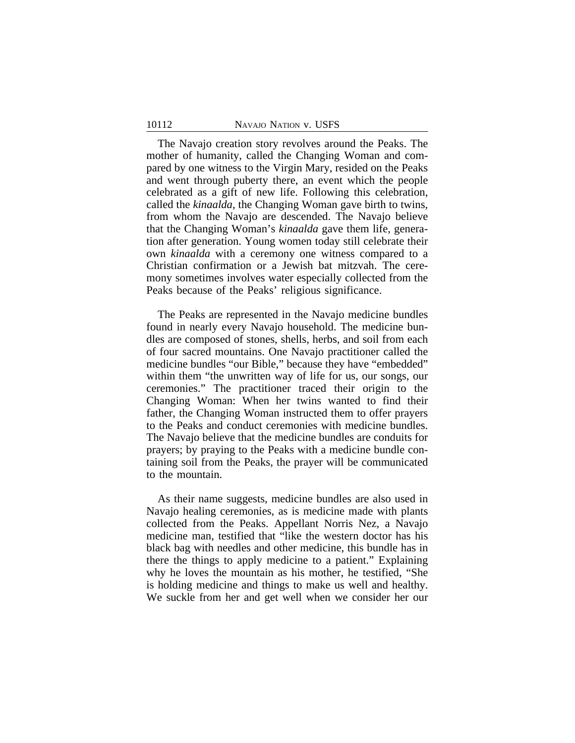#### 10112 NAVAJO NATION v. USFS

The Navajo creation story revolves around the Peaks. The mother of humanity, called the Changing Woman and compared by one witness to the Virgin Mary, resided on the Peaks and went through puberty there, an event which the people celebrated as a gift of new life. Following this celebration, called the *kinaalda*, the Changing Woman gave birth to twins, from whom the Navajo are descended. The Navajo believe that the Changing Woman's *kinaalda* gave them life, generation after generation. Young women today still celebrate their own *kinaalda* with a ceremony one witness compared to a Christian confirmation or a Jewish bat mitzvah. The ceremony sometimes involves water especially collected from the Peaks because of the Peaks' religious significance.

The Peaks are represented in the Navajo medicine bundles found in nearly every Navajo household. The medicine bundles are composed of stones, shells, herbs, and soil from each of four sacred mountains. One Navajo practitioner called the medicine bundles "our Bible," because they have "embedded" within them "the unwritten way of life for us, our songs, our ceremonies." The practitioner traced their origin to the Changing Woman: When her twins wanted to find their father, the Changing Woman instructed them to offer prayers to the Peaks and conduct ceremonies with medicine bundles. The Navajo believe that the medicine bundles are conduits for prayers; by praying to the Peaks with a medicine bundle containing soil from the Peaks, the prayer will be communicated to the mountain.

As their name suggests, medicine bundles are also used in Navajo healing ceremonies, as is medicine made with plants collected from the Peaks. Appellant Norris Nez, a Navajo medicine man, testified that "like the western doctor has his black bag with needles and other medicine, this bundle has in there the things to apply medicine to a patient." Explaining why he loves the mountain as his mother, he testified, "She is holding medicine and things to make us well and healthy. We suckle from her and get well when we consider her our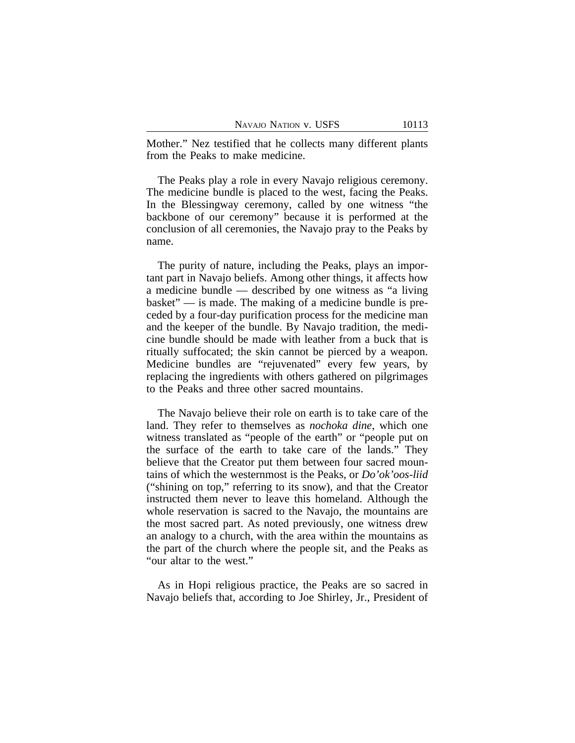Mother." Nez testified that he collects many different plants from the Peaks to make medicine.

The Peaks play a role in every Navajo religious ceremony. The medicine bundle is placed to the west, facing the Peaks. In the Blessingway ceremony, called by one witness "the backbone of our ceremony" because it is performed at the conclusion of all ceremonies, the Navajo pray to the Peaks by name.

The purity of nature, including the Peaks, plays an important part in Navajo beliefs. Among other things, it affects how a medicine bundle — described by one witness as "a living basket" — is made. The making of a medicine bundle is preceded by a four-day purification process for the medicine man and the keeper of the bundle. By Navajo tradition, the medicine bundle should be made with leather from a buck that is ritually suffocated; the skin cannot be pierced by a weapon. Medicine bundles are "rejuvenated" every few years, by replacing the ingredients with others gathered on pilgrimages to the Peaks and three other sacred mountains.

The Navajo believe their role on earth is to take care of the land. They refer to themselves as *nochoka dine*, which one witness translated as "people of the earth" or "people put on the surface of the earth to take care of the lands." They believe that the Creator put them between four sacred mountains of which the westernmost is the Peaks, or *Do'ok'oos-liid* ("shining on top," referring to its snow), and that the Creator instructed them never to leave this homeland. Although the whole reservation is sacred to the Navajo, the mountains are the most sacred part. As noted previously, one witness drew an analogy to a church, with the area within the mountains as the part of the church where the people sit, and the Peaks as "our altar to the west."

As in Hopi religious practice, the Peaks are so sacred in Navajo beliefs that, according to Joe Shirley, Jr., President of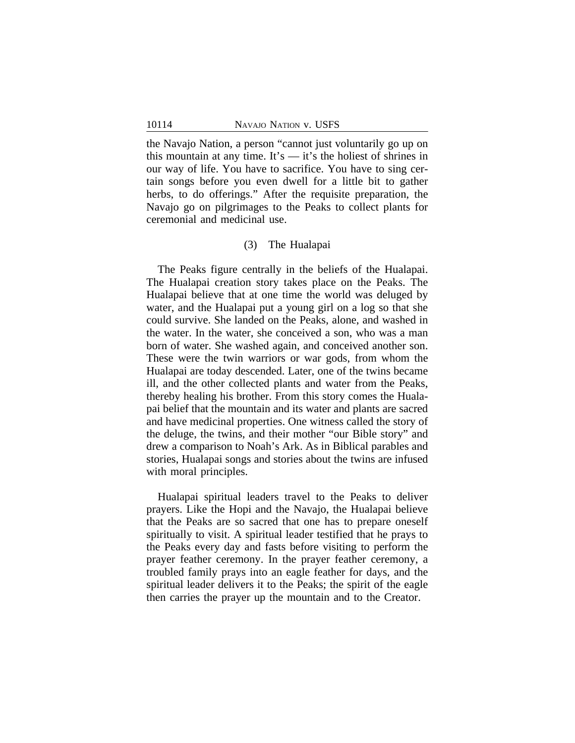the Navajo Nation, a person "cannot just voluntarily go up on this mountain at any time. It's  $-$  it's the holiest of shrines in our way of life. You have to sacrifice. You have to sing certain songs before you even dwell for a little bit to gather herbs, to do offerings." After the requisite preparation, the Navajo go on pilgrimages to the Peaks to collect plants for ceremonial and medicinal use.

### (3) The Hualapai

The Peaks figure centrally in the beliefs of the Hualapai. The Hualapai creation story takes place on the Peaks. The Hualapai believe that at one time the world was deluged by water, and the Hualapai put a young girl on a log so that she could survive. She landed on the Peaks, alone, and washed in the water. In the water, she conceived a son, who was a man born of water. She washed again, and conceived another son. These were the twin warriors or war gods, from whom the Hualapai are today descended. Later, one of the twins became ill, and the other collected plants and water from the Peaks, thereby healing his brother. From this story comes the Hualapai belief that the mountain and its water and plants are sacred and have medicinal properties. One witness called the story of the deluge, the twins, and their mother "our Bible story" and drew a comparison to Noah's Ark. As in Biblical parables and stories, Hualapai songs and stories about the twins are infused with moral principles.

Hualapai spiritual leaders travel to the Peaks to deliver prayers. Like the Hopi and the Navajo, the Hualapai believe that the Peaks are so sacred that one has to prepare oneself spiritually to visit. A spiritual leader testified that he prays to the Peaks every day and fasts before visiting to perform the prayer feather ceremony. In the prayer feather ceremony, a troubled family prays into an eagle feather for days, and the spiritual leader delivers it to the Peaks; the spirit of the eagle then carries the prayer up the mountain and to the Creator.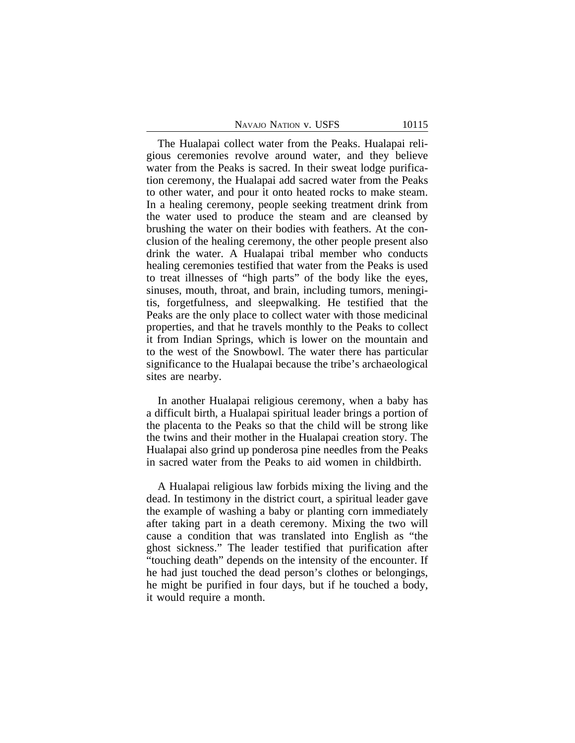| Navajo Nation v. USFS |  |  |
|-----------------------|--|--|
|-----------------------|--|--|

The Hualapai collect water from the Peaks. Hualapai religious ceremonies revolve around water, and they believe water from the Peaks is sacred. In their sweat lodge purification ceremony, the Hualapai add sacred water from the Peaks to other water, and pour it onto heated rocks to make steam. In a healing ceremony, people seeking treatment drink from the water used to produce the steam and are cleansed by brushing the water on their bodies with feathers. At the conclusion of the healing ceremony, the other people present also drink the water. A Hualapai tribal member who conducts healing ceremonies testified that water from the Peaks is used to treat illnesses of "high parts" of the body like the eyes, sinuses, mouth, throat, and brain, including tumors, meningitis, forgetfulness, and sleepwalking. He testified that the Peaks are the only place to collect water with those medicinal properties, and that he travels monthly to the Peaks to collect it from Indian Springs, which is lower on the mountain and to the west of the Snowbowl. The water there has particular significance to the Hualapai because the tribe's archaeological sites are nearby.

In another Hualapai religious ceremony, when a baby has a difficult birth, a Hualapai spiritual leader brings a portion of the placenta to the Peaks so that the child will be strong like the twins and their mother in the Hualapai creation story. The Hualapai also grind up ponderosa pine needles from the Peaks in sacred water from the Peaks to aid women in childbirth.

A Hualapai religious law forbids mixing the living and the dead. In testimony in the district court, a spiritual leader gave the example of washing a baby or planting corn immediately after taking part in a death ceremony. Mixing the two will cause a condition that was translated into English as "the ghost sickness." The leader testified that purification after "touching death" depends on the intensity of the encounter. If he had just touched the dead person's clothes or belongings, he might be purified in four days, but if he touched a body, it would require a month.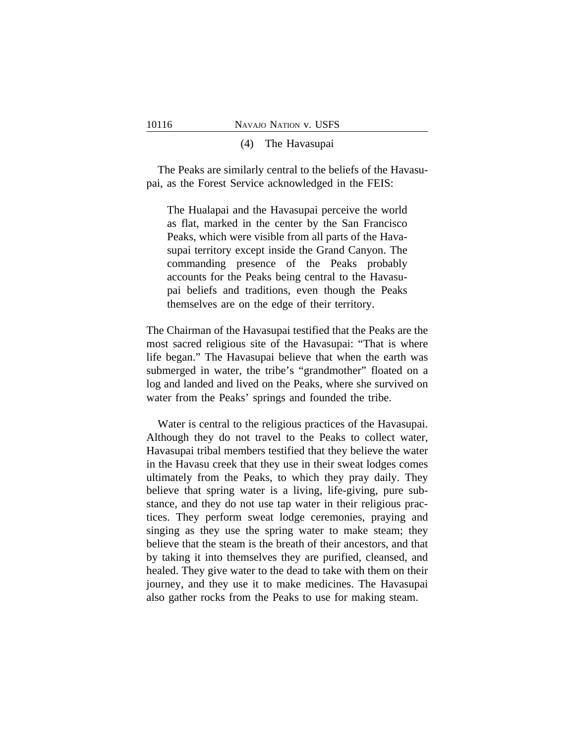## (4) The Havasupai

The Peaks are similarly central to the beliefs of the Havasupai, as the Forest Service acknowledged in the FEIS:

The Hualapai and the Havasupai perceive the world as flat, marked in the center by the San Francisco Peaks, which were visible from all parts of the Havasupai territory except inside the Grand Canyon. The commanding presence of the Peaks probably accounts for the Peaks being central to the Havasupai beliefs and traditions, even though the Peaks themselves are on the edge of their territory.

The Chairman of the Havasupai testified that the Peaks are the most sacred religious site of the Havasupai: "That is where life began." The Havasupai believe that when the earth was submerged in water, the tribe's "grandmother" floated on a log and landed and lived on the Peaks, where she survived on water from the Peaks' springs and founded the tribe.

Water is central to the religious practices of the Havasupai. Although they do not travel to the Peaks to collect water, Havasupai tribal members testified that they believe the water in the Havasu creek that they use in their sweat lodges comes ultimately from the Peaks, to which they pray daily. They believe that spring water is a living, life-giving, pure substance, and they do not use tap water in their religious practices. They perform sweat lodge ceremonies, praying and singing as they use the spring water to make steam; they believe that the steam is the breath of their ancestors, and that by taking it into themselves they are purified, cleansed, and healed. They give water to the dead to take with them on their journey, and they use it to make medicines. The Havasupai also gather rocks from the Peaks to use for making steam.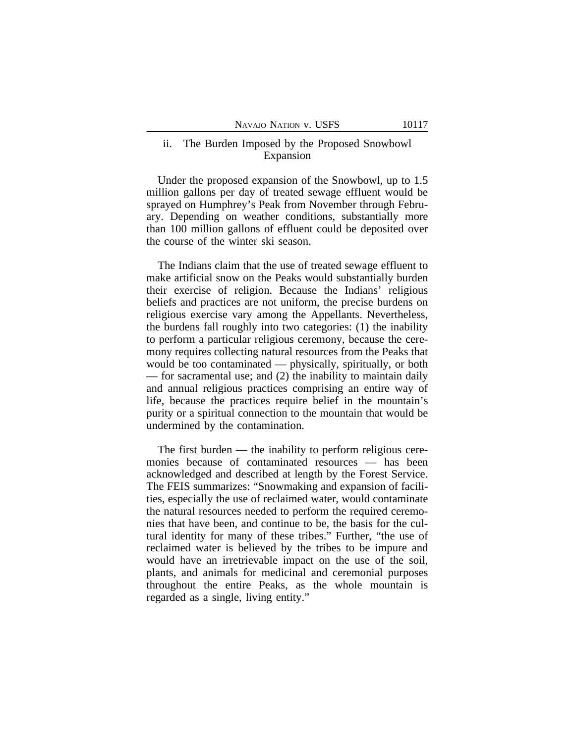## ii. The Burden Imposed by the Proposed Snowbowl Expansion

Under the proposed expansion of the Snowbowl, up to 1.5 million gallons per day of treated sewage effluent would be sprayed on Humphrey's Peak from November through February. Depending on weather conditions, substantially more than 100 million gallons of effluent could be deposited over the course of the winter ski season.

The Indians claim that the use of treated sewage effluent to make artificial snow on the Peaks would substantially burden their exercise of religion. Because the Indians' religious beliefs and practices are not uniform, the precise burdens on religious exercise vary among the Appellants. Nevertheless, the burdens fall roughly into two categories: (1) the inability to perform a particular religious ceremony, because the ceremony requires collecting natural resources from the Peaks that would be too contaminated — physically, spiritually, or both — for sacramental use; and (2) the inability to maintain daily and annual religious practices comprising an entire way of life, because the practices require belief in the mountain's purity or a spiritual connection to the mountain that would be undermined by the contamination.

The first burden — the inability to perform religious ceremonies because of contaminated resources — has been acknowledged and described at length by the Forest Service. The FEIS summarizes: "Snowmaking and expansion of facilities, especially the use of reclaimed water, would contaminate the natural resources needed to perform the required ceremonies that have been, and continue to be, the basis for the cultural identity for many of these tribes." Further, "the use of reclaimed water is believed by the tribes to be impure and would have an irretrievable impact on the use of the soil, plants, and animals for medicinal and ceremonial purposes throughout the entire Peaks, as the whole mountain is regarded as a single, living entity."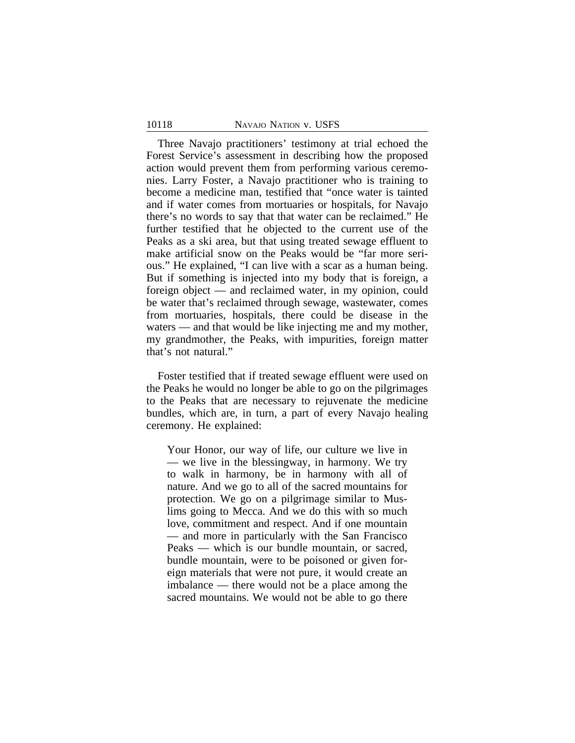#### 10118 NAVAJO NATION v. USFS

Three Navajo practitioners' testimony at trial echoed the Forest Service's assessment in describing how the proposed action would prevent them from performing various ceremonies. Larry Foster, a Navajo practitioner who is training to become a medicine man, testified that "once water is tainted and if water comes from mortuaries or hospitals, for Navajo there's no words to say that that water can be reclaimed." He further testified that he objected to the current use of the Peaks as a ski area, but that using treated sewage effluent to make artificial snow on the Peaks would be "far more serious." He explained, "I can live with a scar as a human being. But if something is injected into my body that is foreign, a foreign object — and reclaimed water, in my opinion, could be water that's reclaimed through sewage, wastewater, comes from mortuaries, hospitals, there could be disease in the waters — and that would be like injecting me and my mother, my grandmother, the Peaks, with impurities, foreign matter that's not natural."

Foster testified that if treated sewage effluent were used on the Peaks he would no longer be able to go on the pilgrimages to the Peaks that are necessary to rejuvenate the medicine bundles, which are, in turn, a part of every Navajo healing ceremony. He explained:

Your Honor, our way of life, our culture we live in — we live in the blessingway, in harmony. We try to walk in harmony, be in harmony with all of nature. And we go to all of the sacred mountains for protection. We go on a pilgrimage similar to Muslims going to Mecca. And we do this with so much love, commitment and respect. And if one mountain — and more in particularly with the San Francisco Peaks — which is our bundle mountain, or sacred, bundle mountain, were to be poisoned or given foreign materials that were not pure, it would create an imbalance — there would not be a place among the sacred mountains. We would not be able to go there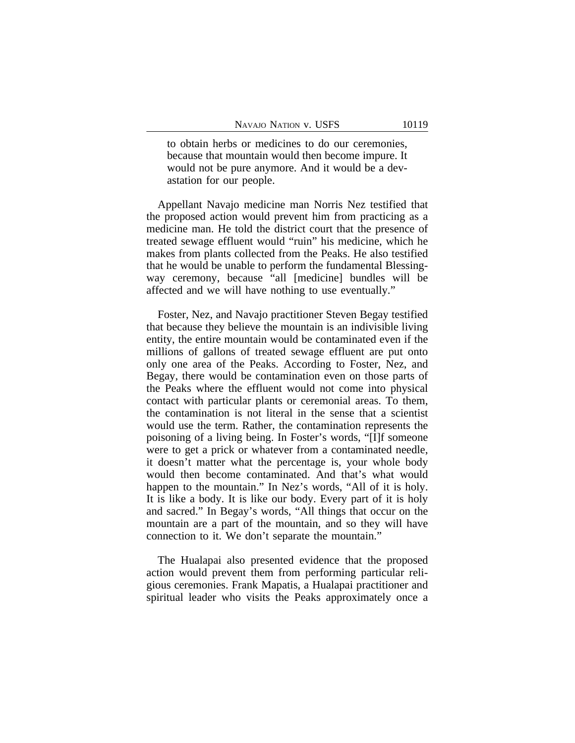to obtain herbs or medicines to do our ceremonies, because that mountain would then become impure. It would not be pure anymore. And it would be a devastation for our people.

Appellant Navajo medicine man Norris Nez testified that the proposed action would prevent him from practicing as a medicine man. He told the district court that the presence of treated sewage effluent would "ruin" his medicine, which he makes from plants collected from the Peaks. He also testified that he would be unable to perform the fundamental Blessingway ceremony, because "all [medicine] bundles will be affected and we will have nothing to use eventually."

Foster, Nez, and Navajo practitioner Steven Begay testified that because they believe the mountain is an indivisible living entity, the entire mountain would be contaminated even if the millions of gallons of treated sewage effluent are put onto only one area of the Peaks. According to Foster, Nez, and Begay, there would be contamination even on those parts of the Peaks where the effluent would not come into physical contact with particular plants or ceremonial areas. To them, the contamination is not literal in the sense that a scientist would use the term. Rather, the contamination represents the poisoning of a living being. In Foster's words, "[I]f someone were to get a prick or whatever from a contaminated needle, it doesn't matter what the percentage is, your whole body would then become contaminated. And that's what would happen to the mountain." In Nez's words, "All of it is holy. It is like a body. It is like our body. Every part of it is holy and sacred." In Begay's words, "All things that occur on the mountain are a part of the mountain, and so they will have connection to it. We don't separate the mountain."

The Hualapai also presented evidence that the proposed action would prevent them from performing particular religious ceremonies. Frank Mapatis, a Hualapai practitioner and spiritual leader who visits the Peaks approximately once a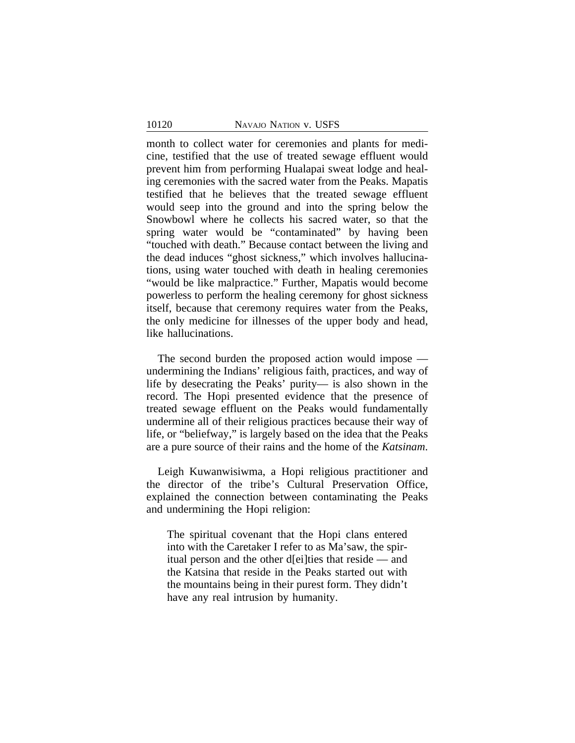month to collect water for ceremonies and plants for medicine, testified that the use of treated sewage effluent would prevent him from performing Hualapai sweat lodge and healing ceremonies with the sacred water from the Peaks. Mapatis testified that he believes that the treated sewage effluent would seep into the ground and into the spring below the Snowbowl where he collects his sacred water, so that the spring water would be "contaminated" by having been "touched with death." Because contact between the living and the dead induces "ghost sickness," which involves hallucinations, using water touched with death in healing ceremonies "would be like malpractice." Further, Mapatis would become powerless to perform the healing ceremony for ghost sickness itself, because that ceremony requires water from the Peaks, the only medicine for illnesses of the upper body and head, like hallucinations.

The second burden the proposed action would impose undermining the Indians' religious faith, practices, and way of life by desecrating the Peaks' purity— is also shown in the record. The Hopi presented evidence that the presence of treated sewage effluent on the Peaks would fundamentally undermine all of their religious practices because their way of life, or "beliefway," is largely based on the idea that the Peaks are a pure source of their rains and the home of the *Katsinam*.

Leigh Kuwanwisiwma, a Hopi religious practitioner and the director of the tribe's Cultural Preservation Office, explained the connection between contaminating the Peaks and undermining the Hopi religion:

The spiritual covenant that the Hopi clans entered into with the Caretaker I refer to as Ma'saw, the spiritual person and the other d[ei]ties that reside — and the Katsina that reside in the Peaks started out with the mountains being in their purest form. They didn't have any real intrusion by humanity.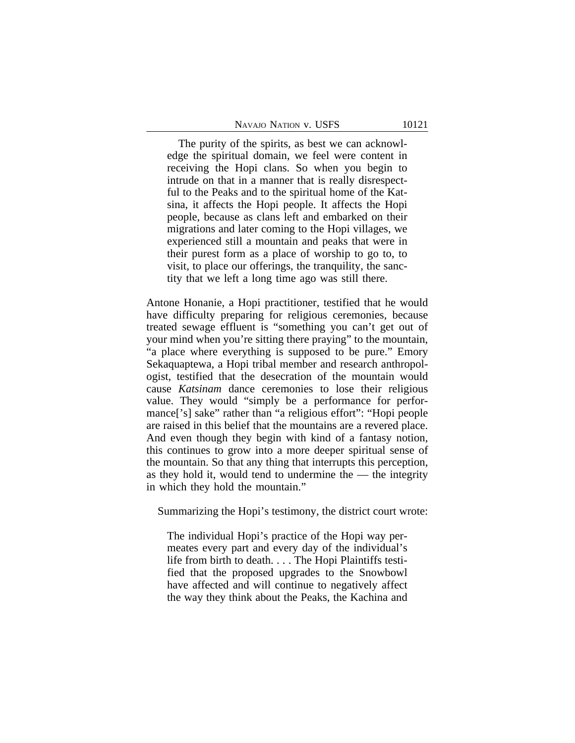The purity of the spirits, as best we can acknowledge the spiritual domain, we feel were content in receiving the Hopi clans. So when you begin to intrude on that in a manner that is really disrespectful to the Peaks and to the spiritual home of the Katsina, it affects the Hopi people. It affects the Hopi people, because as clans left and embarked on their migrations and later coming to the Hopi villages, we experienced still a mountain and peaks that were in their purest form as a place of worship to go to, to visit, to place our offerings, the tranquility, the sanctity that we left a long time ago was still there.

Antone Honanie, a Hopi practitioner, testified that he would have difficulty preparing for religious ceremonies, because treated sewage effluent is "something you can't get out of your mind when you're sitting there praying" to the mountain, "a place where everything is supposed to be pure." Emory Sekaquaptewa, a Hopi tribal member and research anthropologist, testified that the desecration of the mountain would cause *Katsinam* dance ceremonies to lose their religious value. They would "simply be a performance for performance['s] sake" rather than "a religious effort": "Hopi people are raised in this belief that the mountains are a revered place. And even though they begin with kind of a fantasy notion, this continues to grow into a more deeper spiritual sense of the mountain. So that any thing that interrupts this perception, as they hold it, would tend to undermine the  $-$  the integrity in which they hold the mountain."

Summarizing the Hopi's testimony, the district court wrote:

The individual Hopi's practice of the Hopi way permeates every part and every day of the individual's life from birth to death. . . . The Hopi Plaintiffs testified that the proposed upgrades to the Snowbowl have affected and will continue to negatively affect the way they think about the Peaks, the Kachina and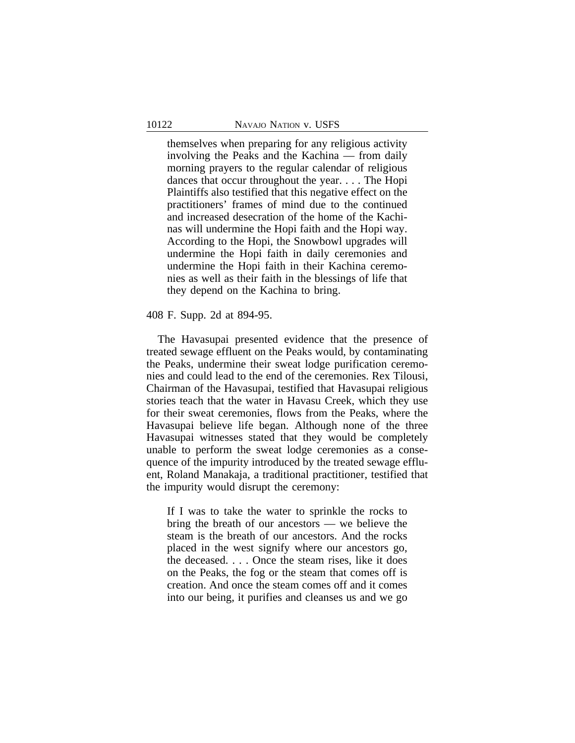themselves when preparing for any religious activity involving the Peaks and the Kachina — from daily morning prayers to the regular calendar of religious dances that occur throughout the year. . . . The Hopi Plaintiffs also testified that this negative effect on the practitioners' frames of mind due to the continued and increased desecration of the home of the Kachinas will undermine the Hopi faith and the Hopi way. According to the Hopi, the Snowbowl upgrades will undermine the Hopi faith in daily ceremonies and undermine the Hopi faith in their Kachina ceremonies as well as their faith in the blessings of life that they depend on the Kachina to bring.

408 F. Supp. 2d at 894-95.

The Havasupai presented evidence that the presence of treated sewage effluent on the Peaks would, by contaminating the Peaks, undermine their sweat lodge purification ceremonies and could lead to the end of the ceremonies. Rex Tilousi, Chairman of the Havasupai, testified that Havasupai religious stories teach that the water in Havasu Creek, which they use for their sweat ceremonies, flows from the Peaks, where the Havasupai believe life began. Although none of the three Havasupai witnesses stated that they would be completely unable to perform the sweat lodge ceremonies as a consequence of the impurity introduced by the treated sewage effluent, Roland Manakaja, a traditional practitioner, testified that the impurity would disrupt the ceremony:

If I was to take the water to sprinkle the rocks to bring the breath of our ancestors — we believe the steam is the breath of our ancestors. And the rocks placed in the west signify where our ancestors go, the deceased. . . . Once the steam rises, like it does on the Peaks, the fog or the steam that comes off is creation. And once the steam comes off and it comes into our being, it purifies and cleanses us and we go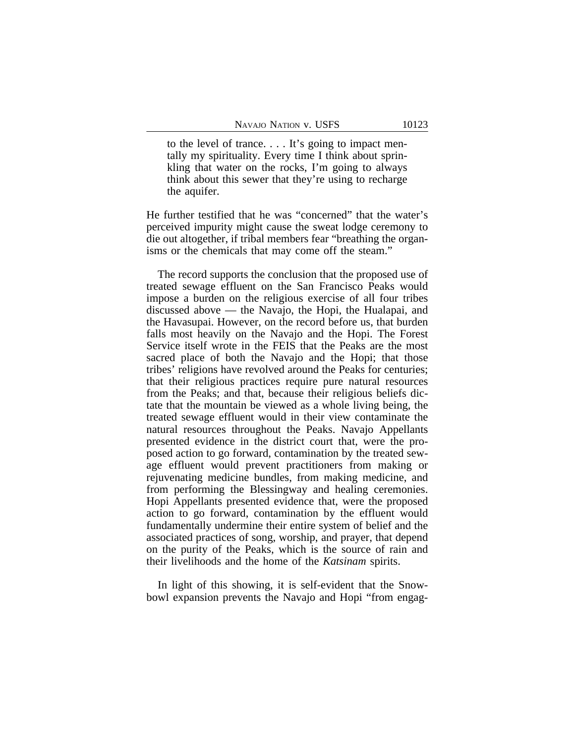to the level of trance. . . . It's going to impact mentally my spirituality. Every time I think about sprinkling that water on the rocks, I'm going to always think about this sewer that they're using to recharge the aquifer.

He further testified that he was "concerned" that the water's perceived impurity might cause the sweat lodge ceremony to die out altogether, if tribal members fear "breathing the organisms or the chemicals that may come off the steam."

The record supports the conclusion that the proposed use of treated sewage effluent on the San Francisco Peaks would impose a burden on the religious exercise of all four tribes discussed above — the Navajo, the Hopi, the Hualapai, and the Havasupai. However, on the record before us, that burden falls most heavily on the Navajo and the Hopi. The Forest Service itself wrote in the FEIS that the Peaks are the most sacred place of both the Navajo and the Hopi; that those tribes' religions have revolved around the Peaks for centuries; that their religious practices require pure natural resources from the Peaks; and that, because their religious beliefs dictate that the mountain be viewed as a whole living being, the treated sewage effluent would in their view contaminate the natural resources throughout the Peaks. Navajo Appellants presented evidence in the district court that, were the proposed action to go forward, contamination by the treated sewage effluent would prevent practitioners from making or rejuvenating medicine bundles, from making medicine, and from performing the Blessingway and healing ceremonies. Hopi Appellants presented evidence that, were the proposed action to go forward, contamination by the effluent would fundamentally undermine their entire system of belief and the associated practices of song, worship, and prayer, that depend on the purity of the Peaks, which is the source of rain and their livelihoods and the home of the *Katsinam* spirits.

In light of this showing, it is self-evident that the Snowbowl expansion prevents the Navajo and Hopi "from engag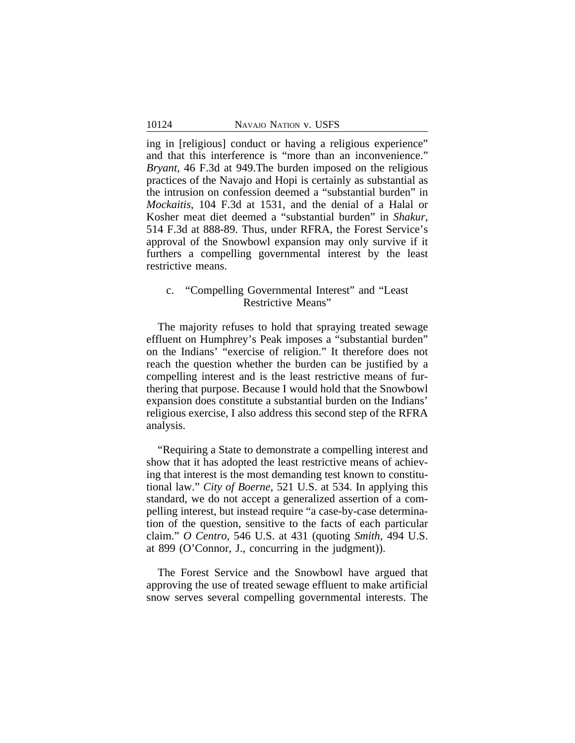ing in [religious] conduct or having a religious experience" and that this interference is "more than an inconvenience." *Bryant,* 46 F.3d at 949.The burden imposed on the religious practices of the Navajo and Hopi is certainly as substantial as the intrusion on confession deemed a "substantial burden" in *Mockaitis*, 104 F.3d at 1531, and the denial of a Halal or Kosher meat diet deemed a "substantial burden" in *Shakur*, 514 F.3d at 888-89. Thus, under RFRA, the Forest Service's approval of the Snowbowl expansion may only survive if it furthers a compelling governmental interest by the least restrictive means.

# c. "Compelling Governmental Interest" and "Least Restrictive Means"

The majority refuses to hold that spraying treated sewage effluent on Humphrey's Peak imposes a "substantial burden" on the Indians' "exercise of religion." It therefore does not reach the question whether the burden can be justified by a compelling interest and is the least restrictive means of furthering that purpose. Because I would hold that the Snowbowl expansion does constitute a substantial burden on the Indians' religious exercise, I also address this second step of the RFRA analysis.

"Requiring a State to demonstrate a compelling interest and show that it has adopted the least restrictive means of achieving that interest is the most demanding test known to constitutional law." *City of Boerne*, 521 U.S. at 534. In applying this standard, we do not accept a generalized assertion of a compelling interest, but instead require "a case-by-case determination of the question, sensitive to the facts of each particular claim." *O Centro*, 546 U.S. at 431 (quoting *Smith*, 494 U.S. at 899 (O'Connor, J., concurring in the judgment)).

The Forest Service and the Snowbowl have argued that approving the use of treated sewage effluent to make artificial snow serves several compelling governmental interests. The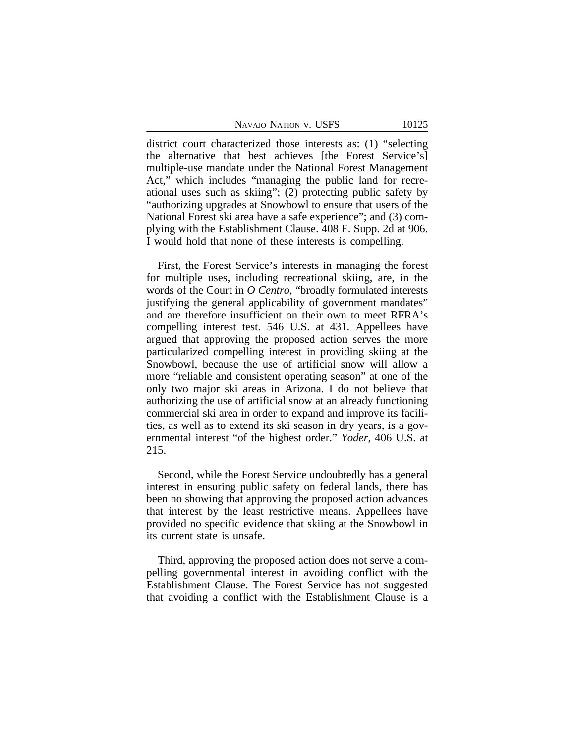district court characterized those interests as: (1) "selecting the alternative that best achieves [the Forest Service's] multiple-use mandate under the National Forest Management Act," which includes "managing the public land for recreational uses such as skiing"; (2) protecting public safety by "authorizing upgrades at Snowbowl to ensure that users of the National Forest ski area have a safe experience"; and (3) complying with the Establishment Clause. 408 F. Supp. 2d at 906. I would hold that none of these interests is compelling.

First, the Forest Service's interests in managing the forest for multiple uses, including recreational skiing, are, in the words of the Court in *O Centro*, "broadly formulated interests justifying the general applicability of government mandates" and are therefore insufficient on their own to meet RFRA's compelling interest test. 546 U.S. at 431. Appellees have argued that approving the proposed action serves the more particularized compelling interest in providing skiing at the Snowbowl, because the use of artificial snow will allow a more "reliable and consistent operating season" at one of the only two major ski areas in Arizona. I do not believe that authorizing the use of artificial snow at an already functioning commercial ski area in order to expand and improve its facilities, as well as to extend its ski season in dry years, is a governmental interest "of the highest order." *Yoder*, 406 U.S. at 215.

Second, while the Forest Service undoubtedly has a general interest in ensuring public safety on federal lands, there has been no showing that approving the proposed action advances that interest by the least restrictive means. Appellees have provided no specific evidence that skiing at the Snowbowl in its current state is unsafe.

Third, approving the proposed action does not serve a compelling governmental interest in avoiding conflict with the Establishment Clause. The Forest Service has not suggested that avoiding a conflict with the Establishment Clause is a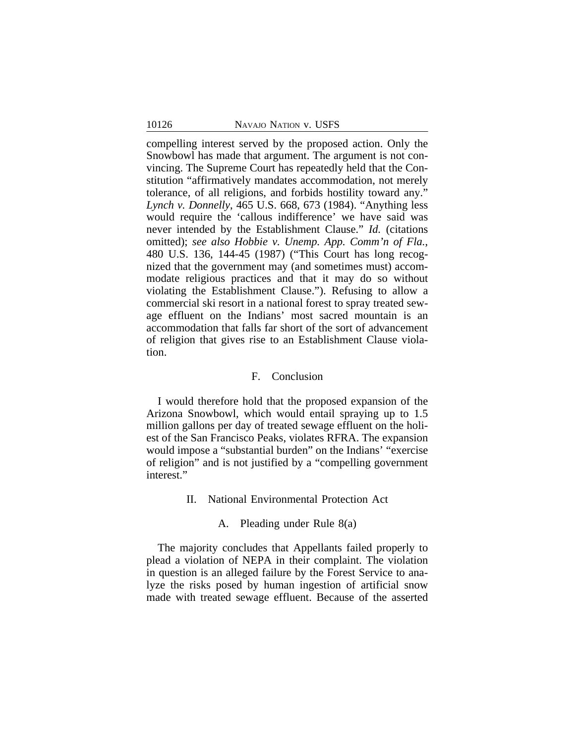compelling interest served by the proposed action. Only the Snowbowl has made that argument. The argument is not convincing. The Supreme Court has repeatedly held that the Constitution "affirmatively mandates accommodation, not merely tolerance, of all religions, and forbids hostility toward any." *Lynch v. Donnelly*, 465 U.S. 668, 673 (1984). "Anything less would require the 'callous indifference' we have said was never intended by the Establishment Clause." *Id.* (citations omitted); *see also Hobbie v. Unemp. App. Comm'n of Fla.*, 480 U.S. 136, 144-45 (1987) ("This Court has long recognized that the government may (and sometimes must) accommodate religious practices and that it may do so without violating the Establishment Clause."). Refusing to allow a commercial ski resort in a national forest to spray treated sewage effluent on the Indians' most sacred mountain is an accommodation that falls far short of the sort of advancement of religion that gives rise to an Establishment Clause violation.

## F. Conclusion

I would therefore hold that the proposed expansion of the Arizona Snowbowl, which would entail spraying up to 1.5 million gallons per day of treated sewage effluent on the holiest of the San Francisco Peaks, violates RFRA. The expansion would impose a "substantial burden" on the Indians' "exercise of religion" and is not justified by a "compelling government interest."

II. National Environmental Protection Act

# A. Pleading under Rule 8(a)

The majority concludes that Appellants failed properly to plead a violation of NEPA in their complaint. The violation in question is an alleged failure by the Forest Service to analyze the risks posed by human ingestion of artificial snow made with treated sewage effluent. Because of the asserted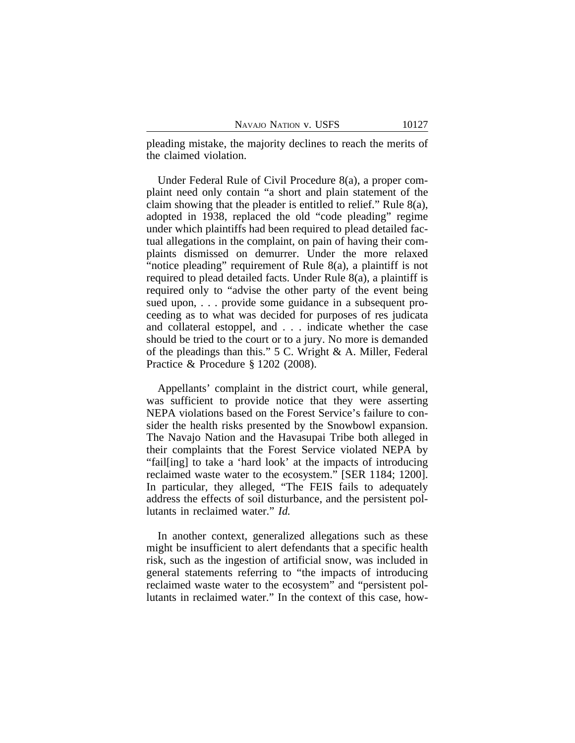pleading mistake, the majority declines to reach the merits of the claimed violation.

Under Federal Rule of Civil Procedure 8(a), a proper complaint need only contain "a short and plain statement of the claim showing that the pleader is entitled to relief." Rule 8(a), adopted in 1938, replaced the old "code pleading" regime under which plaintiffs had been required to plead detailed factual allegations in the complaint, on pain of having their complaints dismissed on demurrer. Under the more relaxed "notice pleading" requirement of Rule 8(a), a plaintiff is not required to plead detailed facts. Under Rule 8(a), a plaintiff is required only to "advise the other party of the event being sued upon, . . . provide some guidance in a subsequent proceeding as to what was decided for purposes of res judicata and collateral estoppel, and . . . indicate whether the case should be tried to the court or to a jury. No more is demanded of the pleadings than this." 5 C. Wright & A. Miller, Federal Practice & Procedure § 1202 (2008).

Appellants' complaint in the district court, while general, was sufficient to provide notice that they were asserting NEPA violations based on the Forest Service's failure to consider the health risks presented by the Snowbowl expansion. The Navajo Nation and the Havasupai Tribe both alleged in their complaints that the Forest Service violated NEPA by "fail[ing] to take a 'hard look' at the impacts of introducing reclaimed waste water to the ecosystem." [SER 1184; 1200]. In particular, they alleged, "The FEIS fails to adequately address the effects of soil disturbance, and the persistent pollutants in reclaimed water." *Id.*

In another context, generalized allegations such as these might be insufficient to alert defendants that a specific health risk, such as the ingestion of artificial snow, was included in general statements referring to "the impacts of introducing reclaimed waste water to the ecosystem" and "persistent pollutants in reclaimed water." In the context of this case, how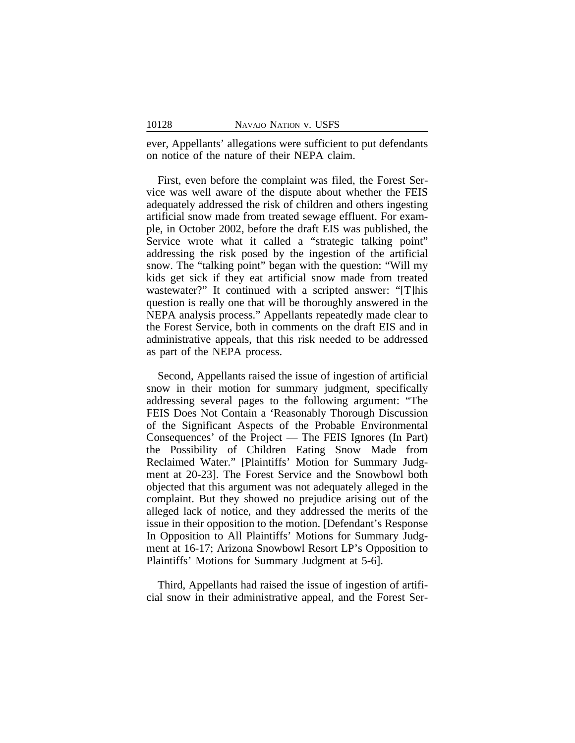ever, Appellants' allegations were sufficient to put defendants on notice of the nature of their NEPA claim.

First, even before the complaint was filed, the Forest Service was well aware of the dispute about whether the FEIS adequately addressed the risk of children and others ingesting artificial snow made from treated sewage effluent. For example, in October 2002, before the draft EIS was published, the Service wrote what it called a "strategic talking point" addressing the risk posed by the ingestion of the artificial snow. The "talking point" began with the question: "Will my kids get sick if they eat artificial snow made from treated wastewater?" It continued with a scripted answer: "[T]his question is really one that will be thoroughly answered in the NEPA analysis process." Appellants repeatedly made clear to the Forest Service, both in comments on the draft EIS and in administrative appeals, that this risk needed to be addressed as part of the NEPA process.

Second, Appellants raised the issue of ingestion of artificial snow in their motion for summary judgment, specifically addressing several pages to the following argument: "The FEIS Does Not Contain a 'Reasonably Thorough Discussion of the Significant Aspects of the Probable Environmental Consequences' of the Project — The FEIS Ignores (In Part) the Possibility of Children Eating Snow Made from Reclaimed Water." [Plaintiffs' Motion for Summary Judgment at 20-23]. The Forest Service and the Snowbowl both objected that this argument was not adequately alleged in the complaint. But they showed no prejudice arising out of the alleged lack of notice, and they addressed the merits of the issue in their opposition to the motion. [Defendant's Response In Opposition to All Plaintiffs' Motions for Summary Judgment at 16-17; Arizona Snowbowl Resort LP's Opposition to Plaintiffs' Motions for Summary Judgment at 5-6].

Third, Appellants had raised the issue of ingestion of artificial snow in their administrative appeal, and the Forest Ser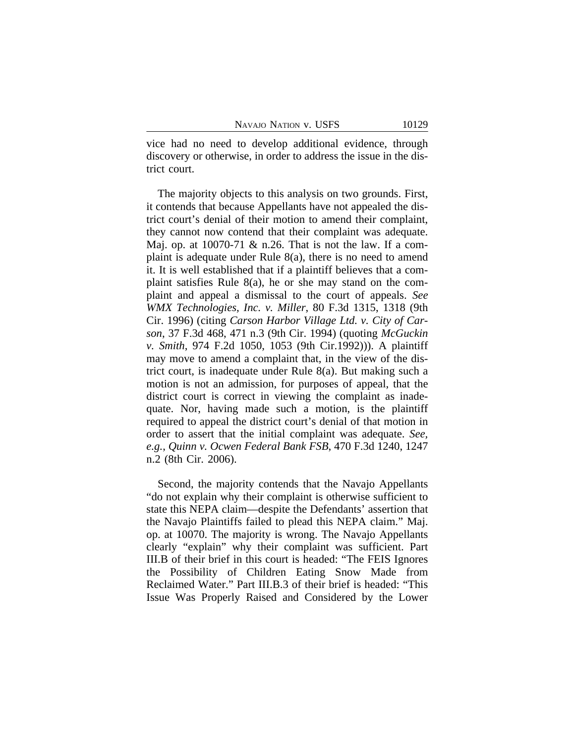vice had no need to develop additional evidence, through discovery or otherwise, in order to address the issue in the district court.

The majority objects to this analysis on two grounds. First, it contends that because Appellants have not appealed the district court's denial of their motion to amend their complaint, they cannot now contend that their complaint was adequate. Maj. op. at  $10070-71 \& n.26$ . That is not the law. If a complaint is adequate under Rule 8(a), there is no need to amend it. It is well established that if a plaintiff believes that a complaint satisfies Rule 8(a), he or she may stand on the complaint and appeal a dismissal to the court of appeals. *See WMX Technologies, Inc. v. Miller*, 80 F.3d 1315, 1318 (9th Cir. 1996) (citing *Carson Harbor Village Ltd. v. City of Carson*, 37 F.3d 468, 471 n.3 (9th Cir. 1994) (quoting *McGuckin v. Smith*, 974 F.2d 1050, 1053 (9th Cir.1992))). A plaintiff may move to amend a complaint that, in the view of the district court, is inadequate under Rule 8(a). But making such a motion is not an admission, for purposes of appeal, that the district court is correct in viewing the complaint as inadequate. Nor, having made such a motion, is the plaintiff required to appeal the district court's denial of that motion in order to assert that the initial complaint was adequate. *See, e.g.*, *Quinn v. Ocwen Federal Bank FSB*, 470 F.3d 1240, 1247 n.2 (8th Cir. 2006).

Second, the majority contends that the Navajo Appellants "do not explain why their complaint is otherwise sufficient to state this NEPA claim—despite the Defendants' assertion that the Navajo Plaintiffs failed to plead this NEPA claim." Maj. op. at 10070. The majority is wrong. The Navajo Appellants clearly "explain" why their complaint was sufficient. Part III.B of their brief in this court is headed: "The FEIS Ignores the Possibility of Children Eating Snow Made from Reclaimed Water." Part III.B.3 of their brief is headed: "This Issue Was Properly Raised and Considered by the Lower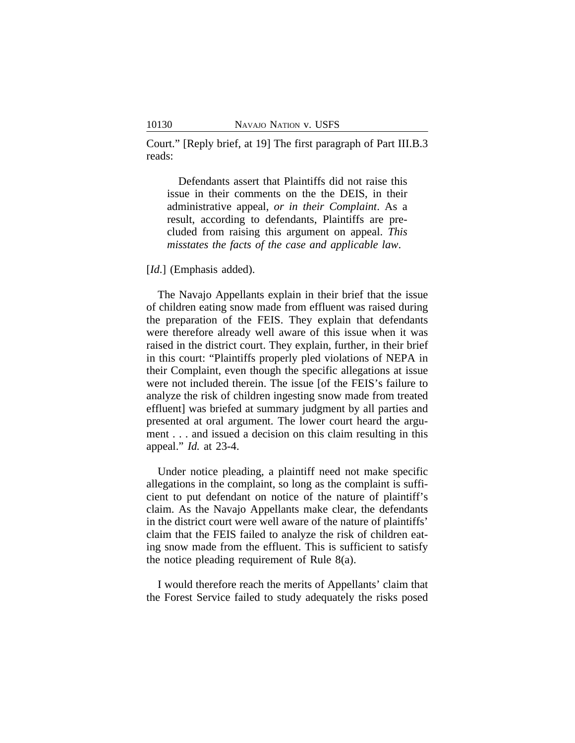Court." [Reply brief, at 19] The first paragraph of Part III.B.3 reads:

Defendants assert that Plaintiffs did not raise this issue in their comments on the the DEIS, in their administrative appeal, *or in their Complaint*. As a result, according to defendants, Plaintiffs are precluded from raising this argument on appeal. *This misstates the facts of the case and applicable law*.

[*Id*.] (Emphasis added).

The Navajo Appellants explain in their brief that the issue of children eating snow made from effluent was raised during the preparation of the FEIS. They explain that defendants were therefore already well aware of this issue when it was raised in the district court. They explain, further, in their brief in this court: "Plaintiffs properly pled violations of NEPA in their Complaint, even though the specific allegations at issue were not included therein. The issue [of the FEIS's failure to analyze the risk of children ingesting snow made from treated effluent] was briefed at summary judgment by all parties and presented at oral argument. The lower court heard the argument . . . and issued a decision on this claim resulting in this appeal." *Id.* at 23-4.

Under notice pleading, a plaintiff need not make specific allegations in the complaint, so long as the complaint is sufficient to put defendant on notice of the nature of plaintiff's claim. As the Navajo Appellants make clear, the defendants in the district court were well aware of the nature of plaintiffs' claim that the FEIS failed to analyze the risk of children eating snow made from the effluent. This is sufficient to satisfy the notice pleading requirement of Rule 8(a).

I would therefore reach the merits of Appellants' claim that the Forest Service failed to study adequately the risks posed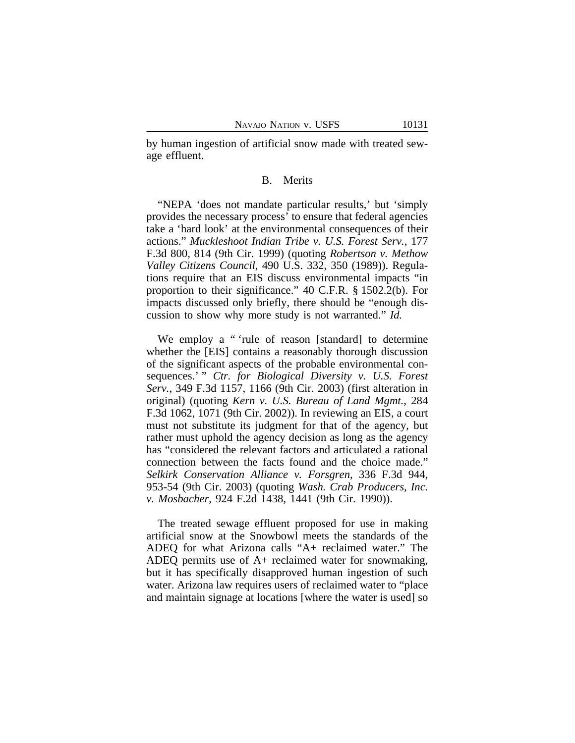by human ingestion of artificial snow made with treated sewage effluent.

## B. Merits

"NEPA 'does not mandate particular results,' but 'simply provides the necessary process' to ensure that federal agencies take a 'hard look' at the environmental consequences of their actions." *Muckleshoot Indian Tribe v. U.S. Forest Serv.*, 177 F.3d 800, 814 (9th Cir. 1999) (quoting *Robertson v. Methow Valley Citizens Council*, 490 U.S. 332, 350 (1989)). Regulations require that an EIS discuss environmental impacts "in proportion to their significance." 40 C.F.R. § 1502.2(b). For impacts discussed only briefly, there should be "enough discussion to show why more study is not warranted." *Id.*

We employ a "'rule of reason [standard] to determine whether the [EIS] contains a reasonably thorough discussion of the significant aspects of the probable environmental consequences.' " *Ctr. for Biological Diversity v. U.S. Forest Serv.*, 349 F.3d 1157, 1166 (9th Cir. 2003) (first alteration in original) (quoting *Kern v. U.S. Bureau of Land Mgmt.*, 284 F.3d 1062, 1071 (9th Cir. 2002)). In reviewing an EIS, a court must not substitute its judgment for that of the agency, but rather must uphold the agency decision as long as the agency has "considered the relevant factors and articulated a rational connection between the facts found and the choice made." *Selkirk Conservation Alliance v. Forsgren*, 336 F.3d 944, 953-54 (9th Cir. 2003) (quoting *Wash. Crab Producers, Inc. v. Mosbacher*, 924 F.2d 1438, 1441 (9th Cir. 1990)).

The treated sewage effluent proposed for use in making artificial snow at the Snowbowl meets the standards of the ADEQ for what Arizona calls "A+ reclaimed water." The ADEQ permits use of A+ reclaimed water for snowmaking, but it has specifically disapproved human ingestion of such water. Arizona law requires users of reclaimed water to "place and maintain signage at locations [where the water is used] so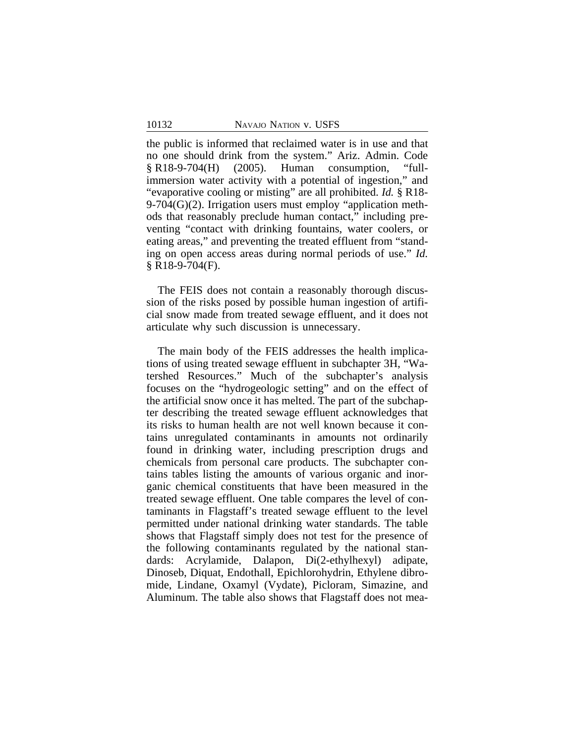the public is informed that reclaimed water is in use and that no one should drink from the system." Ariz. Admin. Code § R18-9-704(H) (2005). Human consumption, "fullimmersion water activity with a potential of ingestion," and "evaporative cooling or misting" are all prohibited. *Id.* § R18- 9-704(G)(2). Irrigation users must employ "application methods that reasonably preclude human contact," including preventing "contact with drinking fountains, water coolers, or eating areas," and preventing the treated effluent from "standing on open access areas during normal periods of use." *Id.* § R18-9-704(F).

The FEIS does not contain a reasonably thorough discussion of the risks posed by possible human ingestion of artificial snow made from treated sewage effluent, and it does not articulate why such discussion is unnecessary.

The main body of the FEIS addresses the health implications of using treated sewage effluent in subchapter 3H, "Watershed Resources." Much of the subchapter's analysis focuses on the "hydrogeologic setting" and on the effect of the artificial snow once it has melted. The part of the subchapter describing the treated sewage effluent acknowledges that its risks to human health are not well known because it contains unregulated contaminants in amounts not ordinarily found in drinking water, including prescription drugs and chemicals from personal care products. The subchapter contains tables listing the amounts of various organic and inorganic chemical constituents that have been measured in the treated sewage effluent. One table compares the level of contaminants in Flagstaff's treated sewage effluent to the level permitted under national drinking water standards. The table shows that Flagstaff simply does not test for the presence of the following contaminants regulated by the national standards: Acrylamide, Dalapon, Di(2-ethylhexyl) adipate, Dinoseb, Diquat, Endothall, Epichlorohydrin, Ethylene dibromide, Lindane, Oxamyl (Vydate), Picloram, Simazine, and Aluminum. The table also shows that Flagstaff does not mea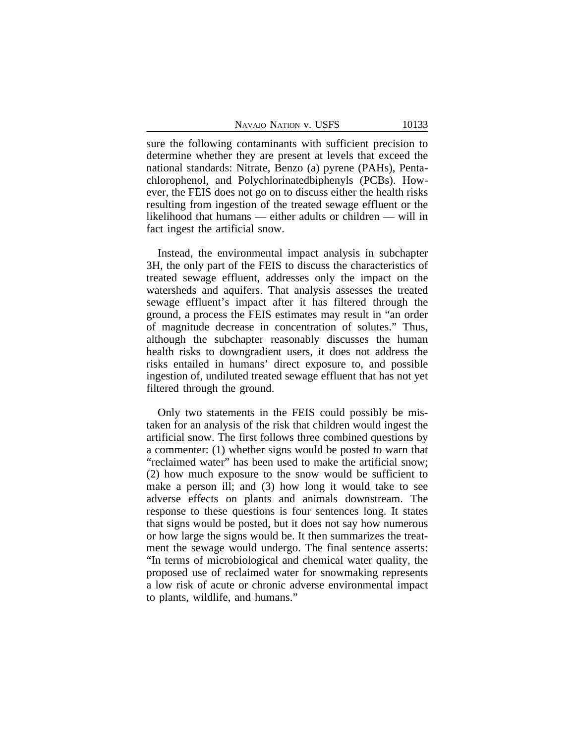NAVAJO NATION V. USFS 10133

sure the following contaminants with sufficient precision to determine whether they are present at levels that exceed the national standards: Nitrate, Benzo (a) pyrene (PAHs), Pentachlorophenol, and Polychlorinatedbiphenyls (PCBs). However, the FEIS does not go on to discuss either the health risks resulting from ingestion of the treated sewage effluent or the likelihood that humans — either adults or children — will in fact ingest the artificial snow.

Instead, the environmental impact analysis in subchapter 3H, the only part of the FEIS to discuss the characteristics of treated sewage effluent, addresses only the impact on the watersheds and aquifers. That analysis assesses the treated sewage effluent's impact after it has filtered through the ground, a process the FEIS estimates may result in "an order of magnitude decrease in concentration of solutes." Thus, although the subchapter reasonably discusses the human health risks to downgradient users, it does not address the risks entailed in humans' direct exposure to, and possible ingestion of, undiluted treated sewage effluent that has not yet filtered through the ground.

Only two statements in the FEIS could possibly be mistaken for an analysis of the risk that children would ingest the artificial snow. The first follows three combined questions by a commenter: (1) whether signs would be posted to warn that "reclaimed water" has been used to make the artificial snow; (2) how much exposure to the snow would be sufficient to make a person ill; and (3) how long it would take to see adverse effects on plants and animals downstream. The response to these questions is four sentences long. It states that signs would be posted, but it does not say how numerous or how large the signs would be. It then summarizes the treatment the sewage would undergo. The final sentence asserts: "In terms of microbiological and chemical water quality, the proposed use of reclaimed water for snowmaking represents a low risk of acute or chronic adverse environmental impact to plants, wildlife, and humans."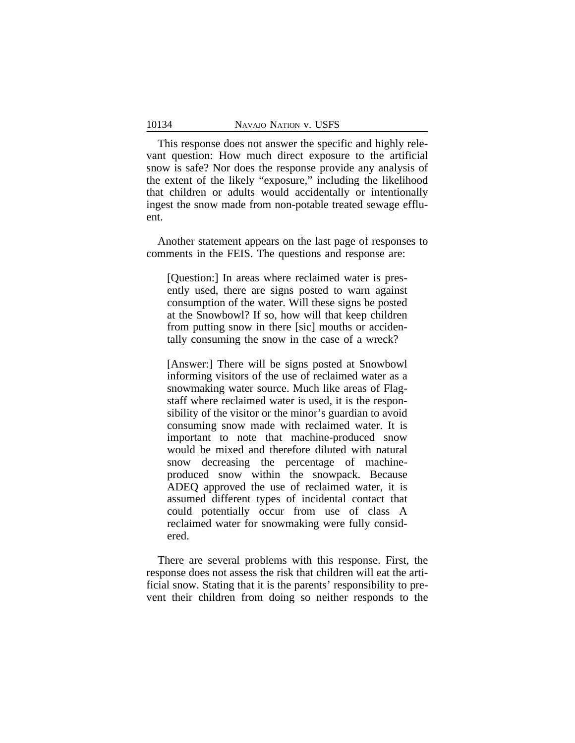This response does not answer the specific and highly relevant question: How much direct exposure to the artificial snow is safe? Nor does the response provide any analysis of the extent of the likely "exposure," including the likelihood that children or adults would accidentally or intentionally ingest the snow made from non-potable treated sewage effluent.

Another statement appears on the last page of responses to comments in the FEIS. The questions and response are:

[Question:] In areas where reclaimed water is presently used, there are signs posted to warn against consumption of the water. Will these signs be posted at the Snowbowl? If so, how will that keep children from putting snow in there [sic] mouths or accidentally consuming the snow in the case of a wreck?

[Answer:] There will be signs posted at Snowbowl informing visitors of the use of reclaimed water as a snowmaking water source. Much like areas of Flagstaff where reclaimed water is used, it is the responsibility of the visitor or the minor's guardian to avoid consuming snow made with reclaimed water. It is important to note that machine-produced snow would be mixed and therefore diluted with natural snow decreasing the percentage of machineproduced snow within the snowpack. Because ADEQ approved the use of reclaimed water, it is assumed different types of incidental contact that could potentially occur from use of class A reclaimed water for snowmaking were fully considered.

There are several problems with this response. First, the response does not assess the risk that children will eat the artificial snow. Stating that it is the parents' responsibility to prevent their children from doing so neither responds to the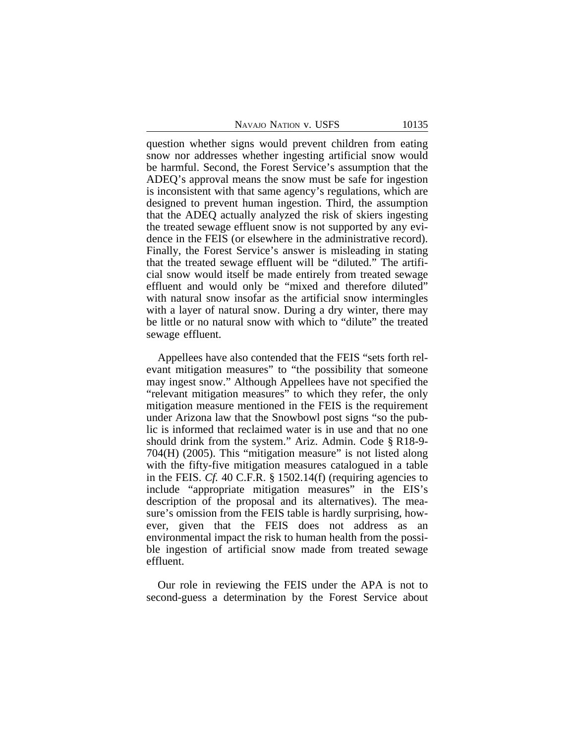NAVAJO NATION V. USFS 10135

question whether signs would prevent children from eating snow nor addresses whether ingesting artificial snow would be harmful. Second, the Forest Service's assumption that the ADEQ's approval means the snow must be safe for ingestion is inconsistent with that same agency's regulations, which are designed to prevent human ingestion. Third, the assumption that the ADEQ actually analyzed the risk of skiers ingesting the treated sewage effluent snow is not supported by any evidence in the FEIS (or elsewhere in the administrative record). Finally, the Forest Service's answer is misleading in stating that the treated sewage effluent will be "diluted." The artificial snow would itself be made entirely from treated sewage effluent and would only be "mixed and therefore diluted" with natural snow insofar as the artificial snow intermingles with a layer of natural snow. During a dry winter, there may be little or no natural snow with which to "dilute" the treated sewage effluent.

Appellees have also contended that the FEIS "sets forth relevant mitigation measures" to "the possibility that someone may ingest snow." Although Appellees have not specified the "relevant mitigation measures" to which they refer, the only mitigation measure mentioned in the FEIS is the requirement under Arizona law that the Snowbowl post signs "so the public is informed that reclaimed water is in use and that no one should drink from the system." Ariz. Admin. Code § R18-9- 704(H) (2005). This "mitigation measure" is not listed along with the fifty-five mitigation measures catalogued in a table in the FEIS. *Cf.* 40 C.F.R. § 1502.14(f) (requiring agencies to include "appropriate mitigation measures" in the EIS's description of the proposal and its alternatives). The measure's omission from the FEIS table is hardly surprising, however, given that the FEIS does not address as an environmental impact the risk to human health from the possible ingestion of artificial snow made from treated sewage effluent.

Our role in reviewing the FEIS under the APA is not to second-guess a determination by the Forest Service about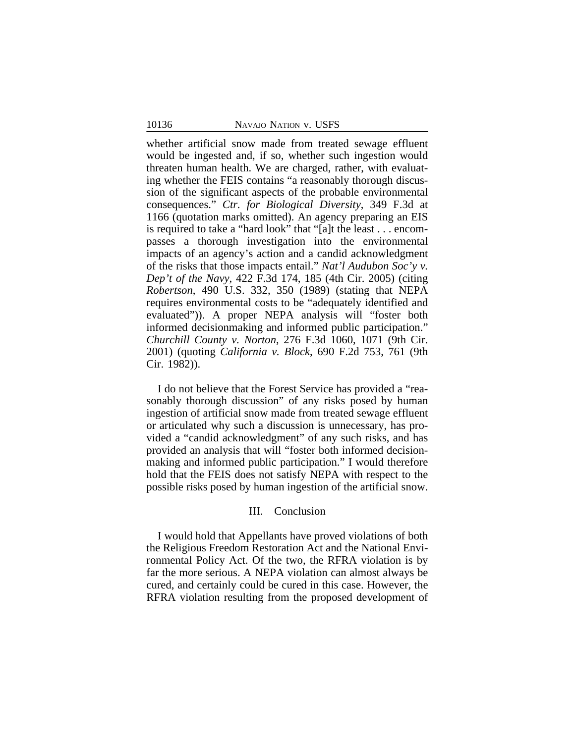whether artificial snow made from treated sewage effluent would be ingested and, if so, whether such ingestion would threaten human health. We are charged, rather, with evaluating whether the FEIS contains "a reasonably thorough discussion of the significant aspects of the probable environmental consequences." *Ctr. for Biological Diversity*, 349 F.3d at 1166 (quotation marks omitted). An agency preparing an EIS is required to take a "hard look" that "[a]t the least . . . encompasses a thorough investigation into the environmental impacts of an agency's action and a candid acknowledgment of the risks that those impacts entail." *Nat'l Audubon Soc'y v. Dep't of the Navy*, 422 F.3d 174, 185 (4th Cir. 2005) (citing *Robertson*, 490 U.S. 332, 350 (1989) (stating that NEPA requires environmental costs to be "adequately identified and evaluated")). A proper NEPA analysis will "foster both informed decisionmaking and informed public participation." *Churchill County v. Norton*, 276 F.3d 1060, 1071 (9th Cir. 2001) (quoting *California v. Block*, 690 F.2d 753, 761 (9th Cir. 1982)).

I do not believe that the Forest Service has provided a "reasonably thorough discussion" of any risks posed by human ingestion of artificial snow made from treated sewage effluent or articulated why such a discussion is unnecessary, has provided a "candid acknowledgment" of any such risks, and has provided an analysis that will "foster both informed decisionmaking and informed public participation." I would therefore hold that the FEIS does not satisfy NEPA with respect to the possible risks posed by human ingestion of the artificial snow.

### III. Conclusion

I would hold that Appellants have proved violations of both the Religious Freedom Restoration Act and the National Environmental Policy Act. Of the two, the RFRA violation is by far the more serious. A NEPA violation can almost always be cured, and certainly could be cured in this case. However, the RFRA violation resulting from the proposed development of